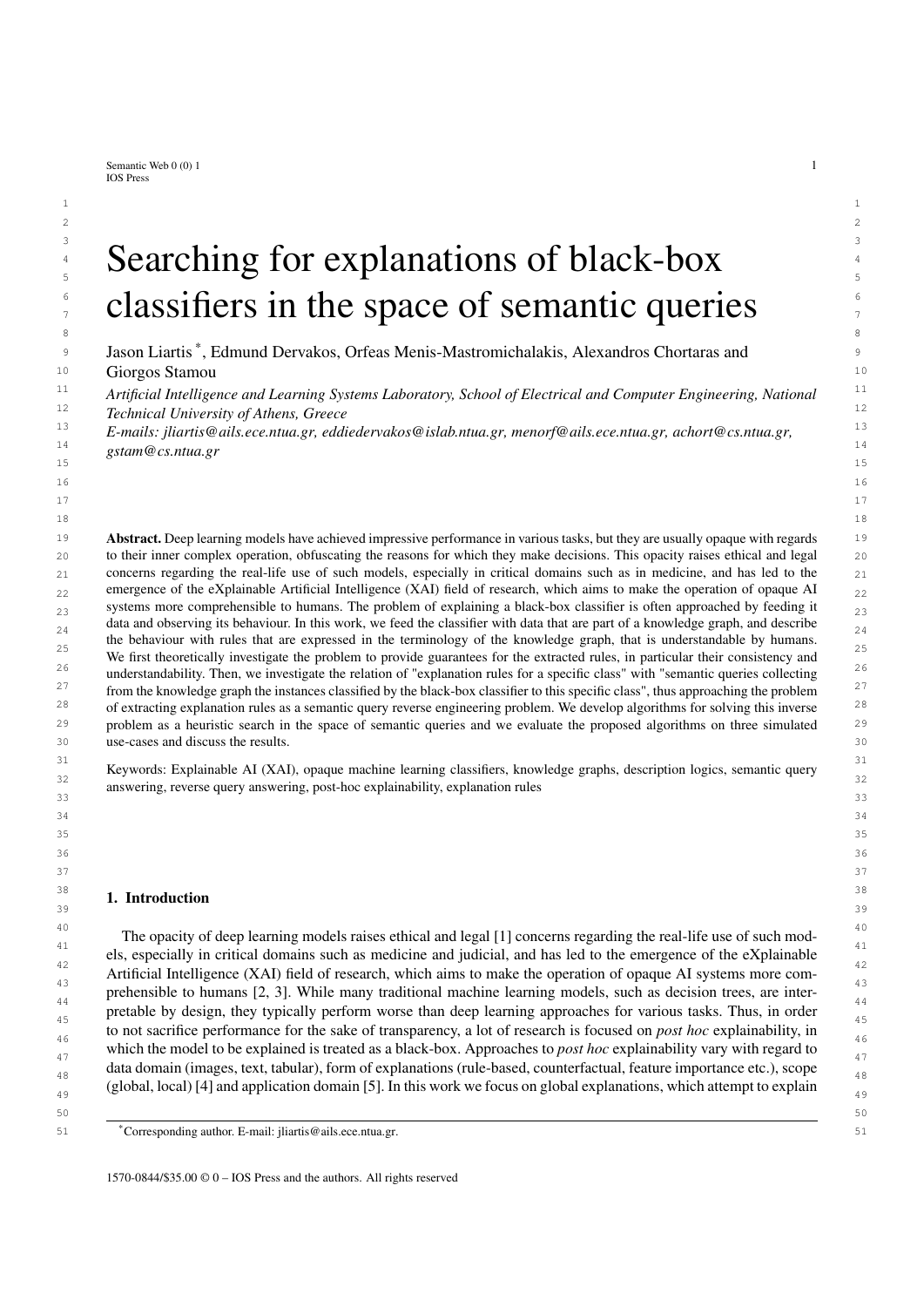Semantic Web  $0(0)$  1 1 IOS Press

### $\frac{3}{2}$  3  $\frac{1}{2}$  3  $\frac{3}{2}$  3  $\frac{1}{2}$  3  $\frac{1}{2}$  3  $\frac{1}{2}$  3  $\frac{1}{2}$  3  $\frac{1}{2}$  3  $\frac{1}{2}$  3  $\frac{1}{2}$  3  $\frac{1}{2}$  3  $\frac{1}{2}$  3  $\frac{1}{2}$  3  $\frac{1}{2}$  3  $\frac{1}{2}$  3  $\frac{1}{2}$  3  $\frac{1}{2}$  3  $\frac{1}{2}$  3  $\frac{1$ 4 4  $\sum_{s}$  Searching for explanations of black-box 6 6  $\frac{1}{2}$  classifiers in the space of semantic queries 8 a set of the set of the set of the set of the set of the set of the set of the set of the set of the set of the set of the set of the set of the set of the set of the set of the set of the set of the set of the set of th

9 Jason Liartis<sup>\*</sup>, Edmund Dervakos, Orfeas Menis-Mastromichalakis, Alexandros Chortaras and 9 10 10 Giorgos Stamou

<sup>11</sup> Artificial Intelligence and Learning Systems Laboratory, School of Electrical and Computer Engineering, National <sup>11</sup> 12 12 *Technical University of Athens, Greece*

 $15$  15  $\sim$  15  $16$ 17 17 18 18

 $1$  $2 \times 2$ 

13 13 *E-mails: [jliartis@ails.ece.ntua.gr,](mailto:jliartis@ails.ece.ntua.gr) [eddiedervakos@islab.ntua.gr,](mailto:eddiedervakos@islab.ntua.gr) [menorf@ails.ece.ntua.gr,](mailto:menorf@ails.ece.ntua.gr) [achort@cs.ntua.gr,](mailto:achort@cs.ntua.gr)*  $\frac{14}{14}$  or  $\frac{14}{14}$ *[gstam@cs.ntua.gr](mailto:gstam@cs.ntua.gr)*

<sup>19</sup> **Abstract.** Deep learning models have achieved impressive performance in various tasks, but they are usually opaque with regards <sup>19</sup> 20 20 to their inner complex operation, obfuscating the reasons for which they make decisions. This opacity raises ethical and legal 21 21 concerns regarding the real-life use of such models, especially in critical domains such as in medicine, and has led to the  $_{22}$  emergence of the eXplainable Artificial Intelligence (XAI) field of research, which aims to make the operation of opaque AI  $_{22}$ systems more comprehensible to humans. The problem of explaining a black-box classifier is often approached by feeding it  $_{23}$ data and observing its behaviour. In this work, we feed the classifier with data that are part of a knowledge graph, and describe  $\frac{24}{24}$  $25$ <br>We first theoretically investigate the problem to provide guarantees for the extracted rules, in particular their consistency and  $25$ <sup>26</sup> understandability. Then, we investigate the relation of "explanation rules for a specific class" with "semantic queries collecting <sup>26</sup>  $27$  from the knowledge graph the instances classified by the black-box classifier to this specific class", thus approaching the problem  $27$  $^{28}$  of extracting explanation rules as a semantic query reverse engineering problem. We develop algorithms for solving this inverse  $^{28}$ <sup>29</sup> problem as a heuristic search in the space of semantic queries and we evaluate the proposed algorithms on three simulated<sup>29</sup> 30 30 use-cases and discuss the results. the behaviour with rules that are expressed in the terminology of the knowledge graph, that is understandable by humans.

<sup>31</sup><br>Keywords: Explainable AI (XAI), opaque machine learning classifiers, knowledge graphs, description logics, semantic query <sup>32</sup><br>answering, reverse query answering, post-hoc explainability, explanation rules  $\frac{33}{3}$  33

 $34$ 35 35  $36$ 37 37

#### $\frac{38}{100}$   $\frac{1}{100}$   $\frac{1}{100}$   $\frac{1}{100}$   $\frac{38}{100}$  $39$  39 1. Introduction

<sup>40</sup> The opacity of deep learning models raises ethical and legal [1] concerns regarding the real-life use of such mod-41 and the contract of the contract of the contract of the contract of the contract of the contract of the contract of the contract of the contract of the contract of the contract of the contract of the contract of the con els, especially in critical domains such as medicine and judicial, and has led to the emergence of the eXplainable  $\frac{12}{42}$  $\frac{43}{43}$  prehensible to humans [2, 3]. While many traditional machine learning models, such as decision trees, are inter- $44$   $44$ pretable by design, they typically perform worse than deep learning approaches for various tasks. Thus, in order to not sacrifice performance for the sake of transparency, a lot of research is focused on *post hoc* explainability, in which the model to be explained is treated as a black-box. Approaches to *post hoc* explainability vary with regard to data domain (images, text, tabular), form of explanations (rule-based, counterfactual, feature importance etc.), scope (global, local) [4] and application domain [5]. In this work we focus on global explanations, which attempt to explain Artificial Intelligence (XAI) field of research, which aims to make the operation of opaque AI systems more com-

 $50$ 

<sup>51</sup> 51 \*Corresponding author. E-mail: [jliartis@ails.ece.ntua.gr.](mailto:jliartis@ails.ece.ntua.gr)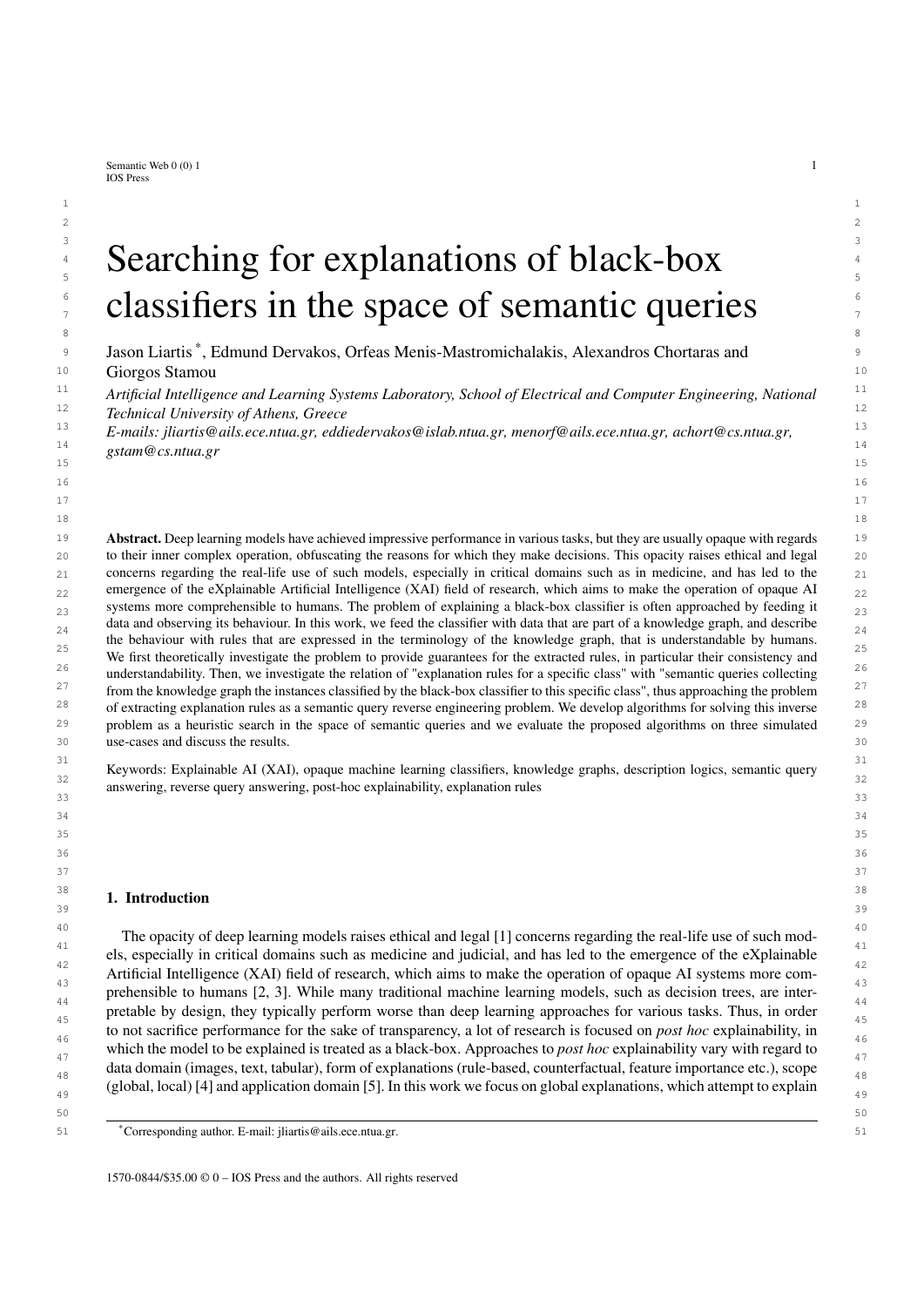1 1 the general function of a black-box regardless of data, as opposed to local explanations which attempt to explain 2 2 the prediction of a classifier on a particular data sample. Specifically, we attempt to extract *rules* which simulate the 3 3 behaviour of a black-box by considering semantic descriptions of samples, in addition to external knowledge. For 4 4 example such a rule might be "Images depicting animals and house-hold items are classified as domestic animals", 5 5 where the semantic description of an image might be "This image depicts an elephant next to a chair" and external 6 6 knowledge might contain information such as "elephants are animals" and "chairs are household items". We do this <sup>7</sup> by utilizing terminological, human-understandable knowledge expressed in the form of ontologies and knowledge  $\frac{7}{10}$ <sup>8</sup> graphs, taking advantage of the reasoning capabilities of the underpinning description logics [6]. Such extracted <sup>9</sup> rules might be very useful for an end user to understand the reasons behind why an opaque model is making its <sup>10</sup> decisions, especially when combined with other forms of explanations, such as local contrastive explanations [7]. <sup>10</sup>

<sup>11</sup> There are many related rule-based global explanation methods in recent literature. Many approaches rely on <sup>11</sup> <sup>12</sup> statistics in order to generate lists of IF-THEN rules which mimic the behaviour of a classifier [8, 9], while others  $12$ <sup>13</sup> extract rules in the form of decision trees [10–12]. Closer to our proposed approach are works which extract rules<sup>13</sup> <sup>14</sup> based on logics [13, 14], for which there are arguments that they should be the desireable form of explanations <sup>14</sup>  $15$  [15, 16]. The above approaches generate rules in terms of the feature space of the black-box classifier which is a  $15$ <sup>16</sup> key difference with our work, in which we consider rules in terms of semantic descriptions and external knowledge  $16$ <sup>17</sup> instead of features. More closely related to this work are approaches such as the one presented by Ciravenga *et al.*<sup>17</sup>  $18$  [17], in which the authors utilize additional information about the data (such as objects depicted in an image), in  $18$ <sup>19</sup> terms of which they provide explanations. This approach, however, is not a *post hoc* method as the explainer module <sup>20</sup> is a neural network which is jointly trained with the classifier. Furthermore, the terms in which they provide the <sup>21</sup> explanations are not linked to external knowledge. Another related approach to ours, in the sense that it makes use <sup>21</sup> <sup>22</sup> of external semantic information for the data in order to provide rule-based explanations is presented by Panigutti<sup>22</sup> <sup>23</sup> et al. [18]. However, the rules that are generated are local, which means that they explain a prediction on a specific <sup>23</sup>  $\frac{24}{\sqrt{24}}$  sample, similarly to other local rule-based model agnostic approaches [19, 20], while our approach leads to global  $\frac{24}{\sqrt{24}}$ 25 25 rules which give a more general overview of why the black-box might be making its decisions. In addition, the rules  $\frac{26}{9}$  generated by that approach concern numerical features, while ours are presented by using the terminology of the  $27$   $27$   $27$   $27$   $27$   $27$   $29$   $21$   $21$   $22$   $23$   $24$   $25$   $27$   $28$   $29$   $21$   $21$   $22$   $23$ underlying knowledge. For further reading, we refer to literature surveys on explainable AI, which include analyses  $\frac{28}{28}$ 29 **29** 2012 Control Control (1, 21). of rule-based approaches [4, 21].

Utilizing external knowledge to boost transparency of opaque AI is an active research area which has produced  $\frac{30}{30}$ important results in recent years [5, 22]. Specifically, knowledge graphs [23] as a scalable common understandable  $\frac{31}{31}$ structured representation of a domain based on the way humans mentally perceive the world, have emerged as a  $_{33}$  promising complement or extension to machine learning approaches for achieving explainability. A particular aspect  $_{33}$  $_{34}$  which might be improved by utilizing knowledge graphs, especially for generalized global explanations, is the form  $35$  of the produced explanations. When the feature space of the classifier is sub-symbolic raw data, then providing  $35$  $_{36}$  explanations in terms of features might lead to unintuitive, or even misleading results [24, 25]. On the other hand,  $37$  if there is underlying knowledge of the data, then explanations can be provided by using the terminology of the  $37$ 38 38 knowledge. For example, if a black-box classified every image depicting wild animals in the class *zoo*, a rule of the form "If an image depicts a giraffe or a zebra or ::: then it is classified as a *zoo*", might be more intuitive than for example sets of pixel importances. Furthermore, by exploiting external knowledge, the form can  $_{40}$  than for example sets of pixel importances. Furthermore, by exploiting external knowledge, the form can be further  $_{40}$ <sub>41</sub> condensed and lead to simpler explanations which are semantically identical, such as "If an image depicts a *wild*<sub>41</sub> 42 42 *animal* then it is classified as a *zoo*".

<sup>43</sup> There are multiple approaches in recent literature, which utilize knowledge graphs for explainability. For instance, <sup>44</sup> Daniels *et al.* [26] propose exploiting the WordNet hierarchy as an external knowledge graph in order to perform 45 scene classification from images with neural networks in an explainable fashion. Alirezaie *et al.* [27] utilize external 46 ontological knowledge in order to explain the errors of a satelite image classifier. Wang *et al.* [28] propose a neural 47 network which makes use of knowledge graph embeddings for content-based news recommendation, improving on 48 the state-of-the-art while simultaneously offering a layer of explainability, in the form of KG entities linked to text. 49 Ai *et al.* [29] construct a unified knowledge graph of users and items which is utilized in their collaborative filtering 49 50 recommendation approach, and provide explanations for recommendations in the form of paths on the knowledge 51 graph. Silva *et al.* [30] successfully use knowledge graphs such as WordNet and Wikipedia for achieving explainable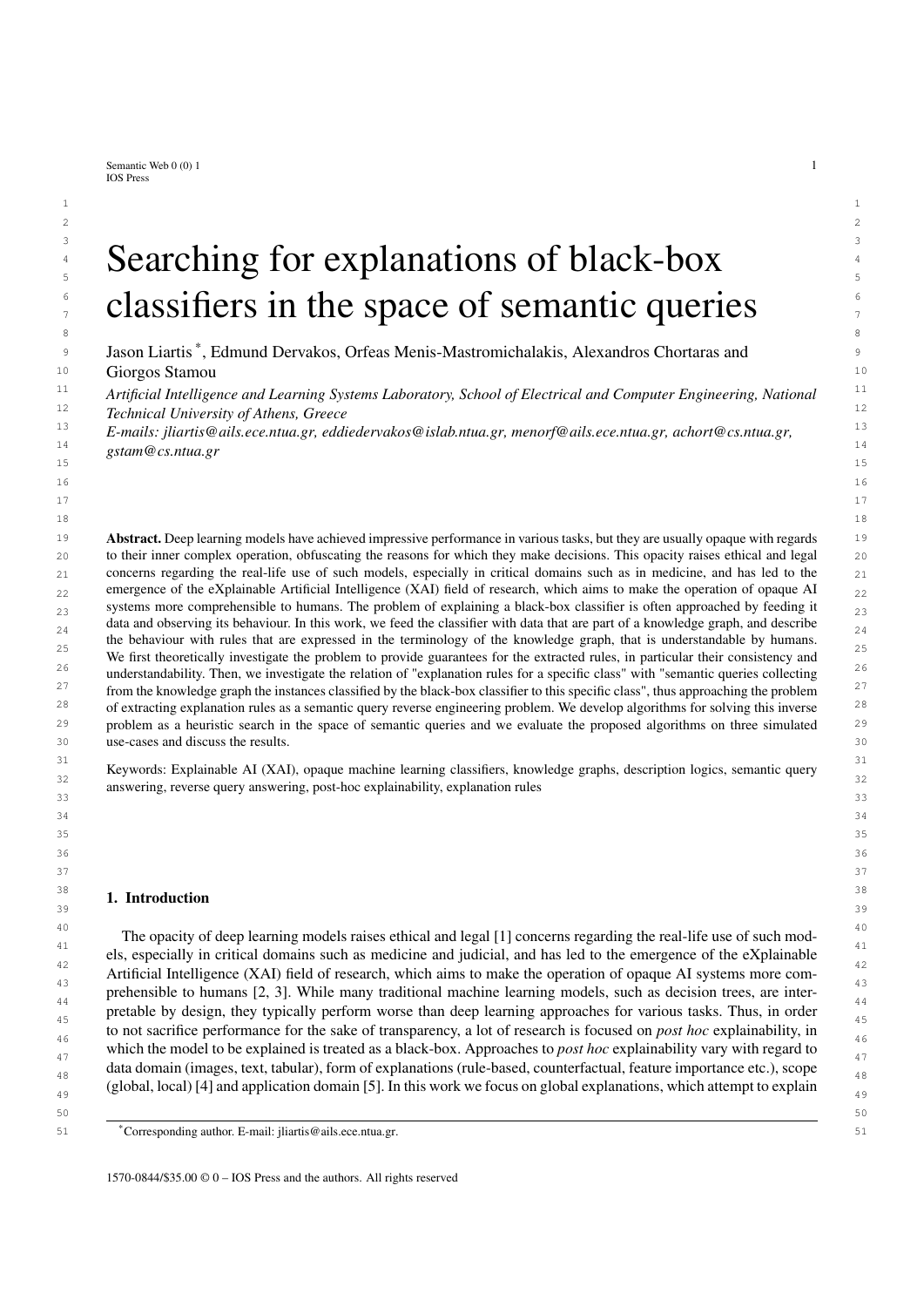*J. Liartis et al. / Searching for explanations of black-box classifiers in the space of semantic queries* 3

1 1 text entailment. For further reading on the role of knowledge graphs in explainable AI, we refer to the recent survey 2 2 by Tiddi *et al.* [31].

3 3 Following this line of work, our approach to global rule-based explanations assumes that we are given a set <sup>4</sup> of data samples with semantic descriptions linked to external knowledge, in terms of which the explanations will 5 5 be presented (data that are part of a knowledge graph). We call such a set of samples an *explanation dataset*. <sup>6</sup> For example, a semantic description for an image might refer to the objects it depicts and relationships between <sup>7</sup> them, such as scene graphs from visual genome [32], or COCO [33]. In the general case, a semantic description <sup>8</sup> is also linked to external knowledge graphs, for example WordNet [34], ConceptNet [35], DBpedia [36], and even <sup>9</sup> domain specific knowledge such as SNOMED-CT [37] for the medical domain. Given such a set of semantically <sup>10</sup> described data, we then compute global rule-based explanations as if they were semantic queries over the explanation <sup>10</sup> <sup>11</sup> dataset (knowledge), characterizing the output of the classifier by computing the queries that collect the items of the <sup>11</sup> 12 12 explanation dataset which are classified (by the unknown classifier) in a specific class, by making use of theoretical <sup>13</sup> and practical results in the area of semantic query answering [38–41]. Thus, in practice, the problem of computing <sup>13</sup> <sup>14</sup> explanations is approached here as a query reverse engineering (QRE) problem, which has been extensively studied<sup>14</sup> <sup>15</sup> both for traditional databases [42] and for knowledge bases [43–45]. In the general case, semantic query answering <sup>15</sup> <sup>16</sup> involves reasoning on the facts of the knowledge and allows for highly expressive queries, thus highly expressive <sup>16</sup> <sup>17</sup> explanations. This makes the semantic QRE problem theoretically difficult and computationally demanding. For this  $17$ <sup>18</sup> reason, we develop heuristic algorithms for semantic QRE, which are also able to provide approximate solutions, <sup>18</sup> 19 19 even when an exact solution does not exist. Summarizing:

- $20$  $_{21}$  – Following our previous work in the area [[46]], we here present a framework for representing global rule-based  $_{21}$ explanations for black-box classifiers, using exemplar items, external terminology and underlying knowledge  $_{22}$  $_{23}$  stored in a knowledge graph and defining the problem of explanation rule extraction as a semantic query reverse  $_{23}$ engineering problem over the knowledge graph (see section 3).
- $\sim$  25  $\sim$  25 We propose algorithms which approximate the semantic query reverse engineering problem by using heuristics,  $\frac{25}{25}$  $_{26}$  which we then use to generate explanations in the context of the proposed framework (see section 4).
- $_{27}$  We implement the proposed algorithms and show results from experiments explaining image classifiers on  $_{27}$  $28$  CLEVR-Hans3 and MNIST. We also compare our work with existing post-hoc explanation methods on baseline  $28$ z<sub>29</sub> tabular data employing the Mushroom dataset (see section 5).

 $30$  $31$   $31$ 

33 33

#### $32$  **2. Background**  $32$ 2. Background

24 Let  $V = \hbar CN$ ; RN; IN/ be a *vocabulary*, where CN, RN, IN are mutually disjoint finite sets of *concept*, *role* and 2<br>25 *individual* names, respectively Let also T and A be a terminology (TBox) and an assertional dat  $_{35}$  *individual* names, respectively. Let also  $\top$  and  $\Lambda$  be a terminology (TBox) and an assertional database (ABox),  $_{35}$  $36$  respectively, over V using a Description Logics (DL) dialect L, i.e. a set of axioms and assertions that use elements  $36$  $\frac{37}{22}$  of V and constructors of L. The pair hV; Li is a *DL-language*, and  $K = hT$ ; A i is a *(DL) knowledge base* (KB) over  $\frac{37}{22}$ <br>this language. The semantics of KBs are defined in a standard model-theoretic wa  $38$  this language. The semantics of KBs are defined in a standard model-theoretic way using interpretations [6]. Given  $38$ a non-empty domain  $\Delta$ , an interpretation  $I = (\Delta^I; I)$  assigns a set  $C^I$   $\Delta^I$  to each concept  $C \nvert Z \nvert$  as set of as  $\lim_{40}$  pairs  $r'$   $\Delta'$   $\Delta'$  to each role  $r$  2 RN, and an element  $a'$  2  $\Delta$  to each individual  $a$  2 IN. An interpretation 1 41 is a *model* of a KB K iff it satisfies all assertions in A and all axioms in T. We will call an ABox containing only 42 assertions of the form  $C(a)$  and  $r(a; b)$ , where  $C \nvert Z \in \mathbb{R}$ ,  $r \nvert Z \in \mathbb{R}$ ,  $a; b \nvert Z \in \mathbb{R}$  an *atomic* ABox. pairs *r*

43 The DL dialect  $\perp$  determines the expressivity of K. Most DL dialects can be seen as fragments of first-order logic  $\frac{43}{2}$ <sup>44</sup> by viewing atomic concepts and roles as unary and binary predicates respectively [6]. In this paper we refer only to <sup>44</sup> 45 45 DL dialects that are fragments of first-order logic, and hence can be translated to first-order logic theories. We will 46 denote the translation of K to the respective first order logic theory by fol(K).

47 Given a vocabulary V, a *conjunctive query* (simply, a *query*) *q* is an expression of the form  $f h x_1$ ; :: :  $x_k i j = 47$ <br>42 Given  $\partial y_k$  (contract on  $f(x) = 0$ ,  $p > 1$ , yi we are variable names, the costare distinct ea 48  $\mathcal{D}_1 :: \mathcal{D}_1 : (\mathcal{C}_1 \wedge \cdots \wedge \mathcal{C}_n) \mathcal{G}$ , where  $k, l > 0, n > 1, x_i, y_i$  are variable names, the  $c_i$ s are distinct, each  $c_i$  is an atom 48 49 49 *<sup>C</sup>*(*u*) or *<sup>r</sup>*(*u*; *<sup>v</sup>*), where *<sup>C</sup>* <sup>2</sup> CN, *<sup>r</sup>* <sup>2</sup> RN, *<sup>u</sup>*; *<sup>v</sup>* <sup>2</sup> IN [ f*x*<sup>1</sup>; : : : ; *<sup>x</sup>k*g [ f*y*<sup>1</sup>; : : : ; *<sup>x</sup>l*<sup>g</sup> and all *<sup>x</sup><sup>i</sup>* ; *<sup>y</sup><sup>i</sup>* appear in at least one 50 atom. The vector  $hx_1$ :::  $x_k$  i s the *head* of *q*, its elements are the *answer variables*, and  $fc_1$ ::: ; *c<sub>n</sub>g* is the *body* of 50<br>*a* (body(*a*)). The set yat(*a*) is the set of all variables appearing in *a* 51  $q$  (body(q)). The set var(q) is the set of all variables appearing in q.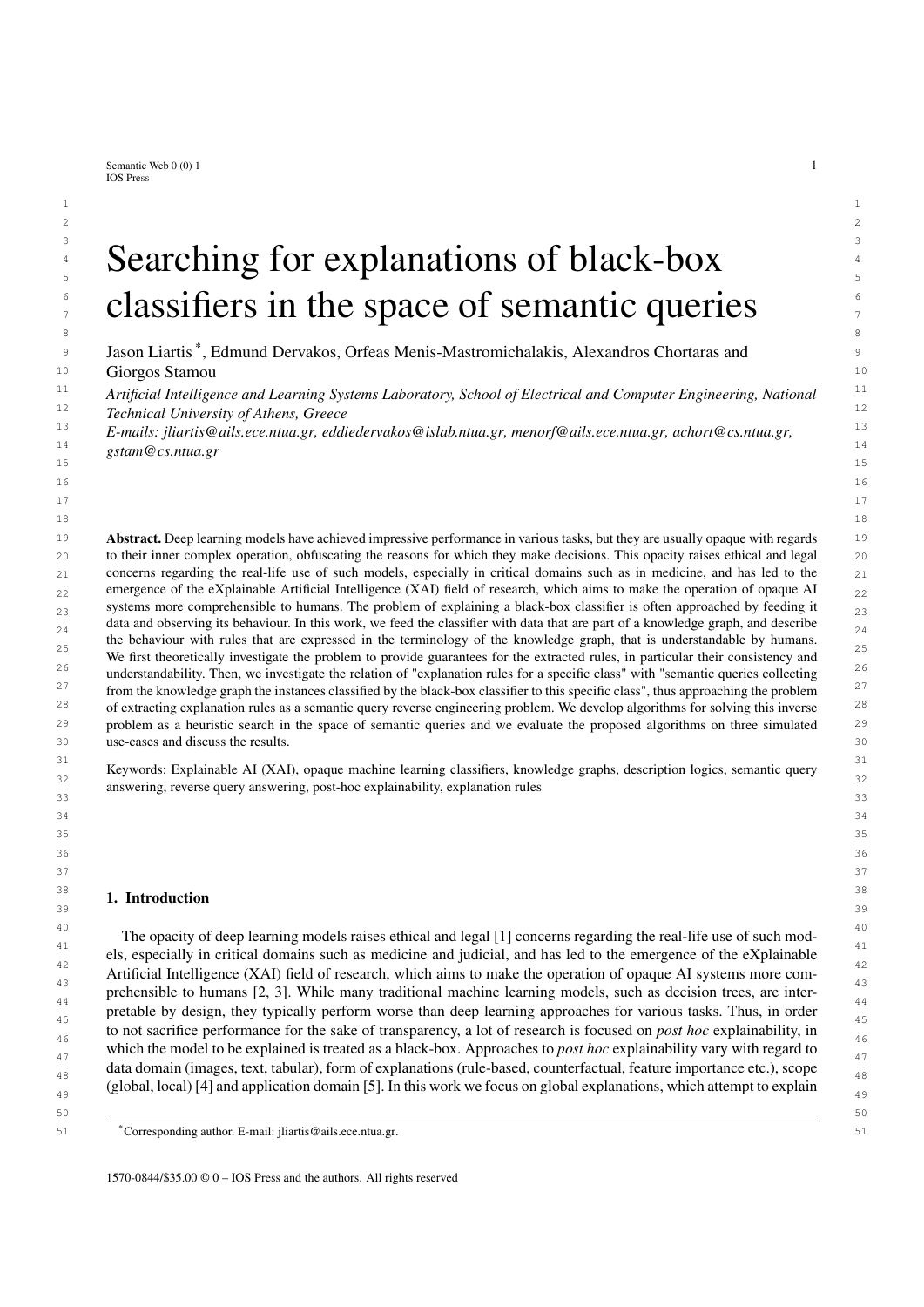1 1 In this paper we focus on queries having *one* answer variable and in which all arguments of all *c<sup>i</sup>* are variables, 2 2 which are called *instance queries*. For simplicity, in the rest of the paper, by saying query we will mean instance 3 query, and we will write an (instance) query *q* as  $fc_1$ ; :::;  $c_n$  g, considering always *x* as the answer variable, essentially advertised and write e  $\alpha$  as facility in the angry of this query and intervals of the <sup>4</sup> identifying the query by its body. This will allow us to treat queries as sets, and write e.g.  $q_1$  [  $q_2$ ; this query  $\frac{4}{3}$ 5 represents the query that has the same head as  $q_1$  and  $q_2$  (i.e.  $hx$ ) and body the union of the bodies of  $q_1$  and  $q_2$ . 6 Similarly, we will write e.g.  $q_1$   $q_2$ , meaning body $(q_1)$  body $(q_2)$ , and  $c \, 2 \, q$  meaning  $c \, 2$  body $(q)$ . We will 7 7 also assume that the DL dialect in use includes the top concept (>), a concept to which all individuals are assumed  $\infty$  to belong to, and that every instance query includes always in its body the atom  $\geq$ (*x*), although we will usually not write it. Thus, the instance query  $q = fg$  is a shorthand for  $f h x i j > (x) g$ , and similarly for any  $q = fc_1; \dots, c_n g$ .<br>
Following the above assumptions all definitions that follow will be stated only for instance queries althoug 10 10 Following the above assumptions, all definitions that follow will be stated only for instance queries, although more 11 11 general formulations for general conjunctive queries might exist.

12 An instance query *q* can be viewed as the directed labeled graph  $hV$ ;  $E$ ;  $\gamma$ ;  $\gamma$ ;  $E$  (a *query graph*), where  $V = \text{var}(q)$  12<br>13 is the set of podes  $E = f h u$ ;  $v / |f(u, v)|^2$  and  $V = V$  is the set of edges  $\gamma$ ;  $V / |$ 13 is the set of nodes,  $E = f/\mu$ ,  $\nu / r(u, \nu) \nvert 2qQ \nvert V$  V is the set of edges,  $v : V / 2^{\text{CM}}$  with  $v(u) = fC / C(u) 2$  13 is the set of nodes,  $E = fhu$ ,  $vi \int r(u; v) 2 qg$  V V is the set of edges,  $v : V / 2^{CN}$  with  $v(u) = fC \int C(u) 2$  13<br>  $qg$  is the node labeling function, and  $v_E : E / 2^{RN}$  with  $v_E(u; v) = fF \int r(u; v) 2 qg$  is the edge labeling function. 15 15 The answer variable is not explicitly identified since it is assumed to be always *x*. An instance query is *connected*, 16 16 if the corresponding query graph is connected. *q*g is the node labeling function, and  $\hat{E}$  :  $E$  !  $2^{RN}$  with  $\hat{E}(u; v) = \hat{F}f(r(u; v) \hat{Z}q\hat{g})$  is the edge labeling function.

Given a KB K, an instance query *q* and an interpretation  $\ell$  of K, a *match* for *q* is a mapping : var(*q*)  $\ell$   $\Delta^{\ell}$  17 18 such that  $(u)$   $2C^{\dagger}$  for all  $C(u)$   $2q$ , and  $((u); (v))$   $2r^{\dagger}$  for all  $r(u; v)$   $2q$ . Then,  $a$   $2 \text{ IN}}$  is a *(certain) answer* 18<br>19 for a over K if in every model *l* of K there is a match for a such that  $(x) = a^$ 19 for *q* over K if in every model / of K there is a match for *q* such that  $(x) = a<sup>l</sup>$ . The set of certain answers to *q* 19 is denoted by cert(q; K).<br>20 **1** et K be a knowledge base over a vocabulary V and O the (possibly infinite) set of all (instance) queries over

21 Let K be a knowledge base over a vocabulary V, and Q the (possibly infinite) set of all (instance) queries over 21 22 V. We can partially order Q using *query subsumption*: A query  $q_2$  *subsumes* a query  $q_1$  (we write  $q_1$  6*s*  $q_2$ ) iff 22 23 there is a substitution s.t.  $q_2$   $q_1$ . If  $q_1$ ,  $q_2$  are mutually subsumed, they are *syntactically equivalent*  $(q_1 \ s q_2)$ . 23 24  $q \leq s$  *q*<sup>0</sup> implies cert(*q*; K) cert(*q<sup>0</sup>*; K), since a match for the variables of *q* can be composed with to produce 24<br>25 **a** match for the variables of  $q^0$ . Let  $q$ ;  $q^0$  be queries s t  $q^0$  as a f  $q^0$  i 25 a match for the variables of  $q^0$ . Let  $q$ ;  $q^0$  be queries s.t.  $q^0$  *q*. If  $q^0$  is a minimal subset of q s.t.  $q^0$  6*s* q, then 25 a match for the variables of  $q^{\ell}$ . Let  $q$ ;  $q^{\ell}$  be queries s.t.  $q^{\ell}$  *q*. If  $q^{\ell}$  is a minimal subset of *q* s.t.  $q^{\ell}$  6<sub>S</sub> *q*, then 25<br>26  $q^{\ell}$  is a *condensation* of *q*. If that minimal  $q^{\ell}$  is th 27 27 equivalent queries have always the same answers, and a condensation of some syntactically equivalent queries is the 28 28 most compact query (not containing redundant atoms) that is syntactically equivalent to the rest. <sup>0</sup>. Let *q*; *q*<sup>0</sup> be queries s.t. *q*<br>iminimal  $q^0$  is the same as

Given the queries  $q_1; q_2; \dots; q_n$ , a query least common subsumer  $\text{QLCS}(q_1; q_2; \dots; q_n)$  of them is defined as a and  $q_1; q_2; \dots; q_n$  of the mery a for which  $q_1; q_2; \dots; q_n$  for and for all  $q_1^{\theta}$  s.t.  $q_1; q_2; \dots; q_n$  fo query q for which  $q_1, q_2, \dots, q_n \leq s$  and for all  $q^{\theta}$  s.t.  $q_1, q_2, \dots, q_n \leq s$   $q^{\theta}$  we have  $q \leq s$   $q^{\theta}$ . The query least as  $s$ 31 common subsumer can be seen as the most specific generalization of  $q_1$ ;  $q_2$ ; :::  $q_n$ , and it is unique up to syntactical 31<br>22 equivalency. It exists always because it has been assumed that all instance queries in 32 equivalency. It exists always because it has been assumed that all instance queries include  $\rho(x)$  in their bodies. We  $\beta$ 33 33 should note that this notion of query least common subsumer is different from the usual notion of least common 34 34 subsumer of concepts which has been extensively studied for various description logic expressivities [48–51].

35 35 In the following, it will be useful to treat atomic ABoxes as graphs. Similarly to the case of queries, an atomic 36 ABox A can be represented as the graph  $\hbar V$ ;  $E_i^* V_i^* E^i$  (an *ABox graph*), where  $V = \hbar V$  is the set of nodes,  $E = 36$ <br>37 Fha;  $h(x, h)$  2 Aq. IN IN is the set of labeled edges  $v \cdot V = 2^{CN}$  with  $v \cdot (a) = fC / C(a)$  2 Aq 37  $f(x; b)$   $\infty$  Ag IN IN is the set of labeled edges,  $\sum_{i} y_i : V_i = 2^{CN}$  with  $\sum_{i} y_i(a) = fC$  j  $C(a)$   $\infty$  Ag is the 37<br>38 node labeling function and  $\sum_{i} rF_i = 2^{RN}$  with  $\sum_{i} (a; b) = f(x(a; b))$   $\infty$  Ag is the edge labelin 38 node labeling function, and  $\iota_E : E \perp 2^{\text{RN}}$  with  $\iota_E(a; b) = \iint_R r(a; b) \cdot 2 \cdot A g$  is the edge labeling function.<br>39 Given two graphs  $G_t = bV_t \cdot F_t \cdot \iota_{L} \cdot \iota_{L} \cdot G_t = bV_0 \cdot F_0 \cdot \iota_{L} \cdot \iota_{L} \cdot A$  bomomorphism  $h \cdot G_t \cdot A$ 

39 Given two graphs  $G_1 = hV_1$ ;  $E_1$ ;  $V_1$ ;  $E_1$ ;  $G_2 = hV_2$ ;  $E_2$ ;  $V_2$ ;  $E_2$ , a homomorphism  $h : G_1$  !  $G_2$  is defined 39 as a function from  $V_1$  to  $V_2$  that preserves edges and labels. More specifically it is such that: i) if  $ha$ ;  $b \neq 2E_1$  then  $hb(a) \cdot b(b) \neq 2E_2$  if  $h(a) \cdot b(b) \neq 2E_1$  then  $\frac{h(h(a); h(b))}{2} E_2$ , ii)  $v_1(a)$   $v_2(h(a))$ , and iii)  $\sum_{k=1}^{\infty} (h(a); h(b))$ . If there exists a homomorphism 41  $\frac{hh(a); h(b)}{2}$  *E*<sub>2</sub>, ii)  $\frac{v_1(a)}{v_2(h(a))}$ , and iii)  $\frac{v_2(h(a); h(b))}{E_1(h(a); h(b))}$ . If there exists a homomorphism from *G*<sub>1</sub> to *G*<sub>2</sub>, we will write for simplicity *G*<sub>1</sub> *l G*<sub>2</sub>. When *G*<sub>1</sub> and *G*<sub>2</sub> are query gr 43 additional assumption that *h* preserves the answer variable, i.e.  $h(x) = x$ . If *h* is a bijection whose inverse is also a 43  $44$  homomorphism, then *h* is an isomorphism. It is easy to see that the query graph of  $q_1$  is homomorphic to the query 45 **graph of**  $q_2$  **iff**  $q_2$  **6***s* $q_1$ **.** 45  $hh(a)$ ;  $h(b)$  i 2  $E_2$ , ii)  $v_1(a)$  $\Gamma_{V_2}(h(a))$ , and iii)  $\Gamma_{E_1}(a;b)$ 

46 A (definite) *rule* is a fol expression of the form  $\mathcal{S}_{\mathcal{X}_1}$  : : :  $\mathcal{S}_{\mathcal{X}_n}$  ( $c_1$ ; : : : ;  $c_m$ )  $c_0$ ), where  $c_i$  are atoms and  $x_1$ ; : : : ;  $x_n$  46 are all the variables appearing in the several  $c_i$ . The atoms  $c_1$ ; :::  $c_m$  are the *body* of the rule, and  $c_0$  its *head*. A rule<br>over a vocabulary  $V = bCN$ ; BN; IN*i* is a rule where each  $c_i$  is either  $C(u)$  where 48 over a vocabulary  $V = hCN$ ; RN; INi is a rule where each  $c_i$  is either  $C(u)$ , where  $C \nvert ZCN$ , or  $r(u; v)$ , where  $r \nvert ZRN$ . Assuming that  $c_0$  is of the form  $D(x)$ , and that x appears in the body of such a rule, we will say that the rule is  $\frac{49}{2}$ 50 *connected*, if its body, seen as an instance query is connected. In the following we assume all rules are connected. 50 51 A rule is usually written as  $c_1$ ; :::  $c_m$  !  $c_0$ .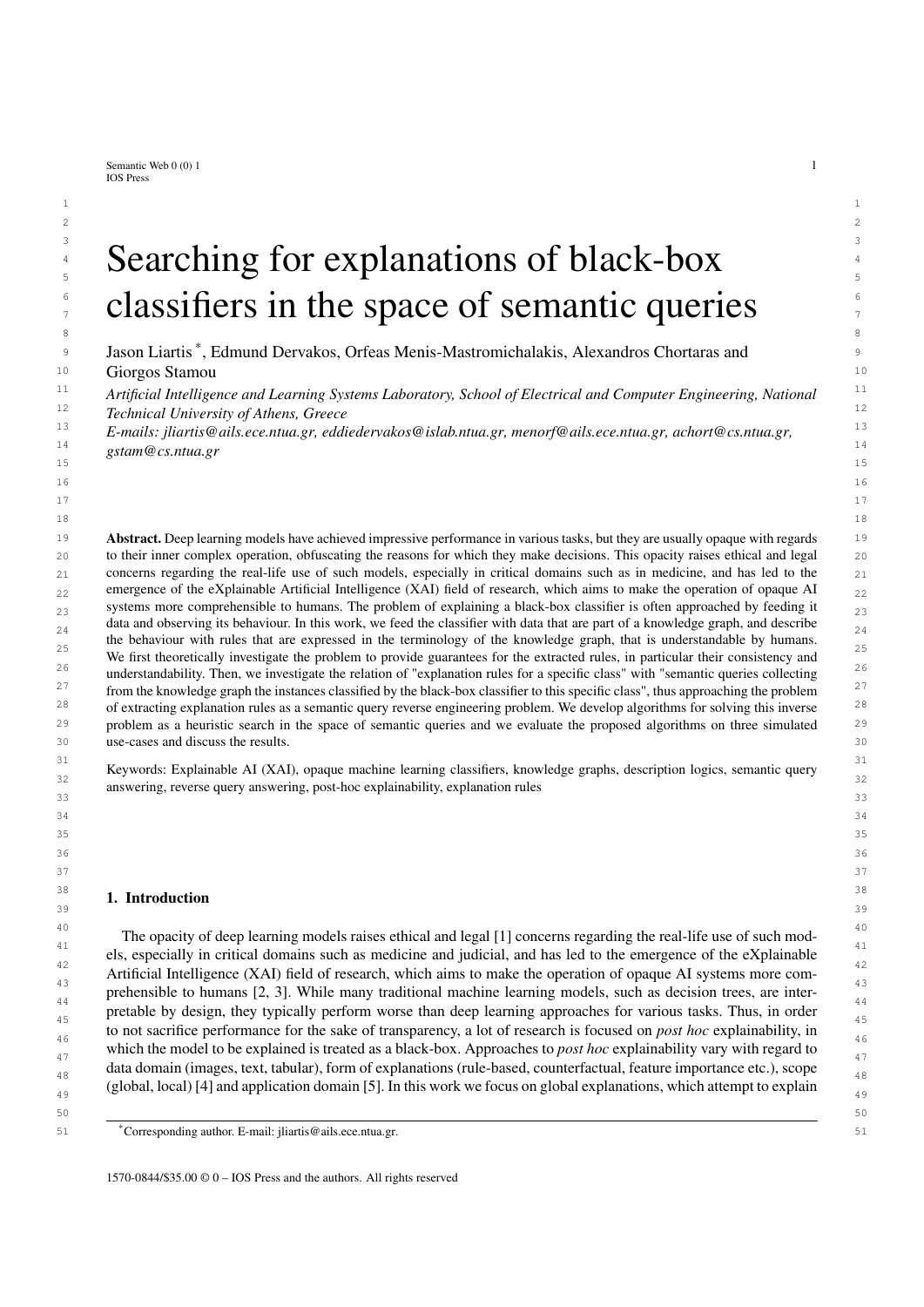4

8 a set of the set of the set of the set of the set of the set of the set of the set of the set of the set of the set of the set of the set of the set of the set of the set of the set of the set of the set of the set of th

1 **1** Finally, a classifier is viewed as a function  $F : D \perp C$ , where D is the classifier's domain (ex. images, audio,  $1$ text), and C is a set of class names (ex. "Dog", "Cat").

#### 5 3. Framework

#### 7 *3.1. A motivating example*

 9 Integration of artificial intelligence methods and tools with biomedical and health informatics is a promising 10 area, in which technologies for explaining machine learning classifiers will play a major role. In the context of 11 the COVID-19 pandemic for example, black-box machine learning audio classifiers have been developed, which, 12 given audio of a patient's cough, predict whether the person should seek medical advice or not [52]. In order to 13 develop trust and use these classifiers in practice, it is important to explain their decisions, i.e. to provide convincing 14 answers to the question "Why does the machine learning classifier suggest to *seek medical advice*?". There are 15 post hoc explanation methods (both global and local) that try to answer this question in terms of the input of the 16 black-box classifier, which in this case is audio signals. Although this information could be useful for AI engineers <sup>17</sup> and developers, it is not understandable to most medical experts and end users, since audio signals themselves are <sup>17</sup> 18 obscure sub-symbolic data. Thus, it is difficult to convincingly meet the explainability requirements and develop the 19 necessary trust to utilize the black-box classifier in practice, unless explanations are expressed in the terminology 20 used by the medical experts (using terms like "sore throat", "dry cough" etc).

 21 In the above context, suppose we have a dataset of audio signals of coughs which have been characterized by 22 medical professionals by using standardized clinical terms, such as "Loose Cough", "Dry Cough", "Dyspnoea", in 23 addition to a knowledge base in which these terms and relationships between them are defined, such as SNOMED- $CT [37]$ . For example, consider such a dataset with coughs from five patients p1; p2; p3; p4; p5 (obviously in practice 24<br>25 We may need a much more extended set of patients) with characterizations from the medical exp 25 we may need a much more extended set of patients) with characterizations from the medical experts: "p1 has a sore 26 throat", "p2 has dyspnoea", "p3 has a sore throat and dyspnoea", "p4 has a sore throat and a dry cough", "p5 has a 27 sore throat and a loose cough". We also have available relationships between these terms as defined in SNOMED-CT 27 28 like "Loose Cough is Cough", "Dry Cough is Cough", "Cough is Lung Finding", and "Dyspnoea is Lung Finding". 29 Now assume that a black-box classifier predicts that p3; p4, and p5 should seek medical advice, while p1 and

 30 p2 should not. Then we can say that: on this dataset, if a patient has a sore throat and a lung finding then it is 31 classified positively by the specific classifier, i.e. the classifier suggests "seek medical advice". Depending on the 32 characteristics of the dataset itself and its ability to cover interesting examples, such an extracted rule could help the 33 medical professional understand why the black-box is making decisions in order to build necessary trust, but also it 34 could help an AI engineer improve the model's performance by indicating potential biases.

35

37

#### 36 *3.2. Explaining opaque machine learning classifiers*

 38 Explanation of opaque machine learning classifiers is based on a dataset that we call *Explanation Dataset* (see 39 Fig. 1), containing *exemplar patterns*, that are actually characteristic examples from the set of elements that the 40 unknown classifier takes as input. Machine learning classifiers usually take as input element features (like the cough 41 audio signal mentioned in the motivating example). The explanation dataset additionally contains a semantic de- 42 scription of the exemplars in terms that are understandable by humans (like "dry cough" mentioned in the motivating 43 example). Taking the output of the unknown classifier (the classification class) for all the exemplars, we construct 44 the *Exemplar Data Classification* information (see Fig. 1) thus we know the exact set of exemplars that are classi- 45 fied by the unknown classifier to a specific class (like the "seek medical advice" class mentioned in the motivating 46 example). Using the knowledge represented in the *Exemplar Data Semantic Description* (see Fig. 1), we define the 47 following *reverse semantic query answering problem*: "given a set of exemplars and their semantic description find 48 *intuitive and understandable* semantic queries that have as certain answers *exactly* this set out of all the exemplars 49 of the explanation dataset". The specific problem is interesting, with certain difficulties and computationally very 50 demanding [40, 43–46]. Here, by extending a method presented in [53] we present an *Explainer* (see Fig. 1) that 50 51 tries to solve this problem, following a *Semantic Query Heuristic Search* method, that searches in the *Semantic*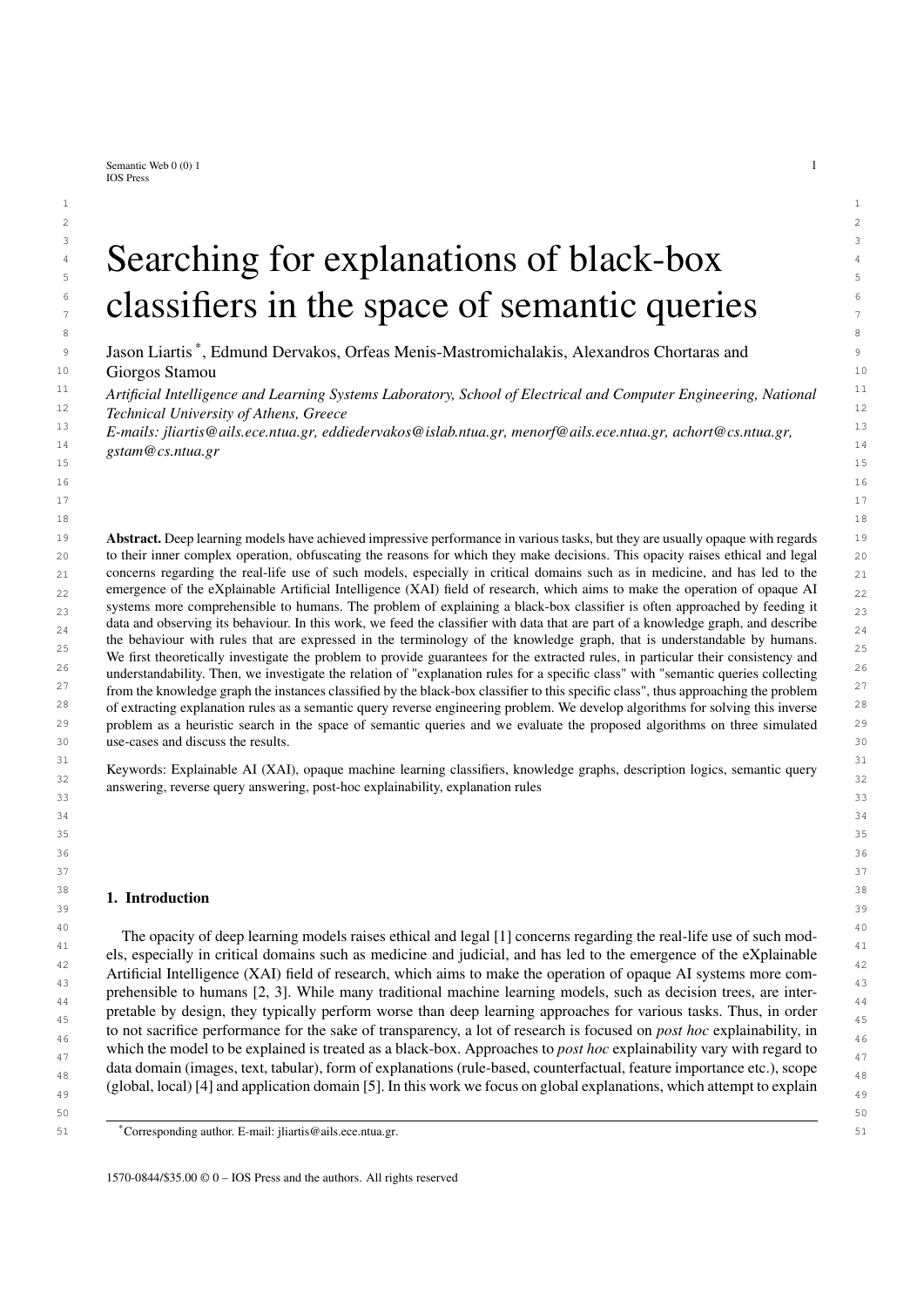

24 24 Fig. 1. A framework for explaining opaque machine learning classifiers  $25$ 

<sup>26</sup> Introductory definitions and interesting theoretical results concerning the above approach are presented in [53]. <sup>26</sup> <sup>27</sup> Here, we reproduce some of them and introduce others, in order to develop the necessary framework for presenting <sup>27</sup> 28 the proposed method. 28

<sup>29</sup> A defining aspect is that the rule explanations are provided in terms of a specific vocabulary. To do this in practice, <sup>29</sup> <sup>30</sup> we require a set of items (exemplar data) which can: a) be fed to a black-box classifier and b) have a semantic <sup>30</sup> <sup>31</sup> description using the desired terminology. As mentioned before, here we consider that: a) the exemplar data has for <sup>31</sup> 32 32 its items all the information that the unknown classifier needs in order to classify them (the necessary *features*), and <sup>33</sup> b) the semantic data descriptions are expressed as Description Logics knowledge bases (see Fig. 1).<sup>33</sup>  $34$ 

**Definition 1** ([46]). Let D be a domain of item feature data, C a set of classes, and  $V = hN$ ; CN; RN *i* a vocabulary  $\frac{35}{25}$ 36 36 *such that* C [ fExemplarg CN*. Let also* EN IN *be a set of* exemplars*. An* explanation dataset E *in terms of* D*,*  $C, V$  *is a tuple*  $E = \frac{\hbar N}{S}$ *i, where*  $M$ : EN ! D *is a mapping from the exemplars to the item feature data, and*<br> $S = \frac{\hbar T}{A}$ *i* is a DL knowledge hase over  $V$  such that Exemplar(a) 2.4 if a 2.5 N, the elements of  $S = hT$ ; A*i* is a DL knowledge base over V such that Exemplar(*a*) 2 A iff *a* 2 EN, the elements of C *do not appear* as  $\frac{38}{2}$  $\sum_{39}$  in S, and Exemplar *and the elements of* EN *do not appear in*  $\overline{I}$ .

<sup>40</sup> Intuitively, an explanation dataset contains a set of exemplar data (i.e. characteristic items in D which can be fed to <sup>41</sup> the unknown classifier) semantically described in terms of a specific vocabulary  $V$ ; the semantic descriptions are in <sup>42</sup> knowledge base S. Each exemplar data item is represented in S by an individual name; these individual names make <sup>42</sup> <sup>43</sup> up the set of exemplars EN, and each one of them is mapped to the corresponding exemplar data item by  $M$ . Because <sup>44</sup> the knowledge encoded in S may involve also other individuals, the Exemplar concept exists to identify exactly those individuals that correspond to exemplar data within the knowledge base. Given a classifier  $F : D \neq C$  and a set of individuals  $\ell$  EN, the positive set (pos-set) of *F* on  $\ell$  for class  $\ell$  2 C is pos(*F*;  $\ell$ ;  $C$ ) = fa 2  $\ell$  :  $F(\mathcal{M}(a)) = Cg$ .<br>Rased on the classifier's prediction on the exemplar data for a class (i.e. the pos-se <sup>47</sup> Based on the classifier's prediction on the exemplar data for a class (i.e. the pos-set) we can produce explanation <sup>47</sup> <sup>48</sup> tules by grouping them according to their semantic description in the explanation dataset.  $\frac{49}{49}$  49

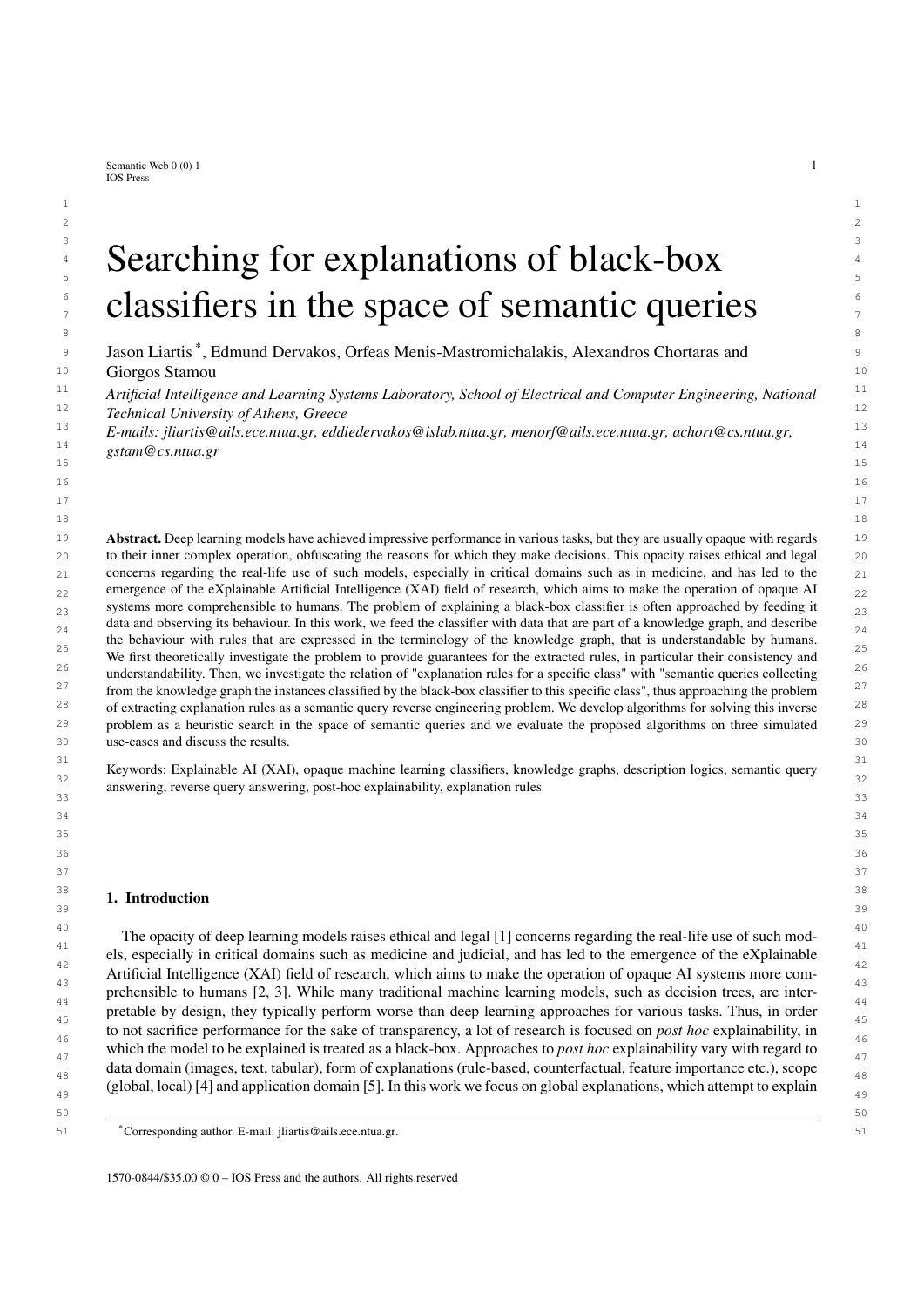$2 \times 2$ 

4 4

1 rule to the contract of the contract of the contract of the contract of the contract of the contract of the contract of the contract of the contract of the contract of the contract of the contract of the contract of the *rule*

**Exemplar(***x***);** *c***<sub>1</sub>;** *c***<sub>2</sub>; : : : ;** *c***<sub>n</sub> !**  $C(x)$  **3** 

where  $c_i$  is an atom  $D(u)$  or  $r(u; v)$ , where  $D \nvert 2 \nvert cN$ ,  $r \nvert 2 \nvert RN$ , and  $u; v$  are variables, is an explanation rule of  $F$  for  $\frac{1}{2}$ <br>because  $C$  over  $F$ . We denote the rule by  $(F \nvert F \nvert C)$  or simply by whenev *c* **class** *C over E*. We denote the rule by  $(F, E, C)$ , or simply by whenever the context is clear. We may also omit<br>**Examplar(x)** from the body since it is a conjunct of any explanation rule. The rule is correct if 7 7 Exemplar(*x*) *from the body, since it is a conjunct of any explanation rule. The rule is* correct *if and only if*

8 a set of the set of the set of the set of the set of the set of the set of the set of the set of the set of the set of the set of the set of the set of the set of the set of the set of the set of the set of the set of th

10 10

 $\mathcal{P}$  60(*S* [ fExemplar  $\vee$  *fa j a* 2 EN*gg* [  $fC(a)$  *j a* 2 pos(*F*; EN; *C*)*g*) *j*=

<sup>11</sup> where fol( $K$ ) *is the first-order logic translation of DL knowledge base* K. <sup>11</sup>

12  $\overline{\phantom{a}}$  12 Explanation rules describe sufficient conditions (the body of the rule) for an item to be classified in the class indicated at the head of the rule by the classifier under investigation. The correctness of a rule indicates that the rule  $_{14}$ covers every  $a \n\geq EN$ , meaning that for each exemplar of S, either the body of the rule is not true, or both the body  $\frac{16}{16}$  and the near of the function. and the head of the rule are true.

<sup>17</sup> **Example 1.** Suppose we have the problem described in the motivating example of Section 3.1 with black-box <sup>17</sup> 18 *classifiers predicting whether a person should seek medical advice based on audios of their cough, and that we* <sup>19</sup> are creating an explanation dataset in order to explain the respective classifiers. The vocabulary used should be <sup>20</sup> designed so that it will produce meaningful explanations to the end-user, which in our case would probably be a doctor or another professional of the medical domain. In this case, it should contain concepts for the different  $21$  22 *medical terms like the findings (cough, sore throat, etc.), and according to the definition of the* explanation dataset*,* 23 *the class categories (seek medical advice, or not) and the concept* Exemplar *as concept names (*CN*). Additionally,* 24 *a role linking patients to the respective findings should exist in the role names (*RN*), and the patients as well as* 25 *the findings themselves would be the individual names (*IN*). Following this, we create the vocabulary (*V*) as shown*  $\mu$ *alow*  $26$ *below:*

- $IN = f p 1; p 2; p 3; p 4; p 5; s 1; s 2; s 3; s 4; s 5; s 6; s 7; s 8g$
- $29$  $20$   $SN = fDryCough; LooseCough; Cough; SoreThroat; LungFinding; Finding; Dyspnoea; MedicalAdvance; DoMach, and NoMach, Eusmenles, C.$  $31$  NoMedicalAdvice; Exemplar $g$   $31$

27 сер*ата на 12* марта 12 марта 22 марта 22 марта 22 марта 22 марта 22 марта 22 марта 22 марта 22 марта 22 марта 22

 $\frac{32}{2}$  and  $\frac{4}{3}$  and  $\frac{1}{3}$  and  $\frac{32}{3}$  $33$  33  $RN = f$ hasFinding $q$ 

*A* 34 *Having the domain* D *(audio signals), the set of classes* C *(MedicalAdvice; NoMedicalAdvice), and the vocabulary* <sup>34</sup><br><sup>35</sup> *V we can now define the explanation dataset*  $F = h\Delta t$  *Si The set of exemplars (FN)* <sup>35</sup> *V we can now define the explanation dataset*  $\overline{E} = \hbar M$ ; S*i. The set of exemplars (EN) in our case contains the*<br><sup>36</sup> **patient individuals of IN** so  $\overline{EN} = 59$ ;  $\overline{PS}$ ;  $\overline{PS}$ ;  $\overline{PS}$ ,  $\overline{SR}$  manning <sup>36</sup> patient individuals of IN, so  $\overline{EN} = f\overline{p}1$ ;  $p2$ ;  $p3$ ;  $p4$ ;  $p5g$ . The mapping  $\overline{M}$  of the explanation dataset links these expansion of the symplexy to the respective and o of each patient. The only thing 37 37 *exemplars to the respective audio of each patient. The only thing that is missing from our explanation dataset is the* 38 38 *knowledge base* S *consisting of an ABox* A *and a TBox* T *. The ABox contains information regarding the patient* 39 39 *audio characterizations from the medical professionals ("*p1 *has a sore throat", "*p2 *has dyspnoea", "*p3 *has a sore* 40 40 *throat and dyspnoea", "*p4 *has a sore throat and a dry cough", "*p5 *has a sore throat and a loose cough") as well* 41 41 *as the assertions regarding the exemplar status of individuals, while the TBox contains relationships between the* 42 42 *medical terms as defined in SNOMED-CT, as shown below:* 43 43

| 44 | $A = f$ Exemplar(p1); Exemplar(p2); Exemplar(p3); Exemplar(p4); Exemplar(p5); has Finding(p1; s1);                        | 44             |
|----|---------------------------------------------------------------------------------------------------------------------------|----------------|
| 45 |                                                                                                                           | 45             |
| 46 | hasFinding( $p2$ ; s2); hasFinding( $p3$ ; s3); hasFinding( $p3$ ; s4); hasFinding( $p4$ ; s5); hasFinding( $p4$ ; s6);   | 46             |
| 47 | hasFinding(p5; s7); hasFinding(p5; s8); SoreThroat(s1); Dyspnoea(s2); SoreThroat(s3);                                     | 47             |
| 48 | Dyspnoea(s4); SoreThroat(s5); DryCough(s6); SoreThroat(s7); LooseCough(s8)g                                               | 48             |
| 49 |                                                                                                                           | 4 <sup>c</sup> |
| 50 | $T = \text{fLooseCough} \vee \text{Cough}$ ; DryCough $\vee$ Cough; Cough $\vee$ LungFinding; LungFinding $\vee$ Finding; | 50             |
| 51 | Dyspnoea $\vee$ Lung Finding; Sore Throat $\vee$ Finding $q$                                                              | 51             |
|    |                                                                                                                           |                |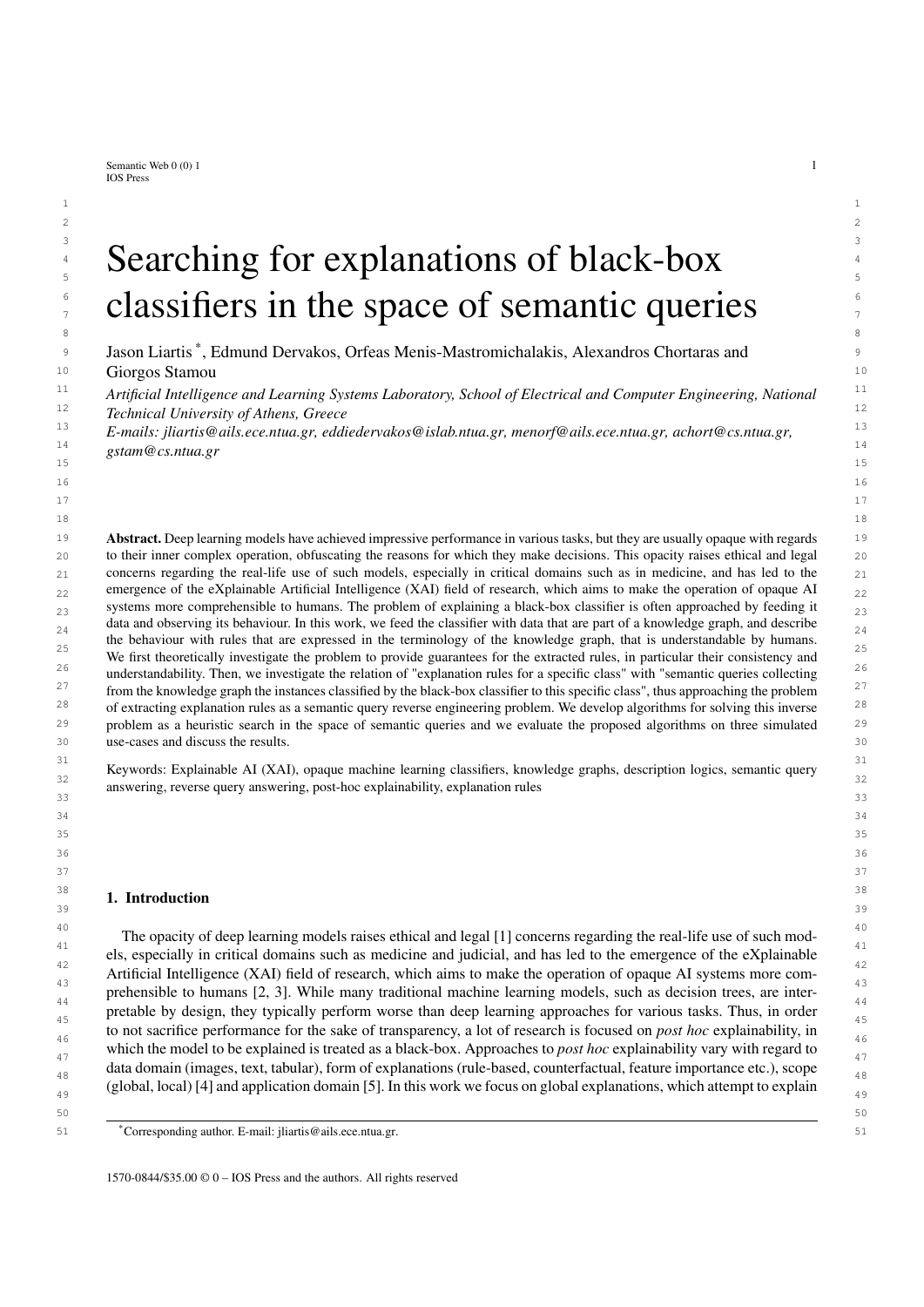1 1 *Now suppose that a black-box classifier <sup>F</sup> predicts that* p3; p4*, and* p5 *should seek medical advice, while* p1 *and* p2 2 2 *don't need to (same as the motivating example of Section 3.1). The explanation rule*

4 4 <sup>1</sup> : Exemplar(*x*); hasFinding(*x*; *<sup>y</sup>*); SoreThroat(*y*); hasFinding(*x*;*z*); LungFinding(*z*) ! MedicalAdvice(*x*)

6 6 *for that classifier based on the explanation dataset* <sup>E</sup> <sup>=</sup> hM; Si *is a correct rule, as well as the explanation rule*

8  $2:$  Exemplar(*x*); hasFinding(*x*; *y*); Cough(*y*) ! MedicalAdvice(*x*); exercise the contract of the contract of the contract of the contract of the contract of the contract of the contract of the contract of the con

10 10 *while the rules*

12 12 <sup>3</sup> : Exemplar(*x*); hasFinding(*x*; *<sup>y</sup>*); SoreThroat(*y*) ! MedicalAdvice(*x*) *and*

 $13$ 14 **14 14 15 Exemplar(***x***); hasFinding(***x***;** *y***); Dyspnea(***y***) ! MedicalAdvice(***x***) 14** 

15 15 are not correct, since  $\text{fol}(S^0) \neq \text{ 1}$  and  $\text{fol}(S^0) \neq \text{ 2}$ , but  $\text{fol}(S^0) \neq \text{ 3}$  and  $\text{fol}(S^0) \neq \text{ 4}$ , where  $S^0 = S$  [ fExemplar  $\vee$  *fa j a* 2 EN*g* [ *fMedicalAdvice(<i>a*) *j a* 2 pos(*F*; EN; MedicalAdvice)*g*.

18 18 As mentioned in Section 2, an instance query is an expression of the form <sup>f</sup>*c*<sup>1</sup>; : : : ; *<sup>c</sup>n*g, an expression that resem-<sup>19</sup> bles the body of explanation rules. By treating the bodies of explanation rules as queries, the problem of computing <sup>19</sup> <sup>20</sup> explanations can be solved as a query reverse engineering problem [46].  $^{20}$ 

**Definition 3** ([46]). Let  $F : D \perp C$  be a classifier,  $E = \hbar \mathcal{M}$ ; Si an explanation dataset in terms of D, C and an  $\mathcal{L}_2$ <br>appropriate vocabulary  $\mathcal{M}$  and  $(F \in C)$ : Examplar(x);  $G : G$ ;  $G$ ;  $G$ ;  $G$ ; an explanati 23 appropriate vocabulary V, and  $(F, E; C)$ : Exemplar $(x); c_1; c_2; \cdots; c_n \mid C(x)$  an explanation rule. The instance 23  $24$  query  $24$ *query*

 $q \doteq f$ **Exemplar** $(x); c_1; c_2; \dots; c_n g$ 

 $28$  *is the* explanation rule query *of explanation rule*  $\,$ .

<sup>29</sup> The relationship between the properties of explanation rules and the respective queries allows us to detect and <sup>29</sup> <sup>30</sup> compute correct rules based on the certain answers of the respective explanation rule queries, as shown in Theorem<sup>30</sup>  $\frac{1}{1}$  31  $\frac{1}{1}$  31  $32$  32 1.

**Theorem 1** ([46]). Let  $F : D \perp C$  be a classifier,  $E = \frac{h}{v}$ ; Si an explanation dataset in terms of D, C and an ap-<br> **Propriate vocabulary**  $V \perp (F \in C)$ : Examplar(x): Gi coi i.e.  $L(Gx)$  an explanation rule, and a the ex 34 propriate vocabulary  $V$ ,  $(F, E, C)$ : Exemplar $(x)$ ;  $c_1$ ;  $c_2$ ;:::;  $c_n$   $\in C(x)$  an explanation rule, and q the explanation 34 35 35 *rule query of . The explanation rule is correct if and only if*

 $\text{cert}(q; S) \quad \text{pos}(F; \text{EN}; C)$ 

 39 Theorem 1 shows a useful property of the certain answers of the explanation rule query of a correct rule (cert(*q*; S) pos(*F*; EN; C)) that can be utilized in order to identify and produce correct rules. Intuitively, an expla-<br>antion rule is correct if all of the certain answers of the respective explanation rule query 41 nation rule is correct, if all of the certain answers of the respective explanation rule query are mapped by  $M$  to data 41 42 which is classified in the class indicated at the head of the rule. However, it is obvious that according to the above 43 we can have correct rules that barely approximate the behaviour of the classifier (e.g. an explanation rule query with 44 only one certain answer that is in the pos-set of the classifier), while other correct rules might exactly match the output of the classifier (e.g. a query *q* for which cert( $q$ ;  $S$ ) = pos( $F$ ;  $EN$ ;  $C$ )). Thus, it is useful to define a *recall* 45<br>metric for explanation rule queries by comparing the set of certain answers with the po 46 metric for explanation rule queries by comparing the set of certain answers with the pos-set of a class *C*:

$$
\text{recall}(q; E; C) = \frac{\text{jcert}(q; S) \setminus \text{pos}(F; EN; C))}{\text{jpos}(F; EN; C)};
$$
\n
$$
\text{18}
$$
\n
$$
\text{19}
$$
\n
$$
\text{19}
$$
\n
$$
\text{19}
$$
\n
$$
\text{19}
$$
\n
$$
\text{19}
$$
\n
$$
\text{19}
$$
\n
$$
\text{19}
$$
\n
$$
\text{19}
$$
\n
$$
\text{19}
$$
\n
$$
\text{19}
$$
\n
$$
\text{19}
$$
\n
$$
\text{19}
$$
\n
$$
\text{19}
$$
\n
$$
\text{19}
$$
\n
$$
\text{19}
$$
\n
$$
\text{19}
$$
\n
$$
\text{19}
$$
\n
$$
\text{19}
$$
\n
$$
\text{19}
$$
\n
$$
\text{19}
$$
\n
$$
\text{19}
$$
\n
$$
\text{19}
$$
\n
$$
\text{19}
$$
\n
$$
\text{19}
$$
\n
$$
\text{19}
$$
\n
$$
\text{19}
$$
\n
$$
\text{19}
$$
\n
$$
\text{19}
$$
\n
$$
\text{19}
$$
\n
$$
\text{19}
$$
\n
$$
\text{19}
$$
\n
$$
\text{19}
$$
\n
$$
\text{19}
$$
\n
$$
\text{19}
$$
\n
$$
\text{19}
$$
\n
$$
\text{19}
$$
\n
$$
\text{19}
$$
\n
$$
\text{19}
$$
\n
$$
\text{19}
$$
\n
$$
\text{19}
$$
\n
$$
\text{19}
$$
\n
$$
\text{19}
$$
\n
$$
\text{19}
$$
\n
$$
\text{19}
$$
\n
$$
\text{19}
$$
\n
$$
\text{19}
$$
\n
$$
\text{19}
$$
\n
$$
\text{19}
$$
\n
$$
\text{19}
$$
\n
$$
\text
$$

51 **assuming that pos(***F***; EN;** *C***)**  $\neq$  **?.** 51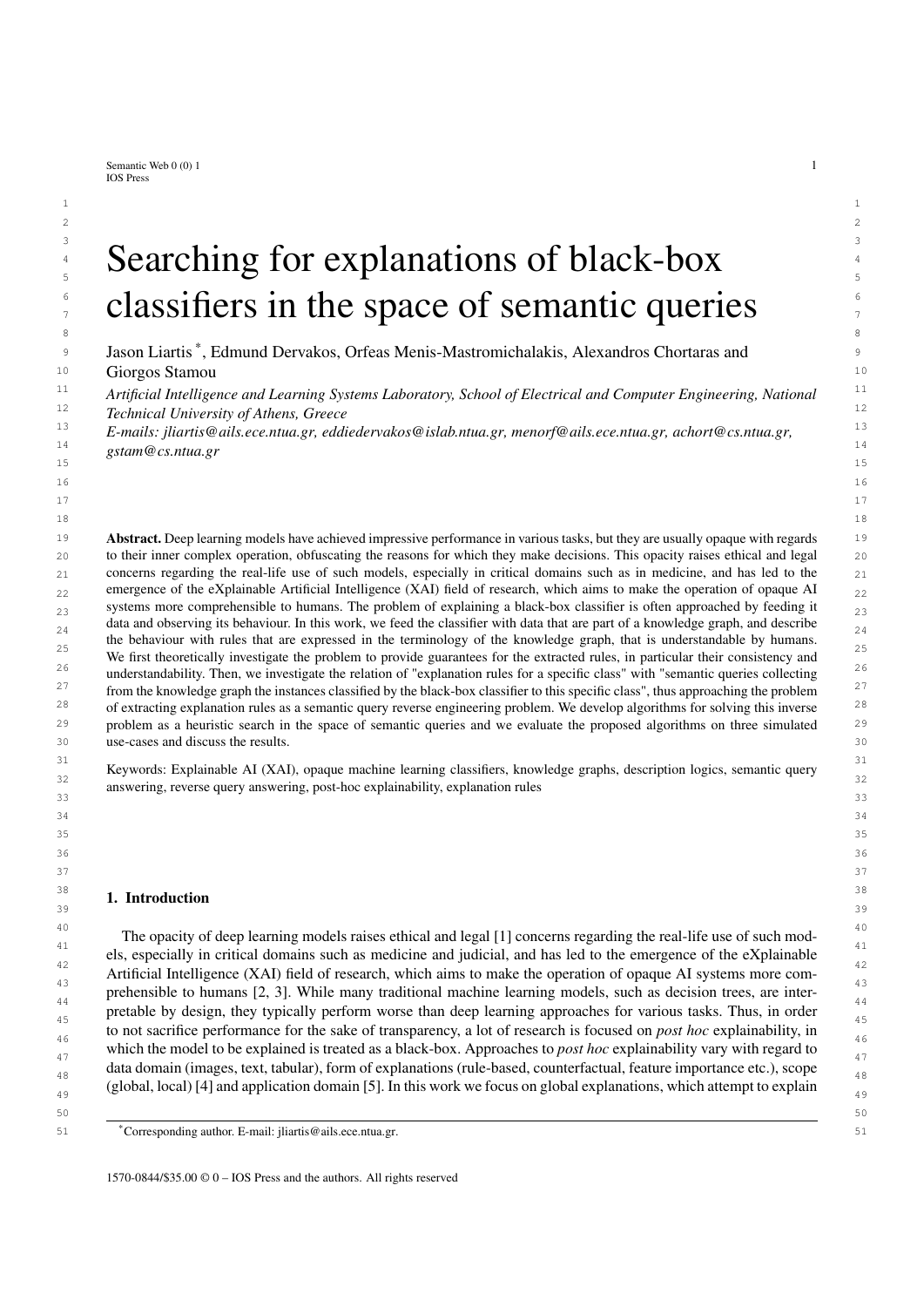1 1 Example 2. *Continuing Example 1, we can create the explanation rule queries of the respective explanation rules of* 2 the example as follows:  $q_1(x) = f$ Exemplar(*x*); has Finding(*x*; *y*); SoreThroat(*y*); has Finding(*x*; *z*); LungFinding(*z*)*g* 2<br>as the explanation rule query of  $\overline{a}$ ,  $q_2(x) = f$ Exemplar(*x*); has Finding(*x*; *y* 3 as the explanation rule query of  $_1$ ,  $q_2(x) = f$ Exemplar $(x)$ ; has Finding $(x, y)$ ; Cough $(y)$ g as the explanation rule  $\frac{1}{2}$ <br>21 avery of  $e$ ,  $q_2(x) = f$ Exemplar $(x)$ ; has Finding $(x, y)$ ; SoreThroat $(y)$ g as the explanation *query of* 2*,*  $q_3(x) = f$ Exemplar(x); has Finding(x; y); SoreThroat(y)g *as the explanation rule query of* 3*, and* 4<br>*a*  $q_1(x) - f$ Exemplar(x); has Finding(x; y); Dyspposa(y)g *as the explanation rule query of*  $q_4(x) = f$ Exemplar(*x*); has Finding(*x*; *y*); Dyspnoea(*y*)*g as the explanation rule query of* 4*.*<br>For the above queries we can retrieve their certain answers over our knowledge hase S, and get cert(*g*, S) – 6 6 For the above queries we can retrieve their certain answers over our knowledge base S, and get  $\text{cert}(q_1; S) = 6$ <br> $\text{fast} \cdot \text{pA} \cdot \text{pB} \cdot \text{text}(q_2; S) = \text{fast} \cdot \text{pA} \cdot \text{pB} \cdot \text{text}(q_2; S) = \text{fast} \cdot \text{pA} \cdot \text{pB} \cdot \text{text}(q_2; S) = \$  $\tau$   $\hat{p}3$ ; p4; p5g, cert( $q_2$ ; S) = fp4; p5g, cert( $q_3$ ; S) = fp1; p3; p4; p5g, and cert( $q_4$ ; S) = fp2; p3g.<br>With respect to the classifier E of Example 1, for which pos(E EN: MedicalAdvice) – fp3; p4; p5g, we see *8* With respect to the classifier *F* of Example 1, for which  $pos(F; EN; MedicalAdvice) = fp3; p4; p5g$ , we see, as a set be proposition to the theorem states that for the correct rules a and a it holds that  $cert(a: S)$  and  $FEN: MedicalAdvice)$  and

*the theorem states, that for the correct rules*  $\frac{1}{2}$  *and*  $\frac{1}{2}$  *it holds that* cert( $q_1$ ; S)  $\frac{1}{2}$  pos(*F*; EN; MedicalAdvice) *and*  $\frac{1}{2}$  *and*  $\frac{1}{2}$  *that are not correct it holds that* cert( $q_$ 10  $\text{cert}(q_2; S)$   $\text{pos}(F; EN; MedicalActive), while for rules \frac{1}{3}$  *and*  $\frac{1}{4}$  *that are not correct, it holds that*  $\text{cert}(q_3; S)$  6  $\frac{1}{11}$   $\text{pos}(F; EN: MedicalAdvance)$  *respectively* 11 11 pos(*F*; EN; MedicalAdvice)*, and* cert(*q*4; <sup>S</sup>) 6 pos(*F*; EN; MedicalAdvice)*, respectively.*

<sup>12</sup> 12 The explanation framework described in Section 3.2 provides the necessary expressivity to formulate accurate 13 and understandable rules even for complex problems [46]. However, some limitations of the framework, like only <sup>14</sup><br>working with correct rules, can be a significant drawback for explanation methods built on top of that. An explana-<sup>15</sup> tion rule query might not be correct due to the existence of individuals in the set of certain answers which are not  $\frac{16}{15}$  in the pos-set. By viewing these individuals as exceptions to a rule, we are able to provide as an explanation a rule  $\frac{17}{12}$  that is not correct, along with the exceptions which would make it correct if they were omitted from the explana-<sup>18</sup> tion dataset; the exceptions could provide useful information to an end-user about the classifier under investigation.  $19$   $\frac{1}{2}$   $\frac{1}{2}$   $\frac{1}{2}$   $\frac{1}{2}$   $\frac{1}{2}$   $\frac{1}{2}$   $\frac{1}{2}$   $\frac{1}{2}$   $\frac{1}{2}$   $\frac{1}{2}$   $\frac{1}{2}$   $\frac{1}{2}$   $\frac{1}{2}$   $\frac{1}{2}$   $\frac{1}{2}$   $\frac{1}{2}$   $\frac{1}{2}$   $\frac{1}{2}$   $\frac{1}{2}$   $\frac{1}{2}$   $\frac{1}{2}$   $\frac{1}{$  $\frac{20}{20}$  Thus, we extend the existing framework by introducing correct explanation rules with exceptions, as follows:

**21 Definition 4.** Let  $F : D \neq C$  be a classifier,  $E = \frac{\hbar N}{S}$  an explanation dataset in terms of  $D, C$  where  $S$  is a  $\frac{21}{S}$ <br>**22 browledge**  $S = \hbar \Delta : T \neq F$  the set of examples of  $F$  and let  $FX$  be a subset of *knowledge*  $S = hA$ ; T i, EN the set of exemplars of E, and let EX be a subset of EN. An explanation rule  $(F, E; C)$  22<br>*a* is correct with exceptions EX for class C if the rule  $(F, F^0, C)$  is correct for class C where  $F^0 =$ *is correct with exceptions*  $\mathsf{EX}$  *for class C if the rule*  $(F, E^0; C)$  *is correct for class C*, where  $E^0 = \hbar N$ ;  $S^0$ *i*, and  $S^0$  and  $S^0 = \hbar \Delta^0$ . *Ti, and*  $\Delta^0 = \Delta n$   $\mathsf{Exemplar}(a)$   $|a|$   $2\mathsf{EX}$  $a$ 24 *is the knowledge*  $S^{\theta} = hA^{\theta}$ ; *T i*, and  $A^{\theta} = A$  n fExemplar(*a*)*ja* 2 EX*g*.

<sup>25</sup><br>Since we allow exceptions to explanation rules, it is useful to define a measure of precision of the corresponding  $26$  explanation rule queries as  $27$   $27$ 

$$
28\n29 precision(q; E; C) = \frac{jcert(q; S) \setminus pos(F; EN; C)j}{jcert(q; S)j}.
$$
\n<sup>28</sup>\n<sub>29</sub>\n<sub>30</sub>

 $\frac{31}{32}$  if cert(*q*; *S*)  $\acute{\theta}$  ? and precision(*q*; *E*; *C*) = 0 otherwise.<br>
Obviously if the precision of a rule query is 1 then it represents a correct rule, otherwise it is correct with <sup>32</sup> Obviously, if the precision of a rule query is 1, then it represents a correct rule, otherwise it is correct with <sup>33</sup> exceptions. Furthermore, we can use the Jaccard similarity between the set of certain answers of the explanation  $34$   $1.3$   $1.3$   $1.4$   $1.3$   $1.4$   $1.3$   $1.4$   $1.4$   $1.4$   $1.4$   $1.4$   $1.4$   $1.4$   $1.4$   $1.4$   $1.4$   $1.4$   $1.4$   $1.4$   $1.4$   $1.4$   $1.4$   $1.4$   $1.4$   $1.4$   $1.4$   $1.4$   $1.4$   $1.4$   $1.4$   $1.4$   $1.4$   $1.4$   $1.4$   $1.4$   $1.4$  rule query and the pos-set, as a generic measure which combines recall and precision to compare the two sets of  $\frac{35}{35}$  $36$ interest as:

$$
degree(q; E; C) = \frac{/cert(q; S) \setminus pos(F; EN; C))}{/cert(q; S) / pos(F; EN; C))}.
$$
\n<sup>37</sup>

40 40 Example 3. *The rules* <sup>3</sup> *and* <sup>4</sup> *of Example 2 that are not correct; they are correct with exceptions. Table 1 shows* 41 41 *the precision, recall, and degree metrics of the explanation rule queries of Example 2 along with the exceptions* EX 42 42 *of the respective rules.*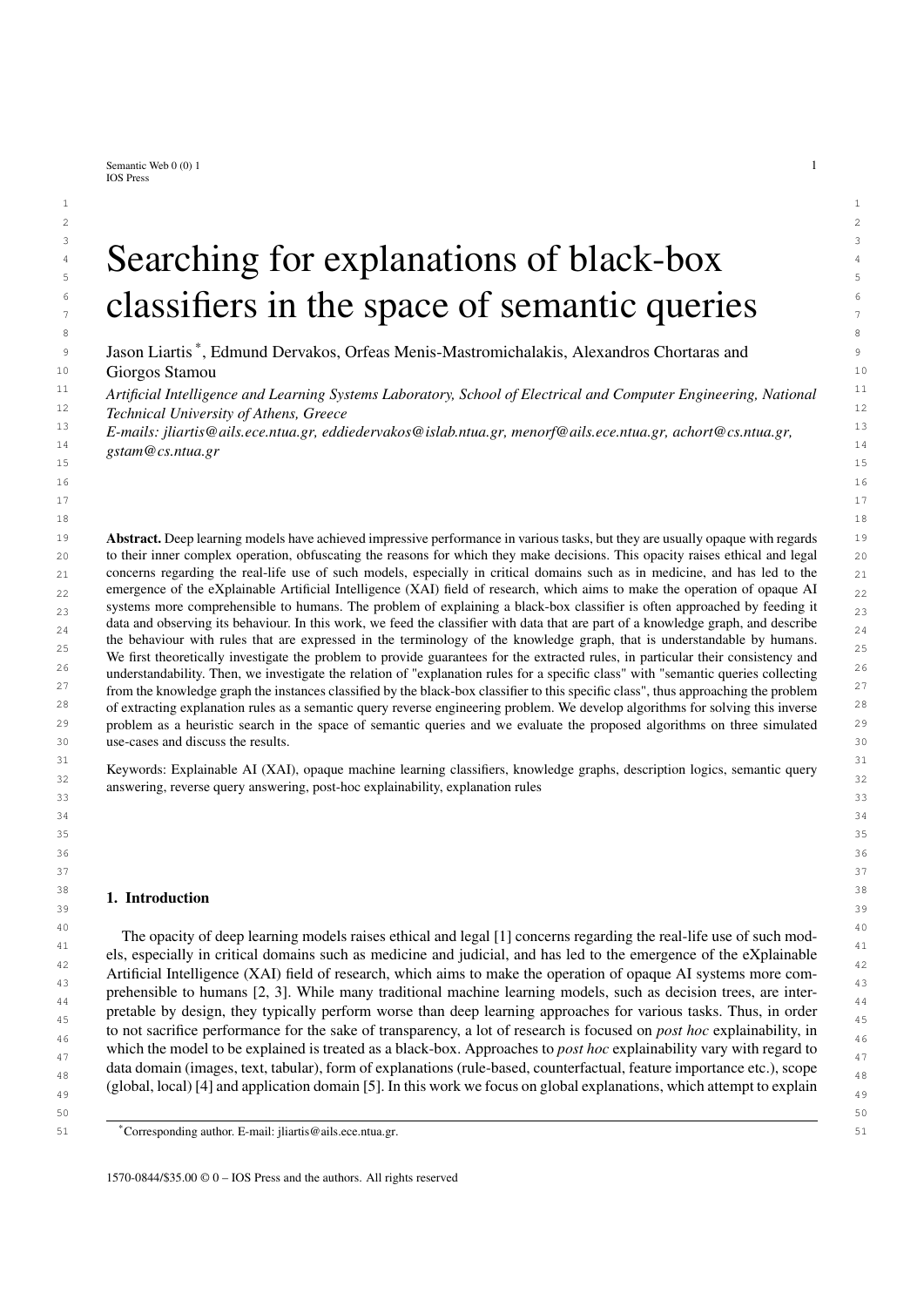|  |                |                |        |           |        | Metrics and Exceptions of the example Explanation Rules and the respective Explanation Rule Queries. |
|--|----------------|----------------|--------|-----------|--------|------------------------------------------------------------------------------------------------------|
|  | Rule           | Ouery          | Recall | Precision | Degree | Exceptions (EX)                                                                                      |
|  |                | $q_1$          | 1.0    | 1.0       | 1.0    |                                                                                                      |
|  | $\overline{2}$ | $q_2$          | 0.67   | 1.0       | 0.67   |                                                                                                      |
|  | 3              | $q_3$          | 1.0    | 0.75      | 0.75   | $\{p1\}$                                                                                             |
|  |                | q <sub>4</sub> | 0.33   | 0.5       | 0.25   | ${p2}$                                                                                               |

1 1 Table 1 Metrics and Exceptions of the example Explanation Rules and the respective Explanation Rule Queries.

### 10 **4. Computation of Explanations** 10

12 From section Section 3, we understand that the problem that we try to solve is closely related to the query reverse 12 13 engineering problem, since we need to compute queries given a set of individuals. However, since in most cases there 13 <sup>14</sup> is not a single query that fits our needs (have as certain answers the pos-set of the classifier), we need to find (out <sup>14</sup> 15 15 of all the semantic queries that have a specific certain answer set) a set of queries that *nicely* describe the classifier 16 16 under investigation (approximate its output) in an understandable and intuitive way. Therefore, the problem can also <sup>17</sup> be seen as a heuristic search problem. The duality of rules and queries within our framework, reduces the search of <sup>17</sup> 18 18 correct rules (with exceptions) to the search of queries that contain elements of the pos-set in their certain answers. 19 19 Reverse engineering queries for subsets of EN is challenging for the following reasons:

<sup>20</sup> - The subsets of EN for which there exists a correct rule query  $(T \mid I \mid EN)$ ; there exists *q* s.t. cert $(q; S) = Ig$   $^{20}$   $^{21}$   $^{22}$ 21 can potentially be exponentially many  $(2^{jENj})$ .

22 22 -<sup>22</sup> - The Query Space i.e. the set containing all queries that have non-empty certain answer set ( $f\overline{q}$  j cert( $q$ ; S) \  $^{22}$ <br>  $\overline{F}N \leq 2q$  can potentially be infinite [A6] EN  $\neq$  ? *g*) can potentially be infinite [46].

<sup>24</sup> - For any subset *I* of EN, the number of queries s.t. cert(*q*; S) = *I* can be zero, positive or infinite. <sup>24</sup><br>- Computing the certain answers of arbitrary queries can be exponentially slow, so it is computational

 $\frac{25}{25}$  – Computing the certain answers of arbitrary queries can be exponentially slow, so it is computationally pro-26 **19.**  $\frac{1}{26}$  **26 19. 19. 19. 19. 19. 19. 19. 19. 19. 19. 19. 19. 19. 19. 19. 19. 19. 19. 19. 19. 19. 19. 19. 19. 19. 19. 19. 19.**  hibitive to evaluate each query under consideration while exploring the query space.

28 28 The difficulties described above are addressed in the following ways:

- $\frac{29}{28}$  In this paper, we only consider knowledge bases of which the TBox can be eliminated (such as RL [54]; see  $\frac{29}{28}$ <sup>30</sup> also the last paragraph of this section). This enables us to create finite queries that contain all the necessary  $31$   $31$   $32$   $33$ conjuncts to fully describe each individual. We are then able to merge those queries to create descriptions of  $\frac{32}{32}$ successively larger subsets of EN.
- $\frac{33}{21}$  We do not directly explore the subsets of EN for which there exists a correct rule query, and the computation <sup>34</sup> of certain answers is not required for the algorithms. Instead, we explore the Query Space blindly, but heuris-<sup>35</sup> 35 tically. We create queries that are guaranteed to be within the Query Space and are also guaranteed to contain <sup>36</sup> heuristically selected individuals in their certain answers, without knowing their exact certain answers. The <sup>37</sup> heuristic we employ, aids us in selecting similar individuals to merge. Intuitively, this helps us create queries 38 38 that introduce as few as possible unwanted certain answers.
- $\frac{39}{20}$  We are not concerned with the entire set of queries with non-empty sets of certain answers, but only with <sup>40</sup> queries which have specific characteristics in order to be used as explanations. Specifically, the queries have 41 and 19 and 19 and 19 and 19 and 19 and 19 and 19 and 19 and 19 and 19 and 19 and 19 and 19 and 19 and 19 and 19 and 19 and 19 and 19 and 19 and 19 and 19 and 19 and 19 and 19 and 19 and 19 and 19 and 19 and 19 and 19 an to be short in length, with no redundant conjuncts, have as certain answers elements of the pos-set of the class  $\frac{42}{42}$ under investigation, and as few others as possible.
- <sup>43</sup><br>
 The proposed algorithms guarantee that given a set *I*, if a query *q* exists s.t. cert(*q*; *S*) = *I*, then the algorithms<br>
will find at least one such query. If there do not exist such queries then, since the c  $\frac{44}{100}$  will find at least one such query. If there do not exist such queries then, since the computation of certain answers <sup>45</sup> is not involved in the algorithms, the result of the heuristic search will be a "good guess" of queries which have  $\frac{46}{10}$  similar answer sets to *I*. If there exist infinite such queries, then we do not have a guarantee that we have found  $\frac{47}{100}$   $\frac{47}{100}$   $\frac{47}{100}$   $\frac{47}{100}$   $\frac{47}{100}$   $\frac{47}{100}$   $\frac{47}{100}$   $\frac{47}{100}$   $\frac{47}{100}$   $\frac{47}{100}$   $\frac{47}{100}$   $\frac{47}{100}$   $\frac{47}{100}$   $\frac{47}{100}$   $\frac{47}{100}$   $\frac{47}{100}$   $\frac{47}{100}$  the shortest, most understandable one, however the proposed algorithms take care to create queries with few  $\frac{1}{48}$  $\frac{49}{49}$ variables (see Alg. 2 and section 4.3.2).

50 50 In the following we describe the proposed algorithms for computing explanations. The core algorithm, which is 51 51 outlined as Alg. 1 and we call KGrules-H, takes as input an atomic ABox A and a set of individual names *I*, and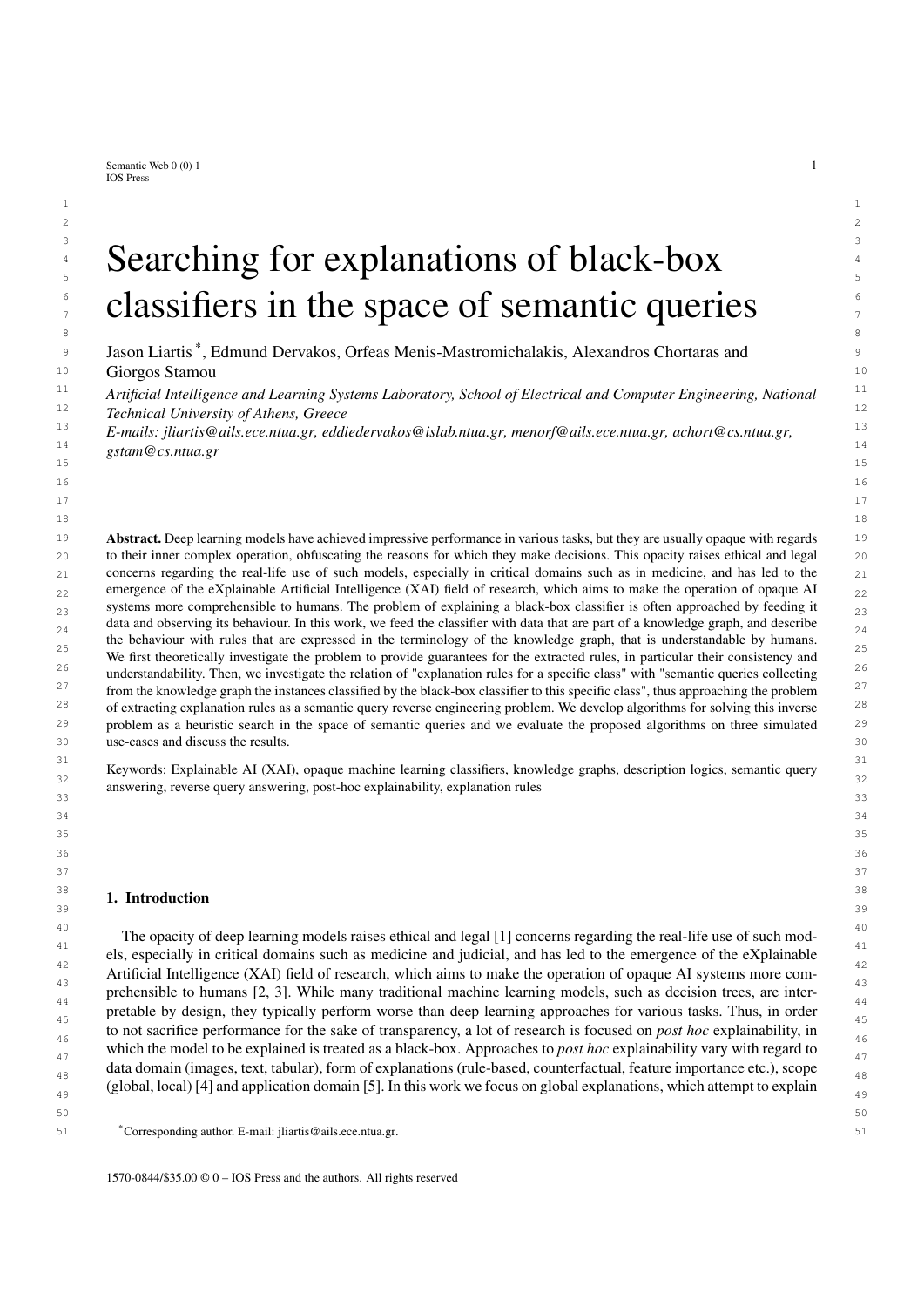*J. Liartis et al. / Searching for explanations of black-box classifiers in the space of semantic queries* 11

5

1 produces a list of queries. It is assumed that both  $\triangle$  and  $I$  are obtained from an explanation dataset  $E$ . In particular, 2 *I* is a subset of the respective EN corresponding to a pos-set of a classifier to *F* be explained for some class *C*, i.e.  $\beta$  3  $\beta$  pos(*F*; EN; *C*), and *A* is an atomic ABox containing all the available knowledge about the individuals in *I* encoded  $\beta$  in the knowledge base of *F*. The output queries are intended to serve as explanati 4 in the knowledge base of E. The output queries are intended to serve as explanation rule queries for class *C*.

#### 6 Algorithm 1: KGRULES-H

|        | THE CHAMBER IN RONCEED IN                                                                              |    |
|--------|--------------------------------------------------------------------------------------------------------|----|
| $\,$ 8 | <b>Input:</b> An atomic ABox $\land$ and a set of individual names $I$ .                               | 8  |
| 9      | <b>Output:</b> A list of queries $S$ .                                                                 | 9  |
| 10     | 1 S                                                                                                    | 10 |
| 11     | $fMSQ(a; A)$   $a$ 2 I }<br>2L                                                                         | 11 |
| 12     | 3 while $ L  > 2$ do                                                                                   | 12 |
| 13     | $\arg\min_{q: q^0 \geq L; \, q \in q^0} \textsf{QueryD}$ issimilarity $(q; q^0)$<br>$q_A$ ; $q_B$<br>4 | 13 |
| 14     | Merge $(q_A; q_B)$<br>q                                                                                | 14 |
| 15     | $(L \cap f q_A; q_B g)$ [ fqg<br>L<br>6                                                                | 15 |
| 16     | append $q$ to $S$                                                                                      | 16 |
| 17     | 8 end                                                                                                  | 17 |
| 18     | 9 return $S$                                                                                           | 18 |

 21 The algorithm starts by initializing an empty list of queries *S* , and by creating an initial description for each  $_{22}$  individual in *I* in the form of a most specific query (MSQ). A detailed definition of a MSQ is given in Section 4.1;  $_{22}$ 23 intuitively, an MSQ of an individual *a* for an ABox  $A$  is an instance query *q* that captures the maximum possible  $\frac{23}{2}$ information about *a* and is such that  $a \neq 0$  cert(MSQ( $q$ ; A)). Given these descriptions, one for each individual, which  $a_1$  25 are added in a set *L*, the algorithm then tries to combine the elements of *L* in order to generate more general  $_{26}$  descriptions. In particular, at each iteration of the while loop, it selects two queries from *L* and merges them. The  $_{26}$  $_{27}$  queries to be merged are selected based on their dissimilarity; two least dissimilar queries are selected and merged.  $_{27}$  $_{28}$  The intuition is that by merging relatively similar queries, the resulting queries will continue to be "as specific as  $_{28}$  $_{29}$  possible" since they will generalize out the limited dissimilarities of the original queries. In Section 4.2 we discuss  $_{29}$  $_{30}$  how dissimilarity is estimated, and in Section 4.3 we describe two alternative approaches for merging queries.  $_{30}$ Given two queries  $q_A$ ;  $q_B$  that have been selected as least dissimilar, the algorithm merges them by constructing  $\frac{31}{2}$ <br>2. **a new instance query**  $a = \text{Mereo}(a_i; a_i)$  **such that**  $\text{cert}(a_i; a_i) = \text{cert}(a_i; a_i)$  $\text{Text}(a_i; a_i)$ **. T** a new instance query  $q = \text{Merge}(q_A; q_B)$  such that cert( $q$ ; A) cert( $q_A$ ; A) [ cert( $q_B$ ; A). The newly created  $q_A$ ; and  $q_B$  and  $q_B$  and  $q_B$  and  $q_B$  and  $q_B$  and  $q_B$  and  $q_B$  and  $q_B$  and  $q_B$  and  $q_B$  and  $q_B$  and  $q_B$  query replaces the ones it was merged from in *L*, and is also appended to *S*. Once the queries to be merged have  $33$  been exhausted, Alg. 1 terminates by returning the list *S* which will contain  $jIj \t1$  instance queries, the results of  $34$  35 each merging step in order of creation. Thus, the queries can be considered to be *S* in some decreasing order of **Solution** "specificness", although the actual order depends on the order the elements in *L* are considered.

19

 37 If the queries in *S* have subsets of *I* as their certain answers, given that we have assumed that *I* is the pos-set of 38 a classifier for some class *C*, the queries can be treated as candidate explanation rule queries for *C*. In this case, the 39 queries can be interpreted as explanation rule queries, converted to the respective explanation rules, and presented 39 40 as explanations. In general, however, there is no guarantee that the certain answers of a merged query will be a 41 subset of *I*. In this case, which is the typical case, the computed explanation rules will be rules with exceptions. In 42 Section 4.3 we prove some optimality results for one of the merging methods, the query least common subsumer 43 (QLCS). In particular, if there is a correct explanation rule (without exceptions), then we are guaranteed to find the 44 corresponding explanation rule query, using the QLCS.

 45 As mentioned above, Alg. 1 works on the assumption that all available knowledge about the relevant individuals *I* 46 is encoded in a (finite) atomic ABox A. This is essential for the computation of the MSQs. Given that the knowledge base associated with an explanation dataset is in general of the form  $hT$ ; Ai, this assumption means that if the 47<br>original knowledge involves a non-empty TBox  $\overline{L}$  it has to be eliminated before applying Alg. 1. Th 48 original knowledge involves a non-empty TBox  $T$ , it has to be eliminated before applying Alg. 1. This poses certain 48 49 restrictions on the applicability of Alg. 1, namely that if the original knowledge of the explanation dataset is indeed 50 of the form  $hT$ ; Ai with  $T \leftrightarrow f$ , it should be possible to be transformed through TBox elimination to an equivalent 50<br>51 w.r.t. query answering finite assertional-only knowledge base  $A^{\theta}$  such that cert(*a*;  $hT \cdot A$ 51 w.r.t. query answering finite assertional-only knowledge base  $A^{\theta}$ , such that cert $(q; \hbar \vec{r}; A i)$  = cert $(q; \hbar; A^{\theta} i)$  for 51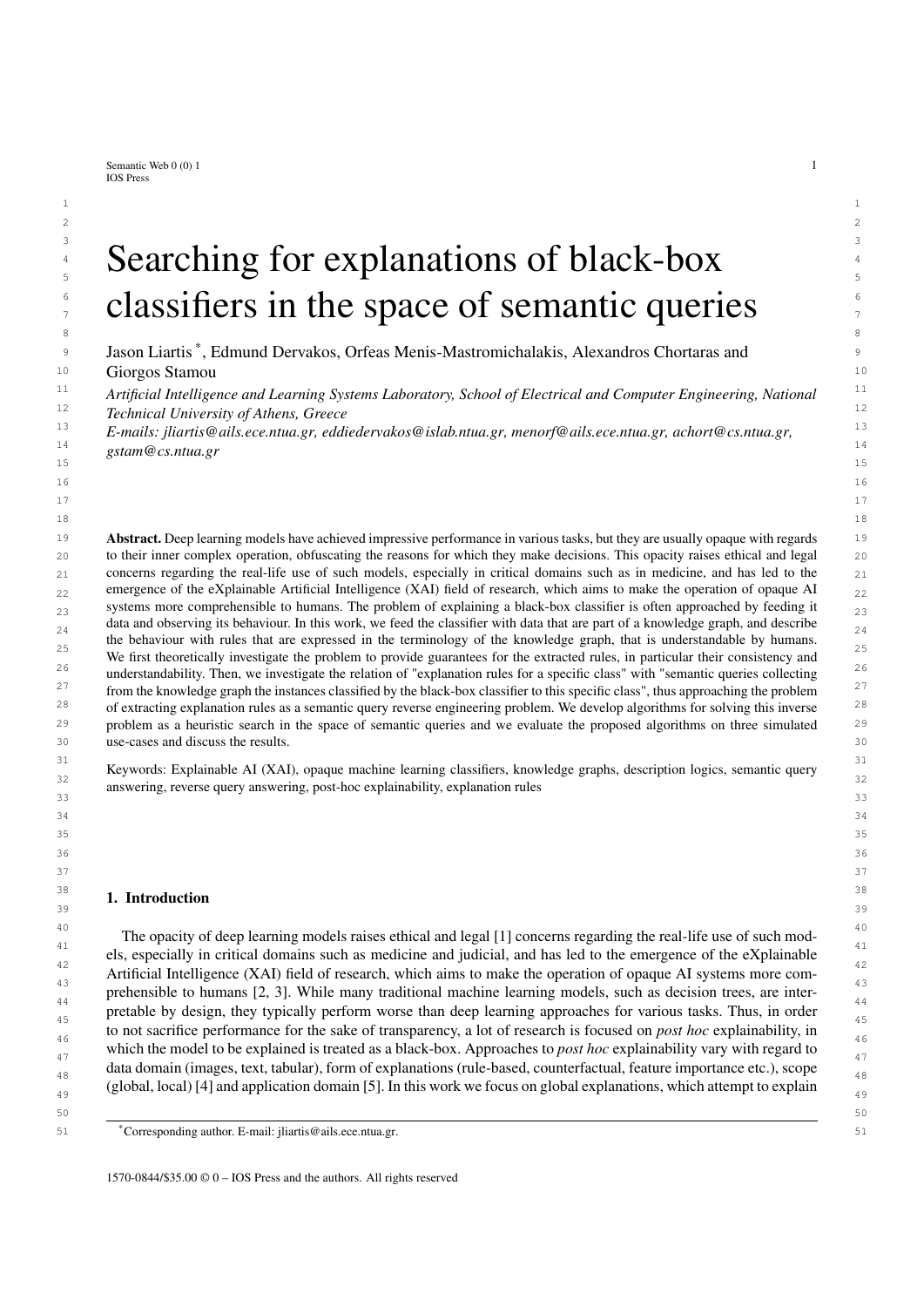3 3 then iteratively applying them on the knowledge base until no more assertions can be generated. Materialization is 4 possible, e.g. for Description Logic Programs and the Horn-SHI Q DL dialect. Finite materialization may not be 5 5 possible even for low expressivity DL dialects, such as DL-Lite. [55, 56]

### 7 7 *4.1. Most Specific Queries*

<sup>9</sup> As mentioned above, intuitively, a *most specific query* (MSQ) of an individual *a* for an atomic ABox *A* encodes <sup>10</sup> the maximum possible information about *a* provided by A. It is defined as a least query in terms of subsumption <sup>10</sup> <sup>11</sup> which has *a* as a certain answer; in particular, a query *q* is a MSQ of an individual *a* for an atomic ABox *A* iff <sup>11</sup> <sup>12</sup> *a* 2 cert(*q*; A) and for all  $q^{\theta}$  such that *a* 2 cert( $q^{\theta}$ ; A) we have  $q$  6*s*  $q^{\theta}$ . <sup>12</sup> <sup>13</sup> **6 12 6 12 6 12 6 12 6 12 6 12 6 12 6 12 6 6 12 6 12 6 12 6**

 $6$ 

8 a set of the set of the set of the set of the set of the set of the set of the set of the set of the set of the set of the set of the set of the set of the set of the set of the set of the set of the set of the set of th

<sup>13</sup> Following the subsumption properties, MSQs are unique up to syntactical equivalence. In Alg. 1 it is assumed<sup>13</sup> that MSQ(*a*; A) represents one such MSQ of *a* for A. Since A is finite, a MSQ is easy to compute. This can be done<br>by viewing A as a graph taking the connected component of that graph that contains node *a* and converti <sup>15</sup> by viewing  $\hat{A}$  as a graph, taking the connected component of that graph that contains node  $\hat{a}$ , and converting it into <sup>16</sup> a graph representing a query by replacing all nodes (which in the original graph represent individuals) by arbitrary, 17 17 distinct variables, taking care to replace node *a* by variable *x*.  $\sim$  18

**Theorem 2.** Let A be a finite atomic ABox over a vocabulary  $\hbar CN$ ; RN; IN*i*, *a* an individual in IN, and conn(*a*; A) is 20 20 *the connected component of the ABox graph of* A *containing a. Let also q be an instance query with query graph* 21 *G. If there exists an isomorphism*  $f : G \perp \text{conn}(a; A)$  *such that*  $f(x) = a$ *, then*  $q$  *is an MSQ of a for*  $A$ *.* 21

22  $\sim$  22

*Proof.* Let *l* be the interpretation such that  $\Delta^1 = IN$ ,  $a^1 = a$  for all  $a \neq IN$ ,  $C^1 = fa \neq C(a) \neq Ag$ , for all  $a \neq 3$ 24 *C* 2 CN, and  $r' = f(a; b)$  j  $r(a; b)$  2 Ag for all  $r$  2 RN. Clearly, *l* is a model of A, and it is easy to see that 24<br>25 cert(*a*; A) – ans (*a*; A) for any query *a* where ans (*a*; A) are the answers to *a* under the 25 cert(*q*; A) = ans<sub>I</sub>(*q*; A) for any query *q*, where ans<sub>I</sub>(*q*; A) are the answers to *q* under the interpretation I. Because 25 of this identity, we can without loss of generality, restrict ourselves to this I w.r. 26 of this identity, we can, without loss of generality, restrict ourselves to this *l* w.r.t. cert(*q*; A). 26<br>27 Since f gritts we can construct for a the match  $\Delta V(\mathbf{r}) = \mathbf{r}(\mathbf{r})^T \mathbf{r}$  is follows that  $\Delta V(\mathbf{r$ 

<sup>27</sup> Since *f* exists, we can construct for *q* the match : var(*q*) ! IN, such that  $(u) = f(u)$ . It follows that  $(x) = a$ , <sup>27</sup> and so *a* 2 cert(*q*; A). Let  $q^0$  be a query with query graph  $G^0$  such that *a* 2 cert( $q^0$ ; A). Since *a* is an answer of  $q^0$ , <sup>28</sup><br> $G^0$  must be homomorphic to A by a homomorphism *a* such that  $q(x) = q$ . Since ho <sup>29</sup>  $G^{\theta}$  must be homomorphic to A by a homomorphism *g* such that  $g(x) = a$ . Since homomorphisms preserve edges <sup>30</sup> and  $q^{\theta}$  is connected, the image of  $G^{\theta}$  under *g* is a subgraph of conn(*a*; *A*). Then  $h = g f^{-1}$  is a homomorphism<sup>30</sup><sup>31</sup> from  $G^{\theta}$  to *G* with  $h(x) = x$  Thus  $g \circ g g^{\theta}$  as a subgraph of conn(*a*; *A*). T  $\int_0^{31}$  from  $G^{\emptyset}$  to *G* with  $h(x) = x$ . Thus,  $q \circ s q^{\emptyset}$ .  $32$  and  $\Box$   $32$ 

Since  $q \circ_S q^{\theta}$  implies that cert( $q; A$ ) cert( $q^{\theta}$ ; A), the MSQ of *a* has as few as possible certain answers other <sup>34</sup><br>than *a*. This is desired since it implies that the initial queries in Alg. 1 do not have any e <sup>35</sup> than *a*. This is desired since it implies that the initial queries in Alg. 1 do not have any exceptions (certain answers <sup>36</sup> not in the pos-set), unless this cannot be avoided. Therefore, the iterative query merging process of constructing  $\frac{37}{2}$  explanations starts from an optimal standpoint.  $\frac{1}{1}$   $\frac{1}{1}$  38

33 33

39 39 Example 4. *Continuing the previous examples, Fig. 2 shows the graphs of the MSQs of* p3 *and* p4*, constructed by* 40 40 *materializing the TBox, and then extracting the connected components of* p3 *and* p4 *from the new ABox.*

41 41  $_{42}$  For use with Alg. 1, we denote a call to a concrete function implementing the above described approach for  $_{42}$ obtaining MSQ(*a*; A) by GRAPHMSQ(*a*; A). We should note that the result of GRAPHMSQ(*a*; A) will be a MSQ,  $_{43}$ <br>but in general it will not be condensed, and thus may contain redundant atoms and variables  $_{44}$  but in general it will not be condensed, and thus may contain redundant atoms and variables.

45 45

47 47

### 46 46 *4.2. Query Dissimilarity*

 48 At each iteration, Alg. 1 selects two queries to merge in order to produce a more general description covering 49 both queries. To make the selection, we use a heuristic which is meant to express how dissimilar two queries are, so 50 that at each iteration the two least dissimilar queries are selected and merged, with the purpose of generating an as 51 least generic as possible more general description. Given two queries *q*1, *q*<sup>2</sup> with respective graph representations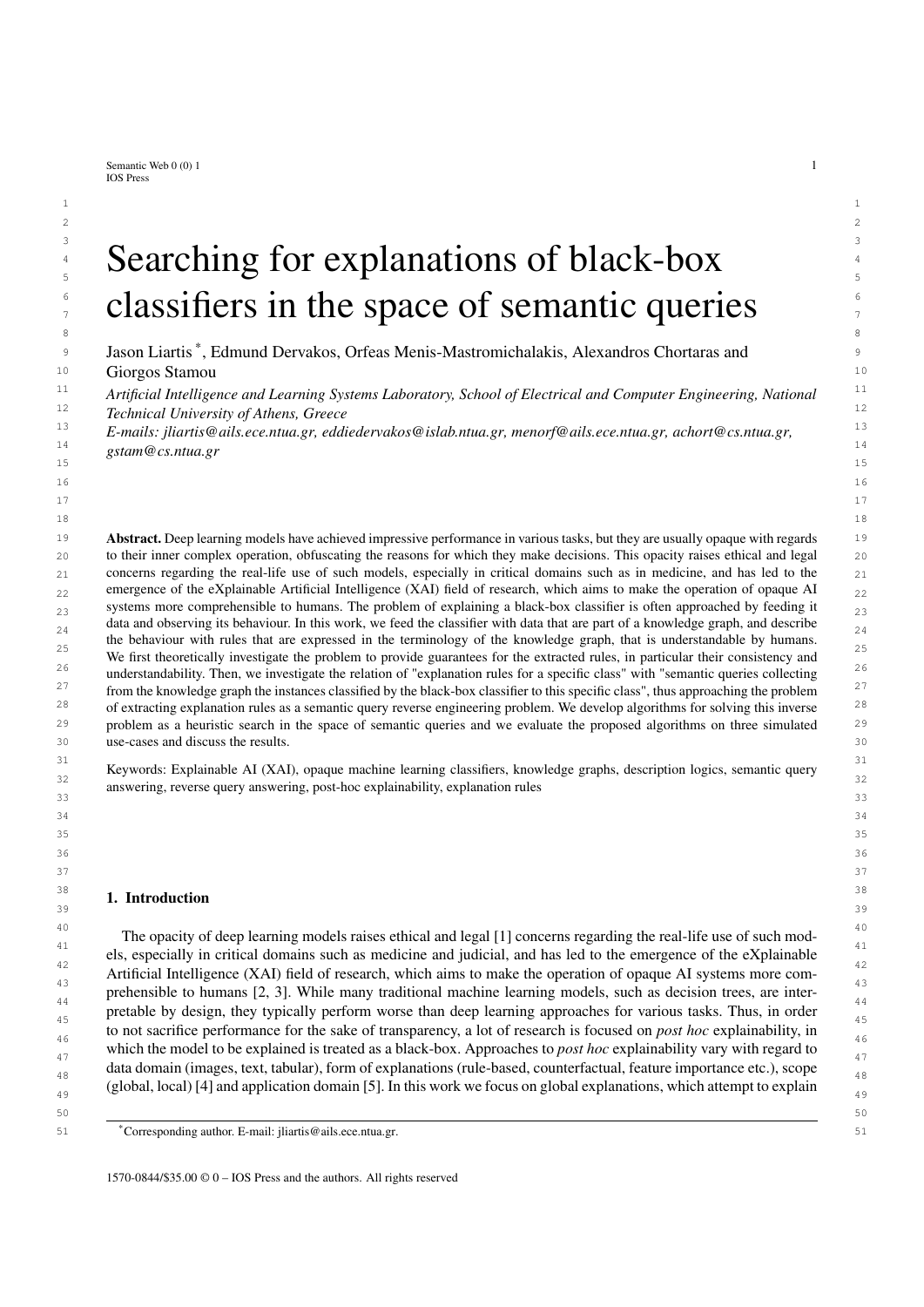

12 **Fig. 2. The MSQs of p3 and p4 represented as graphs** 12

 $G_1 = (V_1; E_1; V_1; E_1)$  and  $G_2 = (V_2; E_2; V_2; E_2)$ , we define the *query dissimilarity* heuristic between  $q_1$  and  $q_2$  as follows: 15 **as follows:** 15 as follows:

$$
16\n17 \tQueryDissimilarity(q_1; q_2) = \sum_{\nu_1 \ge \nu_1} \min_{\nu_2 \ge \nu_2} \text{diss}_{q_1q_2}(\nu_1; \nu_2) + \sum_{\nu_2 \ge \nu_2} \min_{\nu_1 \ge \nu_1} \text{diss}_{q_2q_1}(\nu_2; \nu_1) \tag{16}\n18
$$

20  $\frac{1}{20}$  20 where

$$
diss_{q_1q_2}(v_1; v_2) = jL_1(v_1) nL_2(v_2)j
$$
  
\n
$$
+ \sum_{r \ge R} f_{\text{max}}(\text{indegree}^r_{G_1}(v_1) \text{indegree}^r_{G_2}(v_2); 0) + \max(\text{outdegree}^r_{G_1}(v_1) \text{outdegree}^r_{G_2}(v_2); 0)g_i
$$
  
\n
$$
+ \sum_{r \ge R} f_{\text{max}}(\text{indegree}^r_{G_1}(v_1) \text{indegree}^r_{G_2}(v_2); 0) + \max(\text{outdegree}^r_{G_1}(v_1) \text{outdegree}^r_{G_2}(v_2); 0)g_i
$$

26 <sub>2</sub>., and <sup>26</sup> 2., and 2., and 2., and 2., and 2., and 2., and 2., and 2., and 2., and 2., and 2., and 2., and 2., and 2., and 2., and 2., and 2., and 2., and 2., and 2., and 2., and 2., and 2., and 2., and 2., and 2., *R* is the set of all role names appearing in the edge labels of the two graphs, and indegree<sub>*G*</sub>(*v*) (outdegree<sub>*G*</sub>(*v*)) is  $\frac{26}{27}$ the number of incoming (outcoming) edges *e* in node *v* of graph *G* with  $r \geq (e)$ .

28 28 The intuition behind the above dissimilarity measure is that the graphs of queries which are dissimilar consist  $29$   $29$  $\frac{30}{30}$  of nodes with dissimilar labels connected in dissimilar ways. Intuitively, we expect such queries to have dissimilar  $\frac{30}{30}$  $\frac{31}{22}$  that can be computed efficiently, we do not examine complex ways in which the nodes may be interconnected, but  $\frac{32}{20}$  only examine the local structure of the nodes by comparing their indegrees and outdegrees. The way in which we  $\frac{33}{24}$  compare the nodes of two query graphs is optimistic; we compare each node with its best possible counterpart —the node of the other graph which it is the least dissimilar to. Note that diss<sub>q142</sub> (*v*<sub>1</sub>; *v*<sub>2</sub>) does not equal diss<sub>q241</sub> (*v*<sub>2</sub>; *v*<sub>1</sub>).<br><sup>35</sup><br>The first quantity expresses how many conjuncts of *q*<sub>4</sub> containing *v*<sub></sub>  $35$   $\frac{1}{2}$   $\frac{1}{2}$   $\frac{1}{2}$   $\frac{1}{2}$   $\frac{1}{2}$   $\frac{1}{2}$   $\frac{1}{2}$   $\frac{1}{2}$   $\frac{1}{2}$   $\frac{1}{2}$   $\frac{1}{2}$   $\frac{1}{2}$   $\frac{1}{2}$   $\frac{1}{2}$   $\frac{1}{2}$   $\frac{1}{2}$   $\frac{1}{2}$   $\frac{1}{2}$   $\frac{1}{2}$   $\frac{1}{2}$   $\frac{1}{2}$   $\frac{1}{$ The first quantity expresses how many conjuncts of  $q_1$  containing  $v_1$  do not appear in  $q_2$  containing  $v_2$ . This is best  $37$  37 sets of certain answers, although there is no guarantee that this will always be the case. In order to have a heuristic illustrated using a short example.

**Example 5.** Let  $q_1 = fC(x)$ ;  $D(x)$ ;  $r(x, y_{11})$ ;  $r(y_{12}; x)$ ;  $s(x, y_{11})g$ ;  $q_2 = fC(x)$ ;  $E(x)$ ;  $r(x, y_{21})$ ;  $r(x, y_{23})g$  and as-<br>sume that we are comparing variable x of as with variable x of as As far as concents are concerne 39 *sume that we are comparing variable x of q*<sup>1</sup> *with variable x of q*2*. As far as concepts are concerned, C*(*x*) *appears* 40 *in both q*<sup>1</sup> *and q*2*, while D*(*x*) *only appears in q*1*, so one concept conjunct is missing from q*2*. Moreover, x appears* 41 *in one "outgoing" r conjunct in q*<sup>1</sup> *and in two outgoing r conjuncts in q*2*, so no outgoing conjuncts are missing* 42 *from q*2*. Also, x appears in one "ingoing" r conjunct in q*<sup>1</sup> *but in no "ingoing" r in q*<sup>2</sup> *conjuncts, so one more* 43 *conjunct is missing. Finally, the s conjunct of x is missing from q*2*, giving us a total of three missing conjuncts from*  $q_2$ *, therefore* diss $q_1q_2(x_1; x_2) = 3$ *.*  $\qquad \qquad \text{and} \qquad \qquad \text{and} \qquad \qquad \text{and} \qquad \qquad \text{and} \qquad \qquad \text{and} \qquad \text{and} \qquad \text{and} \qquad \text{and} \qquad \text{and} \qquad \text{and} \qquad \text{and} \qquad \text{and} \qquad \text{and} \qquad \text{and} \qquad \text{and} \qquad \text{and} \qquad \text{and} \qquad \text{and} \qquad \text{and} \qquad \text{and$ 

<sup>45</sup> Using an efficient representation of the queries, it is easy to see that QueryDissimilarity( $q_1$ ;  $q_2$ ) can be computed  $q_1$ <br><sup>46</sup> in time  $Q(\text{bar}(q_1), \text{bar}(q_2))$  $46$  in time  $O(Nar(q_1))$  jvar $(q_2)$ ). 47 47

48 48 *4.3. Query Merging*

50 50 The next step in Alg. 1 is the merging of the two least dissimilar queries that have been selected. In particular, 51 given a query  $q_A$  for some individuals  $I_A$ , i.e. a query such that  $I_A$  cert $(q_A; A)$ , and a query  $q_B$  for some individuals 51

49 49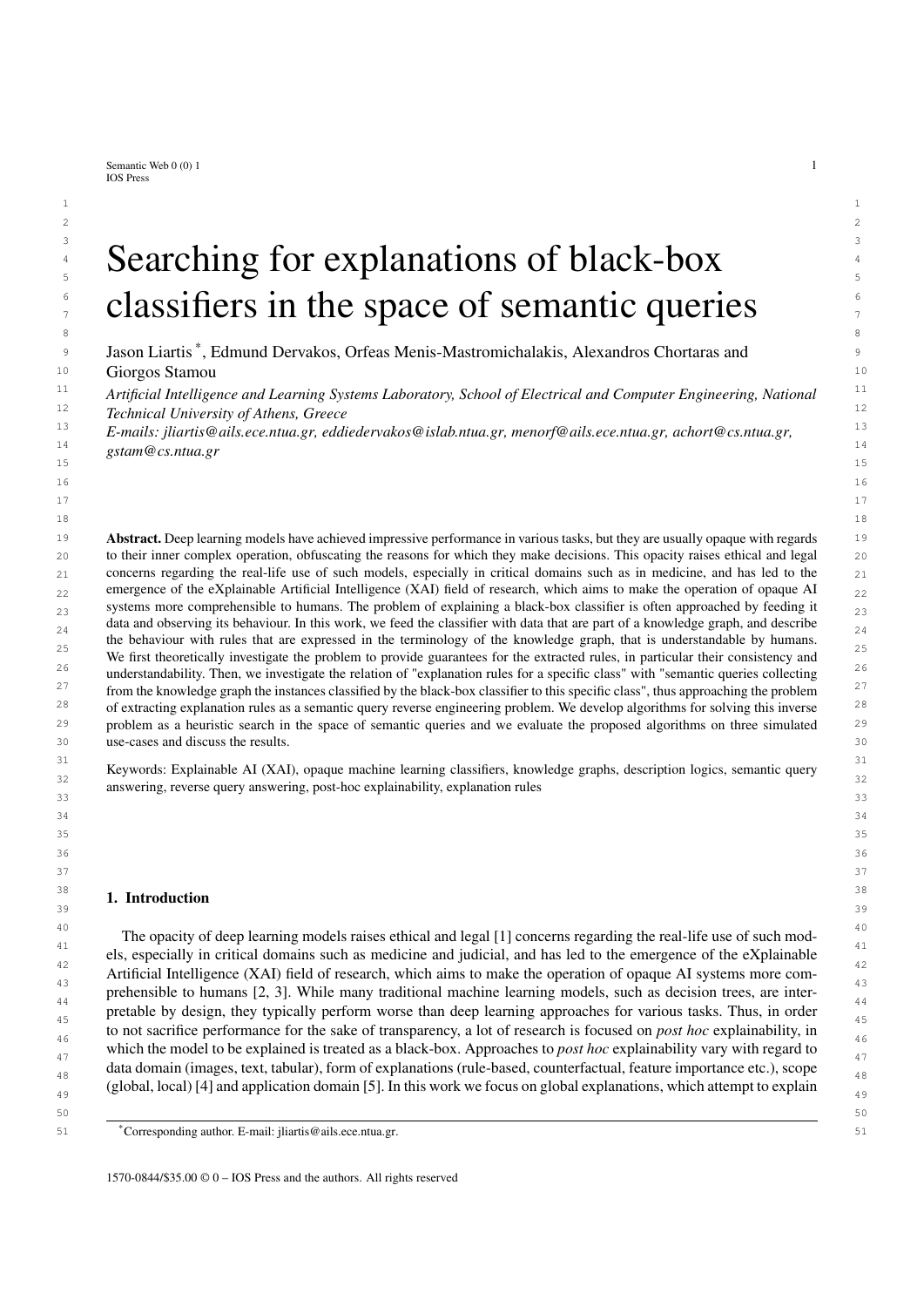

11 11 Fig. 3. The Kronecker product of the MSQs of p3 and p4  $12$  12

13 is a set of the set of the set of the set of the set of the set of the set of the set of the set of the set of the set of the set of the set of the set of the set of the set of the set of the set of the set of the set  $I_B$ , i.e. a query such that  $I_B$  cert( $q_B$ ; A), the purpose is to merge the two queries to produce a more general query<br> $q$  for  $I_A$ ,  $I_B$ , The necessary condition that such query must satisfy is  $I_A$ ,  $I_B$ , cort( $q$ ; A) <sup>15</sup>  $q$  for *I*<sub>A</sub> [ *I*<sub>B</sub>. The necessary condition that such query must satisfy is  $I_A$  [  $I_B$  cert( $q$ ; A). In the context of Alg. 1<sup>5</sup> the queries  $q_A$ ,  $q_B$  may be MSQs of some individuals, or results of previous query merges.

### 17 17 *4.3.1. Query Least Common Subsumer*

<sup>18</sup> Our first approach for merging queries is using the query least common subsumer (QLCS). As mentioned in <sup>18</sup> <sup>19</sup> Section 2, a QLCS is a most specific generalization of two queries. By choosing to use  $QLCS(q_A; q_B)$  (since QLCS  $^{19}$ <br><sup>20</sup> is unique up to syntactical equivalence, we assume that  $QLCS(q_A; q_B)$  represents one such  $QLCS$ <sup>20</sup> is unique up to syntactical equivalence, we assume that  $QLCS(q_A; q_B)$  represents one such QLCS for  $q_A$  and  $q_B$ ) in <sup>20</sup><br><sup>21</sup> the place of Merge(*q*,*c*,*q*<sub>*a*</sub>) in Alg<sub></sub><sub>1</sub>, and assuming that the input set of individ 21 the place of Merge $(q_A; q_B)$  in Alg. 1, and assuming that the input set of individuals is  $I = f a_1$ :::: *a<sub>n</sub>g*, it should 21<br>22 be obvious that the last query computed by Alg. 1 will be  $a = \Omega(\text{CS(MSO}(a; A)) \text{MSO}(a; A)) \cdot \text{MSO}($ 22 be obvious that the last query computed by Alg. 1 will be  $q = \text{QLCS}(MSQ(a_1; A)) \cdot MSQ(a_2; A)$ ; ::::;  $MSQ(a_n; A)$ ).  $^{22}$ <br><sup>23</sup> Eor any query  $q^{\theta}$  such that cert( $q^{\theta}$ ; A) I it will by definition hold that  $MSQ(a_2; A)$  (a.g. For any query  $q^{\theta}$  such that cert $(q^{\theta}, A)$  *I*, it will by definition hold that MSQ( $a_i$ ; *A*)  $\zeta$   $g^{\theta}$ ;  $i = 1$ ; :::; *n*. Therefore, <br>*a*  $\zeta$   $\zeta$  *a*<sup> $\theta$ </sup> which implies that cert(*a*; *A*) cert( $a^{\theta}$ ; *A*)  $q \leftrightarrow q$ , which implies that cert(q<sub>i</sub>, A) cert( $q^{\theta}$ ; A). This means that if there is an exact explanation rule query of  $q \leftrightarrow q$ , that will be a OLCS of its MSOs, while if there is not the computed OLCS explanation rule q  $\overline{I}$ , that will be a QLCS of its MSQs, while if there is not, the computed QLCS explanation rule query will have the  $\overline{I}$ <sup>26</sup> fewest possible exceptions. Thus, the main advantage of using the QLCS is that it guarantees "optimality" of the <sup>26</sup> <sup>27</sup> computed explanations.

28 28 To compute a QLCS we use an extension of the Kronecker product of graphs to labeled graphs. Given two 29 1.1.1.1.1.2.  $\sigma$   $(V, F, \cdot)$   $\rightarrow$   $\sigma$   $(V, F, \cdot)$   $\rightarrow$  1.1.1.2.  $\sigma$   $(11, 21, 21, 31, 21)$ 30  $\mathbf{V}_{\text{model}} = \mathbf{V}_{\text{model}} + \mathbf{G} \times \mathbf{G} + \mathbf{G} \times \mathbf{V}_{\text{model}} + \mathbf{G} \times \mathbf{V}_{\text{model}} + \mathbf{G} \times \mathbf{V}_{\text{model}} + \mathbf{G} \times \mathbf{V}_{\text{model}} + \mathbf{G} \times \mathbf{V}_{\text{model}} + \mathbf{G} \times \mathbf{V}_{\text{model}} + \mathbf{G} \times \mathbf{V}_{\text{model}} + \mathbf{G} \times \mathbf{V}_{\text{model}} + \mathbf{G} \times \mathbf{V}_{\text{model$ 31 (a)  $2 \pi (3 \pi (1))$  31 (b)  $2 \pi (3 \pi (1))$  31 (c)  $2 \pi (3 \pi (1))$  31 (c)  $2 \pi (3 \pi (1))$  31 32  $(1 + 2)$  32  $(1 + 2)$  32  $(1 + 2)$  32  $\int_{33}^{32}$   $\int_{y_1}(v_1) \int_{y_2}(v_2)$ , and  $\int_E : E \neq 2^{\text{RN}}$  with  $\int_E((u_1; u_2); (v_1; v_2)) = \int_{E_1}(u_1; u_2) \int_{E_2}(v_1; v_2)$ . labeled graphs  $G_1 = (V_1; E_1; V_1; E_1)$  and  $G_2 = (V_2; E_2; V_2; E_2)$ , which in our case will represent queries, their<br>Kronecker product  $G - G_2$ ,  $G_2$  is the graph  $G - (V_1 F_1; V_2; E_2)$ , where  $V - V_2$ ,  $V_2 = F_1((u_2; u_2); (v_2;$ Kronecker product  $G = G_1$   $G_2$  is the graph  $G = (V, E; \nu, \nu_E)$ , where  $V = V_1$   $V_2$ ,  $E = f((u_1, u_2); (v_1, v_2))$  j<br>(*u*; *u*<sub>2</sub>),  $2 F_2$ ; (*u*; *u*<sub>2</sub>),  $2 F_3$ ; and  $\lambda_E (u_1, u_2)$ ,  $\lambda_E (u_1, u_2)$ ,  $\lambda_E (u_2, u_2)$ ,  $\lambda_E (u_1, u_2)$  $(u_1; u_2)$   $\geq E_1$ ;  $(v_1; v_2)$   $\geq E_2$ ; and  $E_1(u_1; u_2)$   $\sum_{E_2}(v_1; v_2) \neq \overline{?}g$   $V$   $V$ ,  $v$  :  $V$   $\geq$   $2^{CN}$  with  $v((v_1; v_2)) =$ <br> $\sum_{E_1}(u_2) \sum_{E_2}(v_1; v_2)$  and  $\sum_{E_1}(v_2)$   $\geq$   $\sum_{E_2}(v_1; v_2) = \sum_{E_1}(u_1; u$ 

34 34 Example 6. *Fig. 3 shows the Kronecker product of the query graphs of Example 4.*

35 35 36 36 As with the Kronecker product of unlabeled graphs, for any graph *<sup>H</sup>*, we have that *<sup>H</sup>* ! *<sup>G</sup>*<sup>1</sup>;*G*<sup>2</sup> if and only if  $H \perp G_1$   $G_2$ . Since we are interested in graphs representing instance queries, we can assume that  $H$ ,  $G_1$ ,  $G_2$  are  $G_3$ connected. Assuming that  $G_1$ ;  $G_2$  represent two instance queries  $q_1$ ,  $q_2$  (with answer variable *x*), it will specifically as hold that  $H \perp G_2$ ;  $G_3$  is and only if  $H \perp \text{conn}((x, y), G_3)$ , where  $\text{conn}((x, y), G_3)$   $\frac{39}{139}$  hold that *H* !  $G_1$ ;  $G_2$  if and only if *H* ! conn((*x*; *x*);  $G_1$   $G_2$ ), where conn((*x*; *x*);  $G_1$   $G_2$ ) is the connected  $G_3$ <br>component of  $G_4$   $G_2$  containing the pairs of answer variables no component of  $G_1$   $G_2$  containing the pairs of answer variables node  $(x; x)$ . Because homomorphisms between  $\frac{40}{40}$ <sub>41</sub> query graphs correspond to subsumption relations between the respective queries, and vice versa, the connected <sub>41</sub> component of  $G_1$   $G_2$  containing node  $(x; x)$ , with node  $(x; x)$  replaced by  $x$  (the answer variable of the new query)  $a_2$  $43$  and all other nodes of that connected component replaced by distinct arbitrary variable names other than *x*, can be 44 viewed as the graph of an QLCS of  $q_1$  and  $q_2$ .

45 45 For use with Alg. 1, we denote a call to the concrete function implementing that approach for computing  $\frac{46}{\pi}$  QLCS( $q_1; q_2$ ) by KRONECKERQLCS( $q_1; q_2$ ). The time complexity of KRONECKERQLCS( $q_1; q_2$ ) is  $O(\text{Var}(q_1))^2$   $46$ <br> $\text{Var}(q_2)^2$  and the Kronecker product of the graphs  $G_2$ ,  $G_2$  contains  $N_2$  i,  $N_2$  node  $j$ var $(q_2)$  $/$ , and the Kronecker product of the graphs  $G_1$ ,  $G_2$ , contains  $jV_1j$   $jV_2j$  nodes. Therefore, the final query  $q_7$ constructed by Alg. 1 using KRONECKERQLCS( $q_1$ ;  $q_2$ ) to implement Merge( $q_1$ ;  $q_2$ ) will have  $O(m^n)$  variables, 48<br>where  $m = \max_{x \in \mathbb{R}} \int_{\mathbb{R}} \log f(a) dx$  is the maximum variable count of the MSOs and  $n = iI$  is the num where  $m = \max_{i=1;...n} \text{var}(q_i)$  is the maximum variable count of the MSQs, and  $n = jI$  is the number of individ-<br>and in L.Constructive this suggest by for the most supervision of the algorithm and dominates the munics 50 50 uals in *I*. Constructing this query is by far the most expensive operation of the algorithm and dominates the running  $\frac{1}{51}$  time with a complexity of  $O(m^{2n})$ . This makes the use of the above procedure for computing QLCS's prohibitive  $\frac{1}{51}$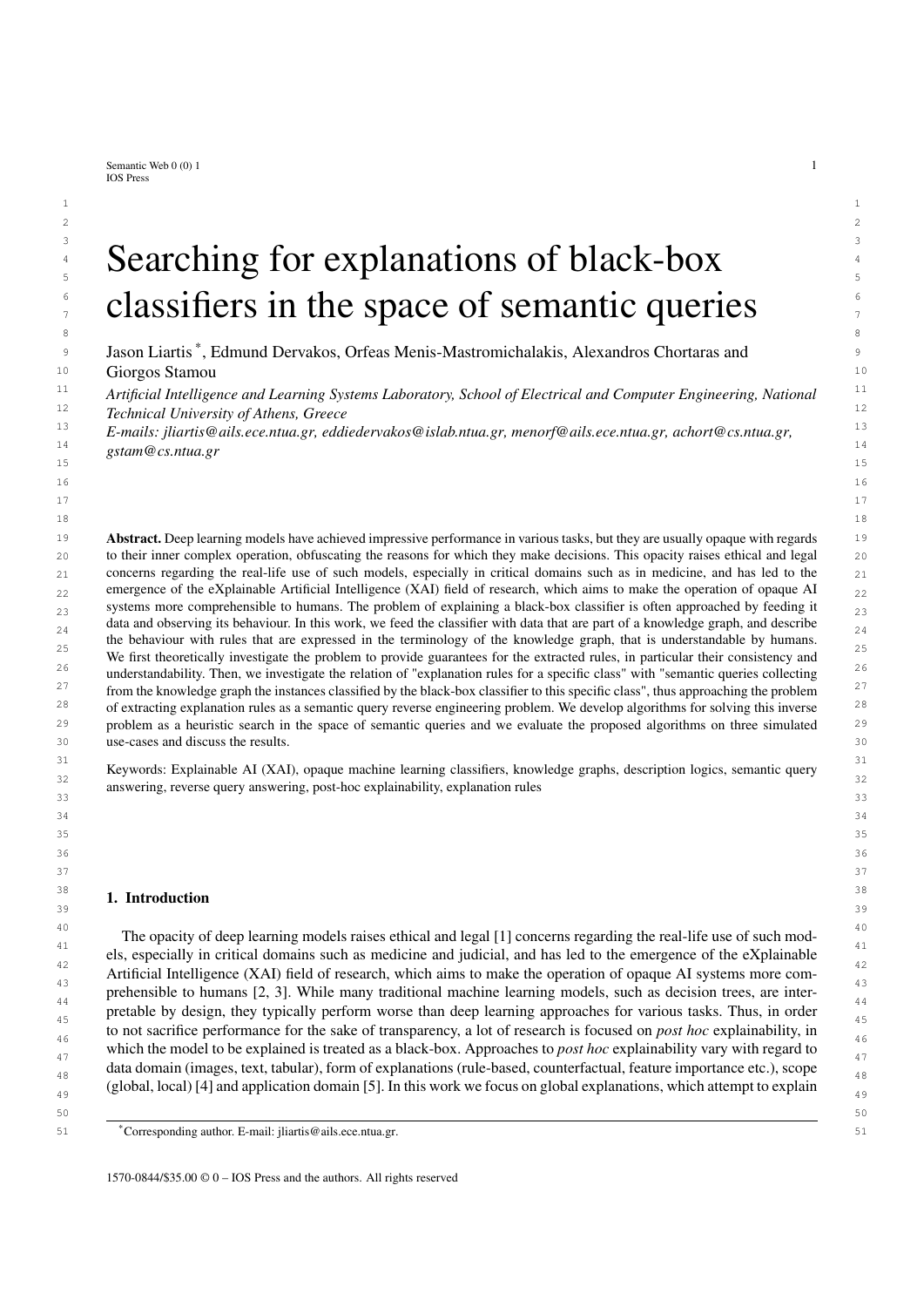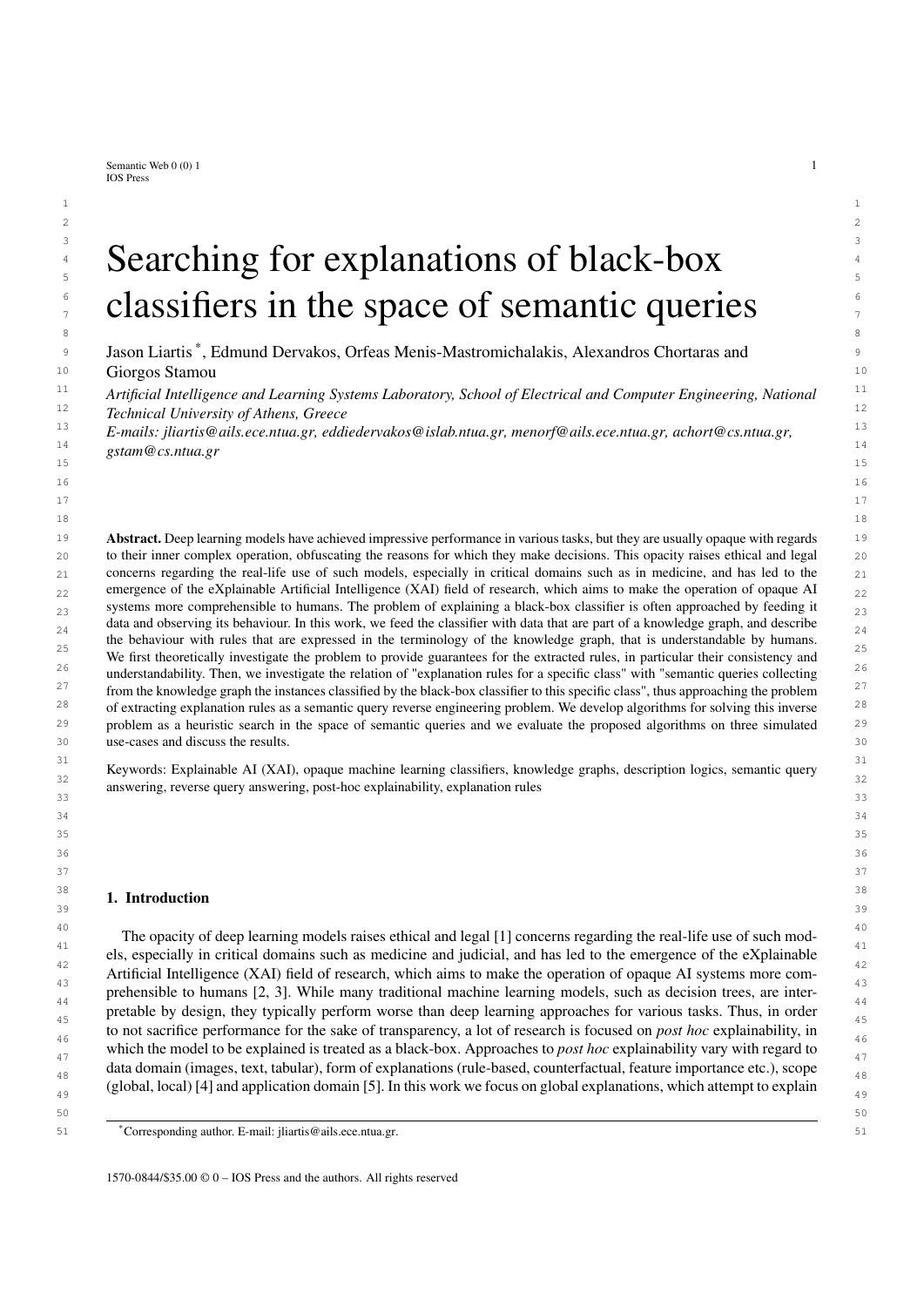1 1 Example 8. *We can showcase an example of Alg. 2 detecting an extraneous variable in the QLCS of q*<sup>1</sup> *and q*<sup>2</sup> *from z* Example 7, running the main loop for  $v = y_1$  and  $v^0 = y_2$ . The condition at line 3 first checks if the label of node  $v^0$ ,  $z^0$ 3 3 <sup>f</sup>Findingg*, is a subset of the label of node v,* <sup>f</sup>SoreThroat; Findingg*, which is true. Then for every incoming edge to* 4 4 *v* 0 *it checks if there is an edge incoming to v with the same label and origin. They both have one incoming edge from* 5 5 *node x labeled with* hasFinding *so the second condition will also evaluate to true. Node v* <sup>0</sup> *has no incoming edges,* 6 6 *so the third condition will also evaluate to true. Therefore, Alg. 2 will detect node v* <sup>0</sup> *as extraneous and delete it.* 7 7 *Running the entire algorithm for this query will result in the query represented in Fig. 5 as a graph.* 8 a set of the set of the set of the set of the set of the set of the set of the set of the set of the set of the set of the set of the set of the set of the set of the set of the set of the set of the set of the set of th 9 9  $T$ **Exemplar** $g$  10 11  $\binom{r}{1}$  $\mathcal{L}$  12  $\mathcal{L}$  13  $\frac{14}{14}$  14  $\sim$  15 15  $\begin{pmatrix} 16 \end{pmatrix}$  16 17 *f***SoreThroat**; Finding*g f*<br> *f* ung Finding: Finding*g f* ung Finding *f* 12 18 18 *<sup>f</sup>*LungFinding; Finding*<sup>g</sup>* 19 19 20 20 Fig. 5. The minimized graph of the QLCS of Fig. 4 21  $\sim$  21 22 22 The main loop of Alg. 2 is executed at most var(*q*) times, since at each loop either a variable is deleted or the 23 loop terminates. The inner loop checks all pairs of variables  $(O(\text{var}(q))^2)$ , and the if condition requires  $O(\text{var}(q))$  23 <sup>24</sup> set comparisons of size at most *jCNj*, and 2*jRNj* comparisons of rows and columns of adjacency matrices. Treating <sup>24</sup>  $\frac{25}{\text{C}}$  *j*CN*j* and *jRNj* as constants, the complexity of Algorithm 2 is  $O(\text{Var}(q))^4$ : 25 <sup>26</sup> Given the above, our first practical implementation of Alg. 1, uses GRAPHMSQ(*a*; A) to implement MSQ(*a*; A), <sup>26</sup><br><sup>27</sup> and APPPOXQUEPYMINIMIZE(KPONECKEPOLCS(*a*, a)) to implement Merge(*a*, a) 27 and APPROXQUERYMINIMIZE(KRONECKERQLCS( $q_A$ ;  $q_B$ )) to implement Merge( $q_A$ ;  $q_B$ ). 27<br>28 Begardless of the approximate query minimization described above even if full query condensation could be <sup>28</sup> Regardless of the approximate query minimization described above, even if full query condensation could be <sup>28</sup> <sup>29</sup> performed, there is no guarantee that condensing the queries computed by Alg. 1 using QLCS as the merge opera-<sup>30</sup> tion, have meaningfully smaller condensations. This led us to two different approaches for further dealing with the <sup>30</sup> <sup>31</sup> apidly growing queries QLCS produces. <sup>31</sup> The simplest approach to address this problem is to reject any queries produced by KRONECKERQLCS $(q_1; q_2)$ <sup>32</sup><br><sup>33</sup> that even after minimization have variable counts higher than a pre-selected threshold. This strategy esc <sup>33</sup> that, even after minimization, have variable counts higher than a pre-selected threshold. This strategy essentially <sup>33</sup> <sup>34</sup> introduces a weaker version of Alg.1, without the guarantees of optimality, but with polynomial running time, which <sup>34</sup> 35 35 is outlined in Alg. 3, which we call KGrules-HT. <sup>36</sup> Alg. 3 is the same as Alg. 1 except that  $q$  is not added to  $L$  and  $S$  unless its variable count is less than or equal to  $37$  an input threshold, *t*. This simple change reduces the complexity of the algorithm to polynomial in terms of *jIj* and  $37$ <sup>38</sup> t. It should be noted that setting a very low threshold for *t* could potentially lead to all queries being rejected and the <sup>38</sup> <sup>39</sup> algorithm returning an empty set, therefore *t* should be adjusted experimentally. It is also assumed that all MSQ's <sup>39</sup> 40 40 created when initializing *L* have less than *t* variables. <sup>41</sup> If we let  $n = jI$ , calculating the query dissimilarity for all pairs of queries, costs  $O(n^2t^2)$  operations. Using <sup>41</sup> <sup>42</sup> memoization limits the cost of calculating the dissimilarity through all iterations to  $O(n^2t^2)$ . Each iteration of the <sup>43</sup> main loop involves  $O(n^2)$  operations for selecting  $q_A$ ;  $q_B$ ,  $O(t^4)$  operations for calculating their QLCS. Thus, in<sup>43</sup><br>total Alg 3 has a running time of  $O(n^3 + n^2t^2 + nt^4)$ total, Alg. 3 has a running time of  $O(n^3 + n^2t^2 + nt^4)$ . <sup>45</sup> Our second approach to overcome the problem posed by the rapidly growing size of the queries produced by 46 QLCS was to consider a different merge operation, which is described in the following section.  $\frac{47}{47}$ 48 48 *4.3.2. Greedy Matching* 49 49 As already mentioned, the above described procedure for merging queries by computing a QLCS, often introduces 50 too many variables that Alg. 2 can't minimize effectively. A QLCS of  $q_1$ ;  $q_2$ , if condensed, is optimal at producing 50<br>51 a query that combines their certain answers while introducing few as possible new variables 51 51 a query that combines their certain answers while introducing few as possible new variables. However, the new*x f*Exemplar*g y*1 *y*4 hasFi<sub>ngting</sub> hasFinding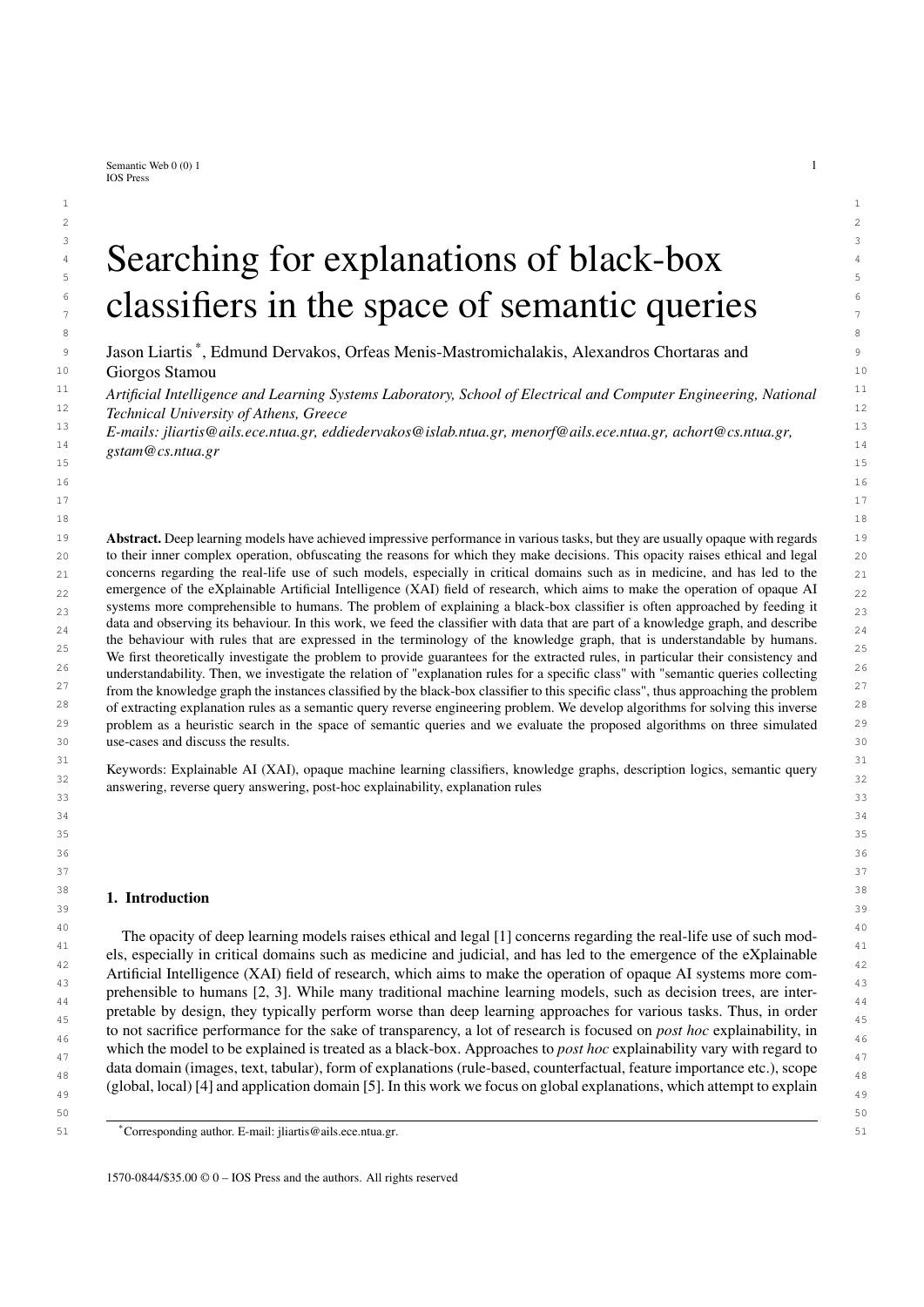| r Tr           |  |
|----------------|--|
| N<br><u>ДИ</u> |  |
|                |  |

| -                                                                                 | 2  |
|-----------------------------------------------------------------------------------|----|
| <b>Input:</b> An atomic ABox $A$ , a set of individual names I and a threshold t. | 3  |
| <b>Output:</b> A set of queries $S$ .                                             | 4  |
| 1 S                                                                               |    |
| $f$ GRAPHMSQ $(a; A)$   $a$ 2 I}<br>2 L                                           | 5. |
| 3 while $ L  > 2$ do                                                              | 6  |
| $q_A$ ; $q_B$ arg $\min_{q;q^0 \ge L; q \in q^0}$ Query Dissimilarity $(q;q^0)$   | 8  |
| APPROXQUERYMINIMIZE(KRONECKERQLCS $(q_A; q_B)$ )<br>q                             |    |
| $(L \cap f q_A; q_B g)$<br>L<br>6                                                 | 9  |
| <b>if</b> $\sqrt{var(q)}$ 6 t then                                                | 10 |
| $L \int f q q$<br>8                                                               | 11 |
| append $q$ to $S$<br>9                                                            | 12 |
| end<br>10                                                                         | 13 |
| 11 end                                                                            | 14 |
| 12 return $S$                                                                     | 15 |
|                                                                                   | 16 |

 19 variables that are introduced may still be too many. In practice, we may be able to afford some leniency in terms of 20 certain answers, so we can explore alternative methods of unifying queries without the cost of increased variables.

21 One such method, is finding a *common subquery*, i.e. finding the common conjuncts of two queries  $q_1$ ;  $q_2$ . As-<br>22 suming that  $\lambda$ (x, )  $\lambda$   $\lambda$ (x, ) and that  $q_1$ ,  $q_2$  are renamed apart except for the answer 22 suming that  $\frac{j}{q_1}$  is  $\frac{j}{q_2}$  is  $\frac{j}{q_1}$  and that  $q_1, q_2$  are renamed apart except for the answer variable *x*, a *matching* 22 23 is a 1-1 mapping from the variables of  $q_2$  to the variables of  $q_1$ . The *common subquery*  $q$  is formed by renaming the 23 24 variables of  $q_2$  according to the matching, and keeping the conjuncts also found in  $q_1$ , i.e.  $q = q_1 \setminus q_2$ .

 26 Example 9. *Continuing the previous examples, we will find common subqueries of the MSQs of* p3 *and* 27 p4*. We can match the lung finding of* p4 *with the lung finding of* p3 *as well as their sore throat findings.* 28 *This would be done by renaming y*<sup>21</sup> *to y*<sup>11</sup> *and y*<sup>22</sup> *to y*<sup>12</sup> *and then keeping the common conjuncts rez*<sub>9</sub> *sulting in the query*  $q(x) = f$ Exemplar(*x*); hasFinding(*x*; *y*<sub>11</sub>); SoreThroat(*y*<sub>11</sub>); Finding(*y*<sub>11</sub>); hasFinding(*x*; *y*<sub>12</sub>); <sub>29</sub><br>11 **unoFinding(***y***<sub>12</sub>); Finding(***y***<sub>12</sub>);** *In our annmach we avaluate th*  $\frac{30}{20}$  LungFinding(*y*<sub>12</sub>); Finding(*y*<sub>12</sub>)g*. In our approach we evaluate the quality of matchings based on the number of*  $\frac{30}{20}$ 31 *conjuncts in the query they induce, which in this case is 7.*

 $\frac{32}{2}$  32  $\frac{1}{2}$  32  $\frac{1}{2}$  32  $\frac{1}{2}$  32  $\frac{1}{2}$  32  $\frac{1}{2}$  32  $\frac{1}{2}$  32  $\frac{1}{2}$  32  $\frac{1}{2}$  32  $\frac{1}{2}$  32  $\frac{1}{2}$  32  $\frac{1}{2}$  32  $\frac{1}{2}$  32  $\frac{1}{2}$  32  $\frac{1}{2}$  32  $\frac{1}{2}$  32  $\frac{1}{2}$  32  $\frac{33}{33}$  Finding the maximum common subquery belongs to a larger family of problems of finding maximal common  $\frac{33}{33}$ substructures in graphs, such as the mapping problem for processors [57], structural resemblance in proteins [58]  $_{35}$  and the maximal common substructure match (MCSSM) [59]. Our problem can be expressed as a weighted version 36 of most of these problems, since they only seek to maximize the number of nodes in the common substructure, which, in our case, corresponds to the number of variables in the resulting subquery. Since we want to maximize the 38 number of common conjuncts, we could assign weights to variable matchings (*y* corresponds to *z*) due to concept conjuncts, and to pairs of variable matchings (*y* corresponds to *z* and  $y^0$  corresponds to  $z^0$ ) due to role conjuncts. This  $_{40}$  is an instance of the general graph matching problem. These problems are NP-hard and are therefore usually solved  $_{41}$  with approximation algorithms [60] [61]. With Alg. 4, we introduce our own method for approximately solving  $_{41}$ this problem since we need to impose the additional restriction that the resulting query must be connected. Any  $\frac{42}{2}$  $_{43}$  conjuncts in the resulting query that aren't connected to the answer variable do not influence the query's certain  $_{43}$ 44 answers, so we consider them extraneous.

 45 Alg. 4 initializes an empty variable renaming . *V* and *U* contain the variables that have not been matched yet. At each iteration of the main loop, the algorithm attempts to match one of the variables of  $q_2$  with one of the variables  $q_6$  47 of *q*1. Only matches that conserve the connectedness of the induced query are considered (set *S* ). If there are no such 48 matches the main loop terminates. Otherwise, the match that adds the largest number of conjuncts to the induced 49 query is selected. This match is added to and the corresponding variables are removed from *V* and *U*. Finally, 50 the query *q* which consists of the common conjuncts of  $q_1$  and  $q_2$  is constructed, by renaming the variables of  $q_2$  so according to and keeping the conjuncts that also appear in  $q_1$ .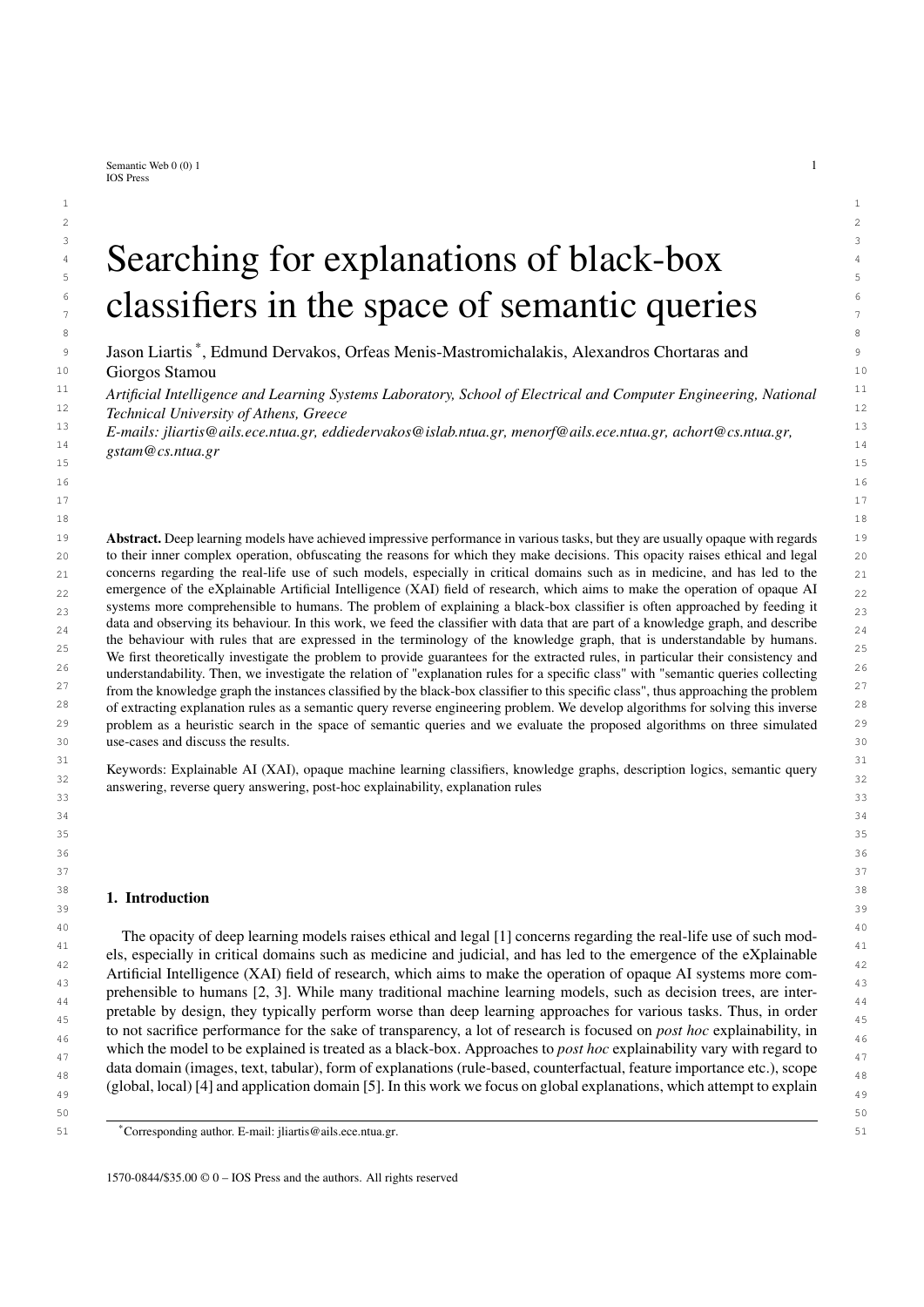<sup>1</sup><br>Algorithm 4: GREEDYCOMMONCONJUNCTS

| <b>Input:</b> Two queries $q_1$ ; $q_2$ , with query graphs $G_{q_1} = \hbar V_1$ ; $E_1$ ; $V_1$ ; $E_1$ ; $G_{q_2} = \hbar V_2$ ; $E_2$ ; $V_2$ ; $E_2$ ; $L_2$ ;                                                                                                               |  |
|-----------------------------------------------------------------------------------------------------------------------------------------------------------------------------------------------------------------------------------------------------------------------------------|--|
| <b>Output:</b> A query consisting of common conjuncts of $q_1$ and $q_2$ .                                                                                                                                                                                                        |  |
| <b>1</b> if $\text{Var}(q_1)$ / < $\text{Var}(q_2)$ / then                                                                                                                                                                                                                        |  |
| Swap $q_1$ ; $q_2$<br>$\mathbf{2}$                                                                                                                                                                                                                                                |  |
| 3 end                                                                                                                                                                                                                                                                             |  |
| fg                                                                                                                                                                                                                                                                                |  |
| 5 U<br>var $(q_1)$ n fxg                                                                                                                                                                                                                                                          |  |
| var $(q_2)$ n fxg<br>6V                                                                                                                                                                                                                                                           |  |
| 7 while true do                                                                                                                                                                                                                                                                   |  |
| $\tau_z \not\in \mathbb{Z}$ y j z $2V$ , y $2U$ , $(z, z^{\emptyset})$ $2E_1$ ; $(y, y^{\emptyset})$ $2E_2$ ; $\Gamma_{E_1}(z, z^{\emptyset})$ $\Gamma_{E_2}(y, y^{\emptyset})$ $\in \mathbb{R}$ ; $z^{\emptyset} \not\in \mathbb{Z}$ y $y^{\emptyset} \not\supseteq g$<br>S<br>8 |  |
| 9                                                                                                                                                                                                                                                                                 |  |
| if $S \neq ?$ then<br>10                                                                                                                                                                                                                                                          |  |
| $\hat{z} \nabla \hat{y}$ arg max <sub>z</sub> <sub>y</sub> <sub>y</sub> 2s f jq <sub>1</sub> \q <sub>2</sub> ( [ fz $\hat{y}$ yg) j jq <sub>1</sub> \q <sub>2</sub> jg<br>11                                                                                                      |  |
| $\int f\hat{z} \nabla \hat{y} g$<br>12                                                                                                                                                                                                                                            |  |
| $V$ $V$ $n$ $f2g$<br>13                                                                                                                                                                                                                                                           |  |
| $U$ n fyq<br>U<br>14                                                                                                                                                                                                                                                              |  |
| else<br>15                                                                                                                                                                                                                                                                        |  |
| break                                                                                                                                                                                                                                                                             |  |
| 16                                                                                                                                                                                                                                                                                |  |
| end<br>17                                                                                                                                                                                                                                                                         |  |
| 18 end                                                                                                                                                                                                                                                                            |  |
| $q_1 \setminus q_2$<br>19q                                                                                                                                                                                                                                                        |  |
| 20 return $q$                                                                                                                                                                                                                                                                     |  |

27 An efficient implementation of Alg. 4 will use a max-priority queue to select at each iteration the match that adds 28 the largest number of conjuncts to the induced query. The priority queue should contain an element for each pair of 28 29 variables that can be matched, with the priority of the element being either 0 if the pair is not in *S* , and otherwise 30 equal to the number of conjuncts it would add to the query. At each iteration some priorities may need to be updated. 31 The time complexity of priority queues varies depending on their implementation. Implementations such as Strict Fi- 32 bonacci Heaps have lower time complexity but perform worse in practice than simpler implementations with higher 33 time complexities such as Binary Heaps. A Strict Fibonacci Heap implementation would have a time complexity of  $O(n^2m^2)$ , where  $n = \text{java}(q_1)$ ;  $m = \text{java}(q_2)$ , while a Binary Heap implementation  $O(n^2m^2 \log(nm))$ .

 35 

#### 5. Experiments  $37$ 38

<sup>39</sup> We evaluated the proposed algorithms and framework by generating explanations for various classifiers, comput-<sup>40</sup> ing the metrics presented in Section 3, comparing with other rule-based approaches where possible, and discussing <sup>40</sup> <sup>41</sup> the quality and usefulness of the results. Specifically, we explored three use-cases: a) we are given a tabular dataset <sup>42</sup> which serves as both the features of the classifier and the explanation dataset, b) we are given raw data along with <sup>43</sup> curated semantic descriptions and c) we are only given raw data, so semantic descriptions need to be constructed <sup>44</sup> automatically. The first use-case facilitated comparison of the proposed KGRules-H algorithm with other rule-based <sup>45</sup> XAI approaches from literature, the second use-case was more suitable for validating the usefulness of the proposed <sup>46</sup> framework, while the third explored how KGRules-H could be utilized in a scenario in which semantic data de-<sup>47</sup> scriptions are not available. For the first use-case we experimented on the Mushroom<sup>1</sup> dataset which involves only <sup>48</sup> <sup>48</sup> <sup>48</sup> <sup>48</sup> <sup>48</sup> <sup>48</sup> <sup>48</sup> categorical features. For the second use-case we used the CLEVR-Hans3 dataset [62] which consists of images of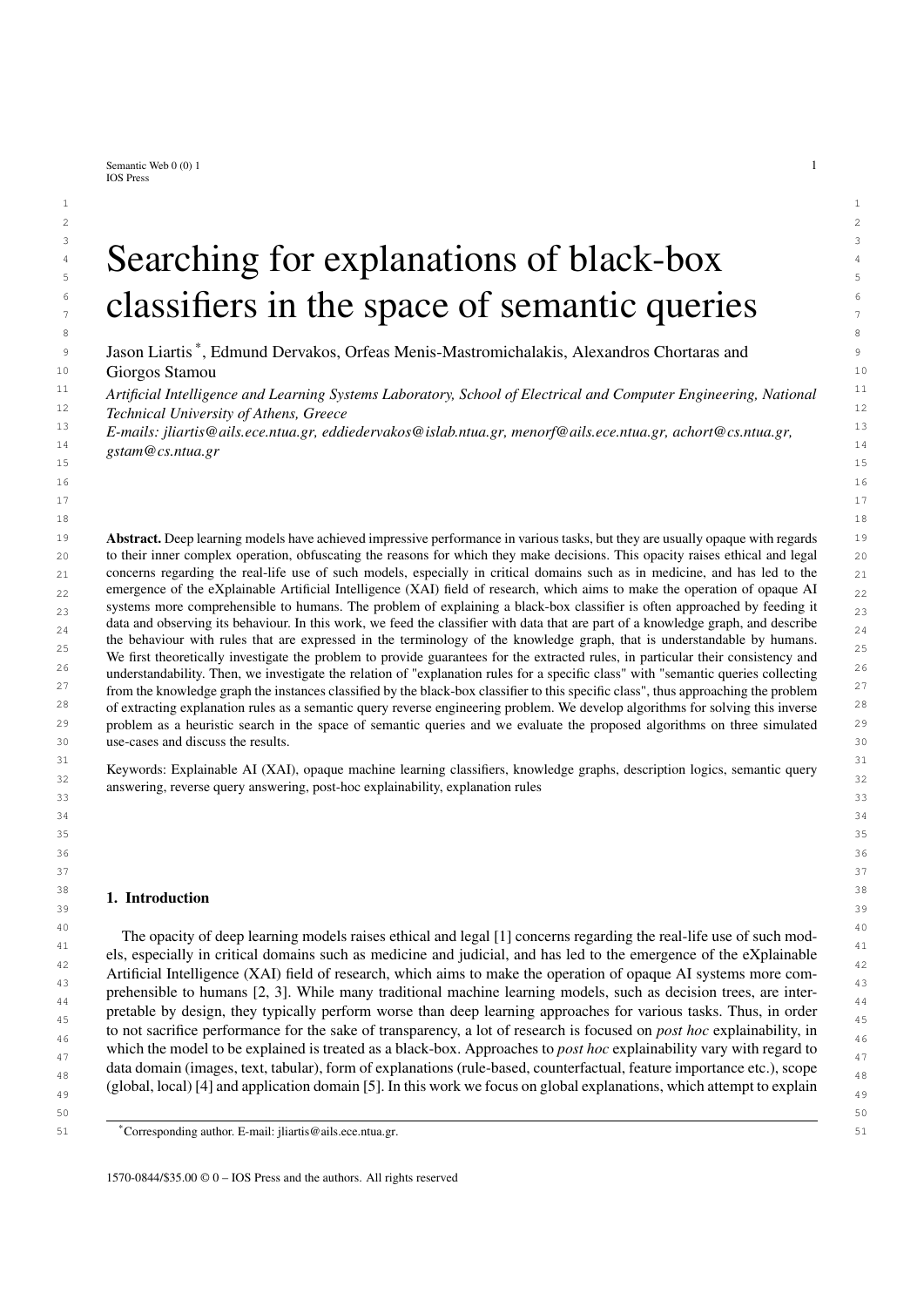1 1 3D geometric shapes in addition to rich metadata which we use as semantic data descriptions, while for the third we 2 2 used MNIST [63] which contains images of handwritten digits, and no metadata.

3 3 The components needed for each experiment, were: a) a black-box classifier for which we provide rule-based ex-<sup>4</sup> planations, b) an explanation dataset with semantic descriptions of exemplar data using the appropriate terminology <sup>5</sup> and c) reasoning capabilities for semantic query answering, in order to evaluate the generated rules. As classifiers <sup>5</sup> 6 6 we chose widely used neural networks, which are provided as default models in most deep learning frameworks.

<sup>7</sup> For constructing explanation datasets in practice, we identified two general approaches: a) the curated approach, <sup>8</sup> and b) the automated information extraction approach. For the manual approach, the semantic descriptions of exem-<sup>9</sup> plar data were provided. In an ideal scenario, curated explanation datasets are created by domain experts, providing <sup>10</sup> semantic descriptions which are meaningful for the task, and by using the appropriate terminology, lead to mean-<sup>11</sup> ingful rules as explanations. In our experiments, we simulated such a manually curated dataset by using CLEVR-<sup>12</sup> Hans3, which provides semantic descriptions for each image present in the dataset. Of course, using human labor <sup>12</sup> <sup>13</sup> for the creation of explanation datasets in real-world applications would be expensive, thus we also experimented <sup>13</sup> <sup>14</sup> with automatically generating semantic descriptions for exemplar data. Specifically, for the automated information <sup>14</sup> <sup>15</sup> extraction approach we used domain specific, robust, feature extraction techniques and then provided semantic de- $16$  scriptions in terms of the extracted features. In these experiments, we automatically generated semantic descriptions  $16$ <sup>17</sup> for images in MNIST, by using ridge detection, and then describing each image as a set of intersecting lines.

<sup>18</sup> For acquiring certain answers of semantic queries, which requires reasoning, we set up repositories on GraphDB.<sup>2</sup> <sup>18</sup> <sup>19</sup> For the case of the Mushrooms dataset we used the certain answers to measure fidelity, number of rules and average  $19$ <sup>20</sup> rule length and compared our approach with RuleMatrix [9] which implements scalable bayesian rule lists [8], <sup>20</sup>  $21$  Skope-Rules<sup>3</sup> and the closely related KGrules[46]. For CLEVR-Hans3, we mainly used the certain answers to  $21$ <sup>22</sup> explore whether our explainability framework can detect the foreknown bias of the classifier, by observing the best <sup>22</sup> <sup>23</sup> generated rule-queries with respect to precision, recall, and degree as defined in Section 3. Finally, for MNIST we <sup>24</sup> observed quality and usability related properties of generated rule queries and their exceptions.<sup>24</sup> 25  $\sim$  25

#### 26  $\frac{1}{2}$   $\frac{1}{2}$   $\frac{1}{2}$   $\frac{1}{2}$   $\frac{1}{2}$   $\frac{1}{2}$   $\frac{1}{2}$   $\frac{1}{2}$   $\frac{1}{2}$   $\frac{1}{2}$   $\frac{1}{2}$   $\frac{1}{2}$   $\frac{1}{2}$   $\frac{1}{2}$   $\frac{1}{2}$   $\frac{1}{2}$   $\frac{1}{2}$   $\frac{1}{2}$   $\frac{1}{2}$   $\frac{1}{2}$   $\frac{1}{2}$   $\frac{1}{2}$ 27 сер*ата на 12* марта 12 марта 22 марта 22 марта 22 марта 22 марта 22 марта 22 марта 22 марта 22 марта 22 марта 22 *5.1. Mushrooms*

<sup>28</sup><br>The purpose of the Mushroom experiment was to compare our results with other rule-based approaches from the 29 and purpose of the Hammoon experiment was to compute our results with other rate calculapproaches Homitate literature. Since other approaches mostly provide explanation rules in terms of the feature space, the explanation  $\frac{30}{30}$ 31 Cause was created containing only and information. We should note that this was only done for comparison bisance, 31 and is not the intended use-case for the proposed framework, in which there would exist semantic descriptions which  $\frac{32}{32}$ cannot be necessarily represented in tabular form, and possibly a TBox. dataset was created containing only this information. We should note that this was only done for comparison's sake,

### 34 34 *5.1.1. Explanation Dataset*

<sup>35</sup> The Mushroom dataset contains 8124 rows, each with 22 categorical features of 2 to 9 possible values. We <sup>35</sup> <sup>36</sup> randomly chose subsets of up to 4000 rows to serve as the exemplars of explanation datasets. The vocabulary <sup>36</sup>  $\frac{37}{10}$  hCN; RN; INi used by the explanation datasets consisted of: an individual name for each index of a row included in  $\frac{37}{10}$  the explanation dataset (in IN) and a concept name for each combination of categor <sup>38</sup> the explanation dataset (in IN), and a concept name for each combination of categorical feature and value (in CN), <sup>38</sup> <sup>39</sup> giving us a total of  $jCN = 123$ . In this case, the set of exemplars (EN) coincided with the set of individual names. <sup>39</sup> <sup>40</sup> Then, for each feature and for each row, we added an assertion to the ABox, representing the value of the feature <sup>40</sup>  $41$  for the corresponding row. Thus, the knowledge base of an explanation dataset and its vocabulary had the form:  $41$ 42 42

$$
1N = \text{from}_1; \text{row}_2::: \text{row}_n \mathcal{G}
$$

 $45$  CN =  $f$ CapShapeBell; CapShapeConical; CapShapeConvex; : : : ; HabitatGrass; HabitatLeaves; : : :  $g$   $45$ 

 $\frac{46}{10}$   $\frac{146}{10}$ 47 47  $RN = ?$ 

 $A = f \textsf{CapShapeFlat}(row_1)$ ; CapSurfaceFibrous(row<sub>1</sub>); : : : ; HabitatPaths(row<sub>n</sub>) $g$  , and the contract of the contract of the contract of the contract of the contract of the contract of the contract of the contract of the contr

49 49

51 51 <sup>3</sup>https://github.com/scikit-learn-contrib/Skope-Rules

<sup>50</sup> 50 <sup>2</sup>https://graphdb.ontotext.com/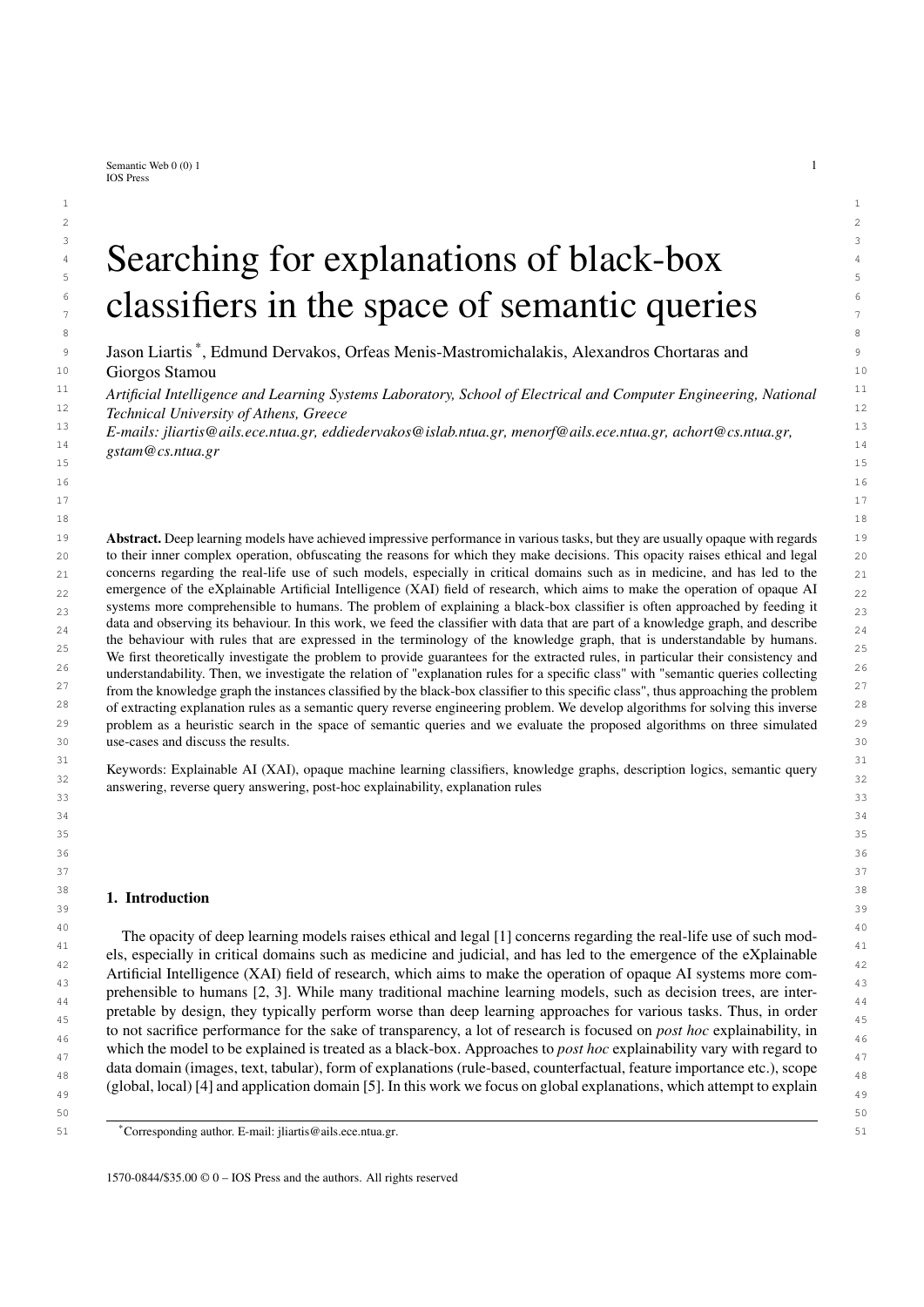#### 1 1 *5.1.2. Setting*

2 2 For this set of experiments, we used a simple multi-layer perceptron with one hidden layer as the black-box 3 3 classifier. The classifier achieved 100% accuracy on train and test set in all experiments. After training, we generated <sup>4</sup> explanations with using Alg. 1 (in the case of tabular data, both merge operations outlined in section 4.3 are reduced <sup>4</sup> <sup>5</sup> to a simple intersection of the concept assertions of the merged individuals), along with three other rule-based <sup>5</sup> 6 6 approaches from related literature, and compared them.

<sup>7</sup> We split the dataset into four parts: 1) a training set, used to train the classifier, 2) a test set, used to evaluate  $\frac{7}{10}$ <sup>8</sup> the classifier, 3) an explanation-train set, used to generate explanation rules, and 4) an explanation-test set, used  $8$ <sup>9</sup> to evaluate the generated explanation rules. When running KGrules-H and KGrules, the explanation dataset was  $10$  constructed from the explanation-train set. We experimented by changing the size of this dataset, from 100 to 4000  $10$ <sup>11</sup> rows, and observed the effect it had on the explanation rules. On the explanation-test set, we measured the fidelity  $\frac{12}{12}$  of the generated rules which is defined as the proportion of items for which classifier and explainer agree. We also measured the number of generated rules and average rule length. We used the proposed KGrules-H algorithm to  $14$  14 generate explanations, and we also generated rules (on the same data and classifier) with RuleMatrix, Skope-rules  $\frac{16}{16}$  and the crossly femicial extracts. and the closely related KGrules.

 $17$  To compare with the other methods, which return a set of rules at their output, in this experiment we only consid- $_{18}$  ered correct rules we generated. To choose which rules to consider (what would be shown to a user), from the set  $_{18}$  $_{19}$  of all correct rule-queries generated, we greedily chose queries starting with the one that had the highest count of  $_{19}$  $_{20}$  certain answers on the explanation-train set, and then iteratively adding queries that provided the highest count of  $_{20}$  $_{21}$  certain answers, not provided by any of the previously chosen queries. This is not necessarily the optimal strategy  $_{21}$  $_{22}$  of rule selection for showing to a user (it never considers rules with exceptions), and we plan to explore alternatives  $_{22}$ 23 10 1 1 1 1 1 1 1 1 1 1  $\mu$  23 in future work.

 $_{24}$  Finally, for all methods except for the related KGrules we measured running-time using same runtime on Google  $_{24}$ 25 Colab<sup>4</sup>, by using the "%%timeit"<sup>5</sup> magic command with default parameters. KGrules was not compatible with 25 26 26 this benchmarking test, since it is implemented in Java as opposed to Python which is the implementation language 27 27 provided for the other methods. In addition, KGrules implements an exhaustive exponential algorithm, so it is 28 28 expected to be much slower than all other methods.

#### $29$  $30$   $31.3$ . Results  $30$ *5.1.3. Results*

 $_{31}$  The results of the comparative study are shown in Table 2. A first observation is that for small explanation datasets,  $_{31}$  $_{32}$  the proposed approach did not perform as well as the other methods regarding fidelity, while for large ones it even  $_{32}$  $33$  outperformed them. This could be because for small explanation datasets, when the exemplars are chosen randomly,  $33$ <sup>34</sup> there are not enough individuals, and variety in the MSQs of these individuals, for the algorithm to generalize by 35 35 merging their MSQs. This is hinted also from the average rule length, which is longer for both KGrules-H and 36 36 KGrules for explanation dataset sizes 100 and 200, which indicates less general queries. Conversely, for explanation 37 datasets of 600 exemplars and larger, the proposed approach performs similarly, in terms of fidelity, with related 37 38 38 methods. Regarding running time, KGrules-H is the fastest except for the case of the largest explanation dataset, for <sup>39</sup> which Skope-rules is faster. However, in this case Skope-rules's performance suffers with respect to fidelity, whereas <sup>39</sup> 40 40 RuleMatrix and KGrules-H achieve perfect results. Furthermore, our proposed approach seems to generate longer <sup>41</sup> rules than all other methods which on the one hand means that they are more informative, though on the other hand <sup>41</sup>  $42$  they are potentially less understandable by a user. This highlights the disadvantages constructing queries using the  $42$ <sup>43</sup> MSQs as a starting point. This was validated upon closer investigation, where we saw that the rules generated from <sup>43</sup> <sup>44</sup> the small explanation datasets were more specific than needed, as the low value of fidelity was due only to false <sup>45</sup> negatives, and there were no false positives. Detecting redundant conjuncts might be be done more efficiently for <sup>46</sup> rules concerning tabular data, but for general rules, on which our approach is based, this task is very computationally  $\frac{47}{47}$  **1**  $\frac{1}{47}$  **1**  $\frac{47}{47}$ 48 and the contract of the contract of the contract of the contract of the contract of the contract of the contract of the contract of the contract of the contract of the contract of the contract of the contract of the con demanding.

49 49

51 51 <sup>5</sup>https://ipython.readthedocs.io/en/stable/interactive/magics.html#magic-timeit

<sup>50</sup> 50 <sup>4</sup>https://colab.research.google.com/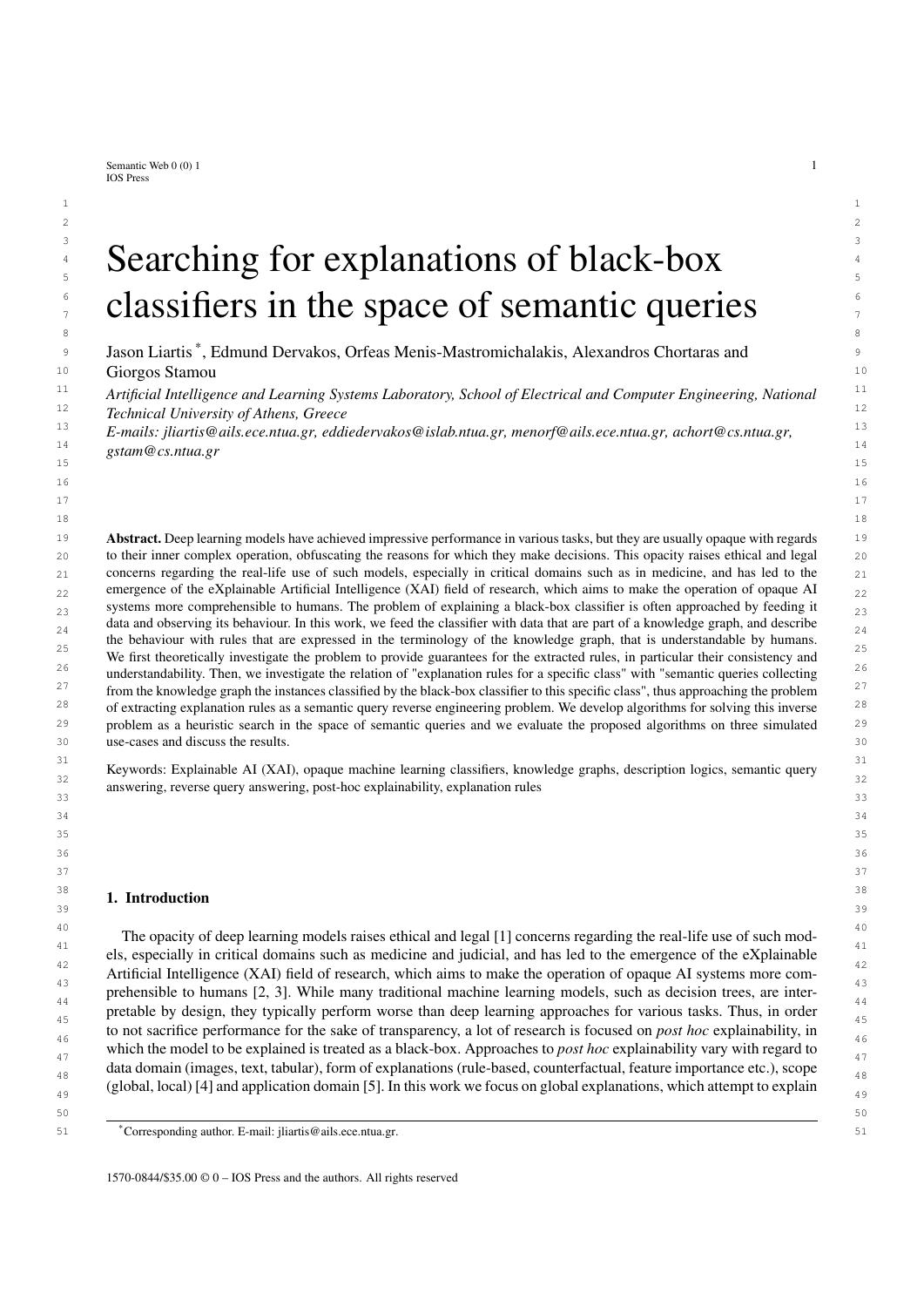| <b>Size</b> | Method      | <b>Fidelity</b> | Nr. of Rules | Avg. Length    | Time (seconds)           |
|-------------|-------------|-----------------|--------------|----------------|--------------------------|
|             | KGrules-H   | 92.70%          | 4            | 14             | 0.15                     |
| $\geq$      | KGrules     | 97.56%          | 11           | 5              |                          |
|             | RuleMatrix  | 94.53%          | 3            | 2              | 3.65                     |
|             | Skope-rules | 97.01%          | 3            | 2              | 1.29                     |
|             | KGrules-H   | 93.40%          | 8            | 14             | 0.18                     |
| 200         | KGrules     | 98.37%          | 11           | 5              |                          |
|             | RuleMatrix  | 97.78%          | 4            | 2              | 3.65                     |
|             | Skope-rules | 98.49%          | 4            | 2              | 1.47                     |
|             | KGrules-H   | 99.60%          | 10           | 13.3           | 0.61                     |
| 600         | KGrules     | 99.41%          | 13           | 4              |                          |
|             | RuleMatrix  | 99.43%          | 6            |                | 7.69                     |
|             | Skope-rules | 98.52%          | 4            | 2              | 1.58                     |
|             | KGrules-H   | 100%            | 9            | 14.2           | 1.67                     |
| 1000        | KGrules     | 99.58%          | 14           | 6.57           | $\overline{\phantom{a}}$ |
|             | RuleMatrix  | 99.90%          | 6            | 1.33           | 11.1                     |
|             | Skope-rules | 98.50%          | 4            | 2.25           | 2.95                     |
|             | KGrules-H   | 100%            | 10           | 14.2           | 34.30                    |
| 4000        | KGrules     | 99.72%          | 16           | 5.81           |                          |
|             | RuleMatrix  | 100%            | 7            | 1.43           | 43.00                    |
|             | Skope-rules | 96.85%          | 2            | $\overline{c}$ | 3.01                     |

*J. Liartis et al. / Searching for explanations of black-box classifiers in the space of semantic queries* 21

 $\blacksquare$  able 2 25 Table 2

26 26 Performance on the Mushroom dataset. 27 сер*ата на 12* марта 12 марта 22 марта 22 марта 22 марта 22 марта 22 марта 22 марта 22 марта 22 марта 22 марта 22

 $29$ 

#### 28  $3.2$ . CLEVK-Hans *5.2. CLEVR-Hans3*

 $_{30}$  The second set of experiments involved CLEVR-Hans3 [62], which is an image classification dataset designed to  $_{30}$  $_{31}$  evaluate algorithms that detect and fix biases of classifiers. This dataset provides sufficient and reliable information  $_{31}$  $32$  to create an explanation dataset, while the given train-test split contains intentional biases, which was ideal as a  $32$  $33$  grounds for experimentation, as we could observe the extent to which the proposed explanation rules can detect  $34$  control to the set of  $34$ them.

## 35 35 *5.2.1. Explanation Dataset*

<sup>36</sup> We created an explanation dataset E using the test set of CLEVR-Hans3, consisting of 750 images for each class. <sup>37</sup> By utilizing the descriptions of images provided as metadata, we defined a vocabulary  $fCN$ ; RN; INi, in which there  $\frac{37}{38}$  was an individual name for each image and for each depicted object (in IN), a concent na <sup>38</sup> was an individual name for each image and for each depicted object (in IN), a concept name for each size, color, <sup>38</sup>  $39$  shape and material in addition to three concept names (Class1, Class2, Class3) corresponding to the set of classes  $C = 39$ <sup>40</sup> and two indicative concept names Image and Object, as concept names (in CN), and the role name (in RN) contains <sup>40</sup> <sup>41</sup> which was used to link images to objects it depicts. We used the (unique) names of the image files of the test set <sup>42</sup> as names for the exemplars (EN) of our explanation dataset, so the mapping  $M$  was straightforward (mapping the <sup>42</sup> <sup>43</sup> file name to the respective image). We then created the knowledge base S over this vocabulary, with the ABox<sup>43</sup> <sup>44</sup> containing the semantic description of all images and the respective objects, and the TBox containing certain rather <sup>45</sup> trivial inclusion axioms. The sets IN, CN, RN and the Tbox of our knowledge base and the respective vocabulary <sup>46</sup> were the following: 47 47

| $IN = f (mag + 1)$ : png; object1 <sub>1</sub> ; object2 <sub>1</sub> ;:::; objectN <sub>1</sub> ; image2:png; object1 <sub>2</sub> ; object2 <sub>2</sub> ;:::; image2250:png; |  |
|---------------------------------------------------------------------------------------------------------------------------------------------------------------------------------|--|
| object1 <sub>2250</sub> ;:::; objectM <sub>2250</sub> $q$                                                                                                                       |  |
|                                                                                                                                                                                 |  |

51 CN = fimage; Object; Cube; Cylinder; Sphere; Metal; Rubber; Blue; Brown; Cyan; Gray; Green; Purple; Red; 51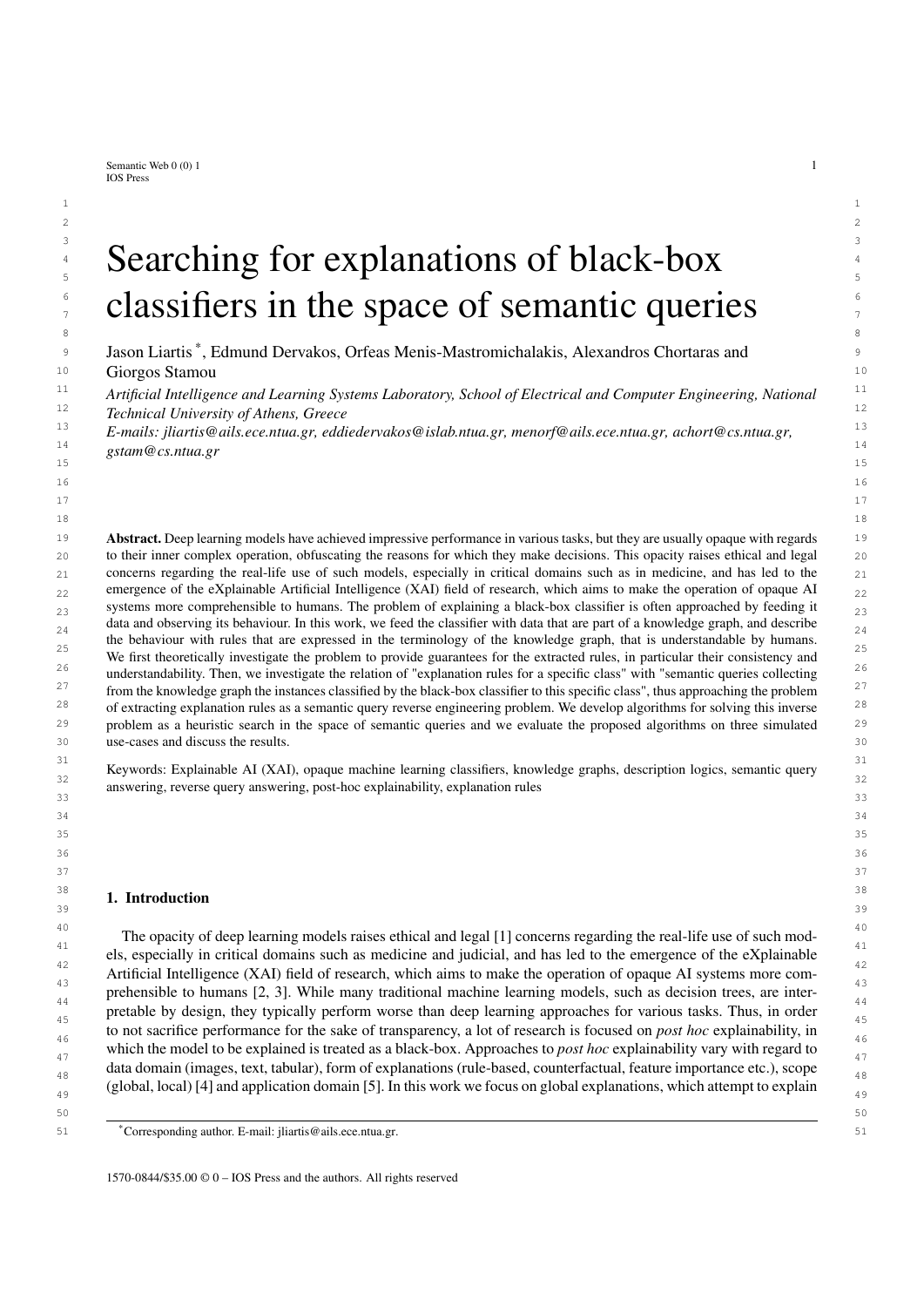|                                                                                                                                                                                                                                                                                                                                                                                                                                                                                                                                                                                                                                                                                                                                                                                                                                                                                                                                                                                                                                                                                                                                                                                                                  |                    | Validation<br>(confounded) |                  | Test<br>(non-confounded)                                     |         | <b>Class Rule</b>          |                                                                                                                                  |  |
|------------------------------------------------------------------------------------------------------------------------------------------------------------------------------------------------------------------------------------------------------------------------------------------------------------------------------------------------------------------------------------------------------------------------------------------------------------------------------------------------------------------------------------------------------------------------------------------------------------------------------------------------------------------------------------------------------------------------------------------------------------------------------------------------------------------------------------------------------------------------------------------------------------------------------------------------------------------------------------------------------------------------------------------------------------------------------------------------------------------------------------------------------------------------------------------------------------------|--------------------|----------------------------|------------------|--------------------------------------------------------------|---------|----------------------------|----------------------------------------------------------------------------------------------------------------------------------|--|
|                                                                                                                                                                                                                                                                                                                                                                                                                                                                                                                                                                                                                                                                                                                                                                                                                                                                                                                                                                                                                                                                                                                                                                                                                  |                    |                            |                  |                                                              |         |                            |                                                                                                                                  |  |
|                                                                                                                                                                                                                                                                                                                                                                                                                                                                                                                                                                                                                                                                                                                                                                                                                                                                                                                                                                                                                                                                                                                                                                                                                  |                    |                            |                  |                                                              |         |                            |                                                                                                                                  |  |
|                                                                                                                                                                                                                                                                                                                                                                                                                                                                                                                                                                                                                                                                                                                                                                                                                                                                                                                                                                                                                                                                                                                                                                                                                  |                    |                            |                  |                                                              |         | Large (gray) cube          |                                                                                                                                  |  |
|                                                                                                                                                                                                                                                                                                                                                                                                                                                                                                                                                                                                                                                                                                                                                                                                                                                                                                                                                                                                                                                                                                                                                                                                                  |                    |                            |                  |                                                              |         | and<br>Large cylinder      |                                                                                                                                  |  |
|                                                                                                                                                                                                                                                                                                                                                                                                                                                                                                                                                                                                                                                                                                                                                                                                                                                                                                                                                                                                                                                                                                                                                                                                                  |                    |                            |                  |                                                              |         |                            |                                                                                                                                  |  |
|                                                                                                                                                                                                                                                                                                                                                                                                                                                                                                                                                                                                                                                                                                                                                                                                                                                                                                                                                                                                                                                                                                                                                                                                                  |                    |                            |                  |                                                              |         |                            |                                                                                                                                  |  |
|                                                                                                                                                                                                                                                                                                                                                                                                                                                                                                                                                                                                                                                                                                                                                                                                                                                                                                                                                                                                                                                                                                                                                                                                                  |                    |                            |                  |                                                              |         |                            |                                                                                                                                  |  |
|                                                                                                                                                                                                                                                                                                                                                                                                                                                                                                                                                                                                                                                                                                                                                                                                                                                                                                                                                                                                                                                                                                                                                                                                                  |                    |                            |                  |                                                              |         | Small metal cube           |                                                                                                                                  |  |
|                                                                                                                                                                                                                                                                                                                                                                                                                                                                                                                                                                                                                                                                                                                                                                                                                                                                                                                                                                                                                                                                                                                                                                                                                  |                    |                            |                  |                                                              |         | and                        |                                                                                                                                  |  |
|                                                                                                                                                                                                                                                                                                                                                                                                                                                                                                                                                                                                                                                                                                                                                                                                                                                                                                                                                                                                                                                                                                                                                                                                                  |                    |                            |                  |                                                              |         | Small (metal) sphere       |                                                                                                                                  |  |
|                                                                                                                                                                                                                                                                                                                                                                                                                                                                                                                                                                                                                                                                                                                                                                                                                                                                                                                                                                                                                                                                                                                                                                                                                  |                    |                            |                  |                                                              |         |                            |                                                                                                                                  |  |
|                                                                                                                                                                                                                                                                                                                                                                                                                                                                                                                                                                                                                                                                                                                                                                                                                                                                                                                                                                                                                                                                                                                                                                                                                  |                    |                            |                  |                                                              |         |                            |                                                                                                                                  |  |
|                                                                                                                                                                                                                                                                                                                                                                                                                                                                                                                                                                                                                                                                                                                                                                                                                                                                                                                                                                                                                                                                                                                                                                                                                  |                    |                            |                  |                                                              |         |                            |                                                                                                                                  |  |
|                                                                                                                                                                                                                                                                                                                                                                                                                                                                                                                                                                                                                                                                                                                                                                                                                                                                                                                                                                                                                                                                                                                                                                                                                  |                    |                            |                  |                                                              |         | Large blue sphere          |                                                                                                                                  |  |
|                                                                                                                                                                                                                                                                                                                                                                                                                                                                                                                                                                                                                                                                                                                                                                                                                                                                                                                                                                                                                                                                                                                                                                                                                  |                    |                            |                  |                                                              |         | and<br>Small yellow sphere |                                                                                                                                  |  |
|                                                                                                                                                                                                                                                                                                                                                                                                                                                                                                                                                                                                                                                                                                                                                                                                                                                                                                                                                                                                                                                                                                                                                                                                                  |                    |                            |                  |                                                              |         |                            |                                                                                                                                  |  |
|                                                                                                                                                                                                                                                                                                                                                                                                                                                                                                                                                                                                                                                                                                                                                                                                                                                                                                                                                                                                                                                                                                                                                                                                                  |                    |                            |                  |                                                              |         |                            |                                                                                                                                  |  |
|                                                                                                                                                                                                                                                                                                                                                                                                                                                                                                                                                                                                                                                                                                                                                                                                                                                                                                                                                                                                                                                                                                                                                                                                                  |                    |                            |                  |                                                              |         |                            |                                                                                                                                  |  |
|                                                                                                                                                                                                                                                                                                                                                                                                                                                                                                                                                                                                                                                                                                                                                                                                                                                                                                                                                                                                                                                                                                                                                                                                                  |                    |                            |                  |                                                              |         |                            | Fig. 6. Image samples of the three classes of CLEVR-Hans3 along with the class rules and the confounding factors in parentheses. |  |
|                                                                                                                                                                                                                                                                                                                                                                                                                                                                                                                                                                                                                                                                                                                                                                                                                                                                                                                                                                                                                                                                                                                                                                                                                  |                    |                            |                  |                                                              |         |                            |                                                                                                                                  |  |
| Yellow; Large; Small; Class1; Class2; Class3g                                                                                                                                                                                                                                                                                                                                                                                                                                                                                                                                                                                                                                                                                                                                                                                                                                                                                                                                                                                                                                                                                                                                                                    |                    |                            |                  |                                                              |         |                            |                                                                                                                                  |  |
| $RN = f$ contains g                                                                                                                                                                                                                                                                                                                                                                                                                                                                                                                                                                                                                                                                                                                                                                                                                                                                                                                                                                                                                                                                                                                                                                                              |                    |                            |                  |                                                              |         |                            |                                                                                                                                  |  |
|                                                                                                                                                                                                                                                                                                                                                                                                                                                                                                                                                                                                                                                                                                                                                                                                                                                                                                                                                                                                                                                                                                                                                                                                                  |                    |                            |                  |                                                              |         |                            |                                                                                                                                  |  |
| $T = fC$ $\vee$ Object $\int C \triangle \theta$ fimage; Object; Class1; Class2; Class3gg.                                                                                                                                                                                                                                                                                                                                                                                                                                                                                                                                                                                                                                                                                                                                                                                                                                                                                                                                                                                                                                                                                                                       |                    |                            |                  |                                                              |         |                            |                                                                                                                                  |  |
|                                                                                                                                                                                                                                                                                                                                                                                                                                                                                                                                                                                                                                                                                                                                                                                                                                                                                                                                                                                                                                                                                                                                                                                                                  |                    |                            |                  |                                                              |         |                            |                                                                                                                                  |  |
|                                                                                                                                                                                                                                                                                                                                                                                                                                                                                                                                                                                                                                                                                                                                                                                                                                                                                                                                                                                                                                                                                                                                                                                                                  |                    |                            |                  |                                                              |         |                            |                                                                                                                                  |  |
| 5.2.2. Setting<br>For the experiments on CLEVR-Hans3 we used the same ResNet34 [64] classifier and training procedure as                                                                                                                                                                                                                                                                                                                                                                                                                                                                                                                                                                                                                                                                                                                                                                                                                                                                                                                                                                                                                                                                                         |                    |                            |                  |                                                              |         |                            |                                                                                                                                  |  |
| those used by the creators of the dataset in [62]. The performance of the classifier is shown in Table 3 and so is the<br>confusion matrix which summarizes the predictions of the classifier indicating the differences between the actual<br>and the predicted classes of the test samples. As expected, the classifier has lower values on some metrics regarding<br>the first two classes, and this is attributed to the confounding factors and not the quality of the classifier, since it<br>achieved 99:4% accuracy in the validation set. After training the classifier, we acquired its predictions on the test set<br>and generated explanations for each class with Alg. 1 with QLCS as the merge operation. Afterwards, utilizing the<br>reasoning capabilities of GraphDB, we loaded the knowledge base $S$ of our explanation dataset, and obtained the<br>certain answers of the corresponding explanation rule queries in order to evaluate the produced explanation rules.<br>The evaluation was based on the metrics mentioned in Section 3, essentially comparing the certain answers of the<br>explanation rule queries, with the corresponding exemplars of the pos-set of the classifier. |                    |                            |                  |                                                              |         |                            |                                                                                                                                  |  |
|                                                                                                                                                                                                                                                                                                                                                                                                                                                                                                                                                                                                                                                                                                                                                                                                                                                                                                                                                                                                                                                                                                                                                                                                                  |                    |                            |                  | Table 3<br>Performance of the ResNet34 model on CLEVR-Hans3. |         |                            |                                                                                                                                  |  |
|                                                                                                                                                                                                                                                                                                                                                                                                                                                                                                                                                                                                                                                                                                                                                                                                                                                                                                                                                                                                                                                                                                                                                                                                                  |                    |                            | Test set metrics |                                                              |         | Confusion matrix           |                                                                                                                                  |  |
|                                                                                                                                                                                                                                                                                                                                                                                                                                                                                                                                                                                                                                                                                                                                                                                                                                                                                                                                                                                                                                                                                                                                                                                                                  |                    |                            |                  | F <sub>1</sub> -score                                        |         |                            |                                                                                                                                  |  |
|                                                                                                                                                                                                                                                                                                                                                                                                                                                                                                                                                                                                                                                                                                                                                                                                                                                                                                                                                                                                                                                                                                                                                                                                                  | True label         | Precision                  | Recall           |                                                              | Class 1 | Class 2                    | Class 3                                                                                                                          |  |
|                                                                                                                                                                                                                                                                                                                                                                                                                                                                                                                                                                                                                                                                                                                                                                                                                                                                                                                                                                                                                                                                                                                                                                                                                  | Class 1            | 0.94                       | 0.16             | 0.27                                                         | 118     | 511                        | 121                                                                                                                              |  |
|                                                                                                                                                                                                                                                                                                                                                                                                                                                                                                                                                                                                                                                                                                                                                                                                                                                                                                                                                                                                                                                                                                                                                                                                                  | Class 2<br>Class 3 | 0.59<br>0.85               | 0.98<br>1.00     | 0.54<br>0.92                                                 | 5<br>2  | 736<br>$\mathbf{0}$        | 9<br>748                                                                                                                         |  |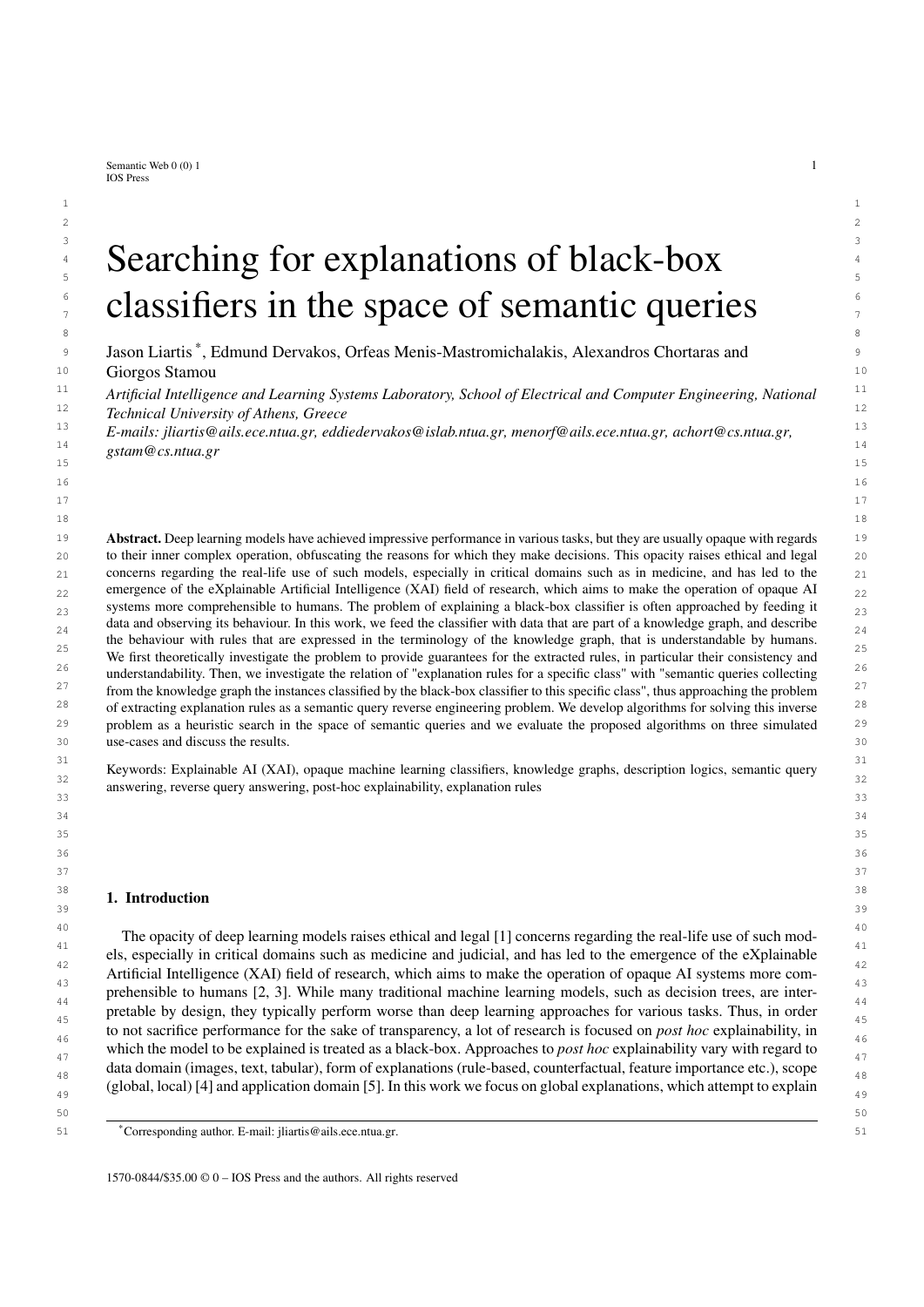2 The explanation rules generated for the ResNet34 classifier using KGrules-H and QLCS as the merge operation, 3 as outlined in section 4.3.1, are shown in Table 4, where we show the rule, the value of each metric and the numbers <sup>4</sup> of positive individuals. The term positive individuals refers to the certain answers of the respective explanation rule <sup>4</sup> 5 query that are also elements of the pos-set (they are classified in the respective class).

6 6 In our representation of explanation rule queries in Tables 4,5 we have omitted the answer variable *x*, 7 7 along with all conjuncts of the form *x* contains *y* and conjuncts of the form Object(*y*), for brevity. In addi-<sup>8</sup> tion, the rules in the Table are not formally written, to make more visually clear the characteristics of the ob-<sup>9</sup> jects involved. For example, the rule of the first row (Best precision for class 1) would formally be written Exemplar(*x*); contains(*x*; *y*<sub>1</sub>); contains(*x*; *y*<sub>2</sub>); contains(*x*; *y*<sub>3</sub>); Large(*y*<sub>1</sub>); Cube(*y*<sub>1</sub>); Gray(*y*<sub>1</sub>); Large(*y*<sub>2</sub>); Cylinder(*y*<sub>2</sub>), <sup>10</sup><br><sup>11</sup> Large(*y*<sub>2</sub>); Metal(*y*<sub>2</sub>), Class1(*x*) 11 Large(*y*<sub>3</sub>); Metal(*y*<sub>3</sub>) ! Class1(*x*). <sup>11</sup><br><sup>12</sup> The algorithm found a correct rule (precision - 1) for each class in addition to a rule query with recall - 1<sup>2</sup>

<sup>12</sup> The algorithm found a correct rule (precision = 1) for each class, in addition to a rule query with recall = 1, <sup>12</sup> <sup>13</sup> whose certain answers are a superset of the positive set. The best degree was achieved for class 3, which lacks a <sup>13</sup> <sup>14</sup> confounding factor, meaning the classifier is not expected to be biased. Correct rule queries are of particular interest <sup>14</sup>  $15$  since they can be translated into guaranteed IF-THEN rules which the classifier follows on the particular dataset.  $15$ <sup>16</sup> For instance the highest recall correct rule query for class 1 is translated into the rule "If the image contains a Large  $16$ <sup>17</sup> Gray Cube, a Large Cylinder and a Large Metal Object then it is classified to class 1.". This rule clearly shows the  $18$  bias of the classifier, since it is the description of the class with the added confounding factor (the Large Cube is  $18$  $^{19}$  Gray). Similarly the (not correct) rule query with recall = 1 for the same class can be translated into the rule "If the  $^{19}$ <sup>20</sup> image does not contain a Large Cube then it is not classified to class 1", since the set of certain answers is a super<sup>20</sup> <sup>21</sup> set of the positive set. We observed that correct rule queries tend to be more specific than others, with the most <sup>22</sup> general rules with exceptions being those with recall = 1. Other rules which were correct with exceptions, tended to  $\frac{23}{2}$  lie somewhere in the middle with respect to how general or specific they are, but they were the ones which lead to <sup>24</sup> the highest values of degree. By observing these results, we concluded that in practice, a set of rules, both correct  $\frac{24}{\epsilon}$  $25$  and with exceptions, can give us a very clear picture of what the black-box classifier is doing. However, in order to  $26$   $26$ not overwhelm an end-user with a large number of rules, we should develop a strategy to select which rules to show  $\frac{27}{27}$ to the user. Here, as opposed to the Mushroom experiment  $(5.1)$  the strategy we used was to show the highest recall, highest precision and highest degree rules, along with their exceptions if any, but as mentioned, we plan to explore additional strategies in the future, such as showing disjunctions of correct rules.

It is interesting to note that the rule query with recall = 1 produced for class 1 contained a Large Cube but not a  $\frac{31}{31}$ Large Cylinder, which is also in the description of the class. This shows that in the training process the classifier  $\frac{32}{2}$ <sup>33</sup> 33 33 33 33 34 and to pay more attention to the presence of cubes rather than the presence of cylinders. The elements of the  $_{34}$  highest recall correct rule that differ from the true description of class 1 can be a great starting point for a closer  $_{35}$  inspection of the classifier. We expected the presence of a Gray Cube from the confounding factor introduced in the  $_{35}$ training and validation sets, but in a real world scenario similar insights can be reached by inspecting the queries.  $_{37}$  In our case, we further inquired the role that the Gray Cube and the Large Metal Object play in the correct rule by  $_{37}$  $_{38}$  removing either of them from the query and examining its behavior. In Table 5 we can see that the gray color was 39 39 essential for the correct rule while the Large Metal Object was not, and in fact its removal improved the rule and 40 40 returned almost the entire class.

Another result that piqued our attention was the highest degree explanation for class 3 which is the actual rule  $_{41}$ that describes this class. This explanation was not a correct rule, since it had two exceptions, which we can also see  $\frac{42}{2}$  $_{43}$  in the confusion matrix of the classifier and we were interested to examine what sets these two individuals apart. We  $_{43}$  $_{44}$  found that both of these individuals are answers to the query "y1 is Large, Gray, Cube". This showed us once again  $_{44}$ 45 45 the great effect the confounding factor of class 1 had on the classifier.

<sup>46</sup> <sup>46</sup> Our overall results show that the classifier tended to emphasize low level information such as color and shape <sup>47</sup> and ignored higher level information such as texture and the combined presence of multiple objects. This was the 48 reason why the confounding factor of class 1 had an important effect to the way images were classified, while 49 the confounding factor of class 2 seemed to have had a much smaller one. Furthermore, the added bias made the 50 classifier reject class 1 images, which however had to be classified to one of the other two classes (no class was not 51 an option). Therefore one of the other classes had to be "polluted" by samples which were not confidently classified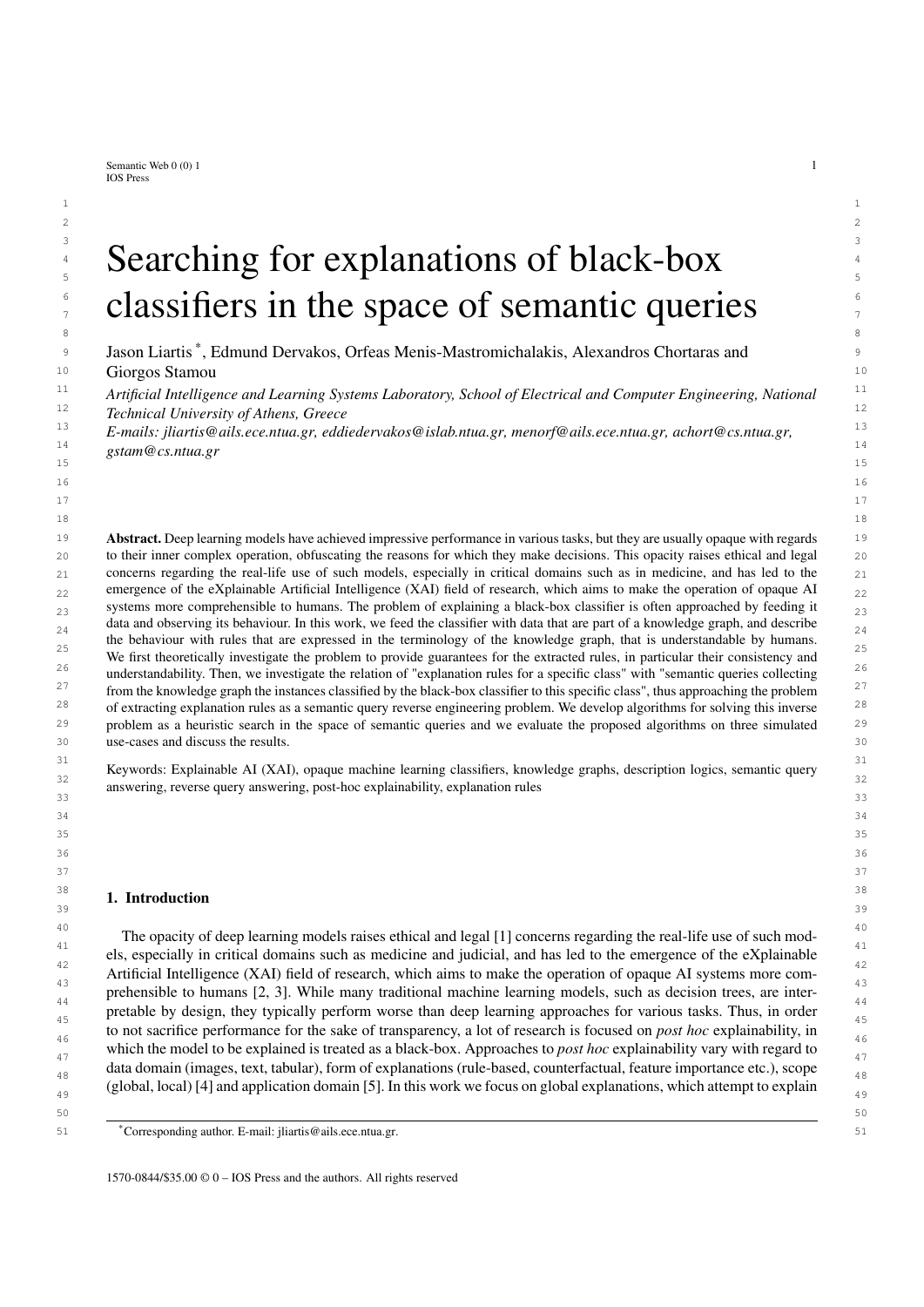| Metric                   | <b>Explanation Rules</b>                                                                                                                                                                                                                                                                                                   | <b>Precision</b> | Recall | <b>Degree</b> | <b>Positives</b> |  |
|--------------------------|----------------------------------------------------------------------------------------------------------------------------------------------------------------------------------------------------------------------------------------------------------------------------------------------------------------------------|------------------|--------|---------------|------------------|--|
|                          |                                                                                                                                                                                                                                                                                                                            | Class 1          |        |               |                  |  |
|                          | y1 is Large, Cube, Gray.                                                                                                                                                                                                                                                                                                   |                  |        |               |                  |  |
| <b>Best</b><br>Precision | y2 is Large, Cylinder.<br>y3 is Large, Metal.                                                                                                                                                                                                                                                                              | 1.00             | 0.66   | 0.66          | 83               |  |
| Best<br>Recall           | y1 is Large, Cube.                                                                                                                                                                                                                                                                                                         | 0.09             | 1.00   | 0.09          | 125              |  |
| Best<br>Degree           | y1 is Large, Cube, Gray.<br>y2 is Large, Cylinder.                                                                                                                                                                                                                                                                         | 1.00             | 0.66   | 0.66          | 83               |  |
|                          | y3 is Large, Metal.                                                                                                                                                                                                                                                                                                        | Class 2          |        |               |                  |  |
| Best<br>Precision        | y1 is Small, Sphere.<br>y2 is Large, Rubber.<br>y3 is Small, Metal, Cube.<br>y4 is Small, Brown.<br>y5 is Small, Rubber, Cylinder.                                                                                                                                                                                         | 1.00             | 0.09   | 0.09          | 116              |  |
| Best<br>Recall           | y1 is Cube.                                                                                                                                                                                                                                                                                                                | 0.63             | 1.00   | 0.63          | 1247             |  |
| Best<br>Degree           | y1 is Metal, Cube.<br>y2 is Small, Metal.                                                                                                                                                                                                                                                                                  | 0.78             | 0.8    | 0.65          | 1005             |  |
|                          |                                                                                                                                                                                                                                                                                                                            | Class 3          |        |               |                  |  |
| <b>Best</b><br>Precision | y1 is Metal, Blue.<br>y2 is Large, Blue, Sphere.<br>y3 is Yellow, Small, Sphere.<br>y4 is Small, Rubber.<br>y5 is Metal, Sphere.                                                                                                                                                                                           | 1.00             | 0.42   | 0.42          | 365              |  |
| <b>Best</b><br>Recall    | y1 is Large.<br>y2 is Sphere.                                                                                                                                                                                                                                                                                              | 0.42             | 1.00   | 0.42          | 878              |  |
| Best<br>Degree           | y1 is Yellow, Small, Sphere.<br>y2 is Large, Blue, Sphere.                                                                                                                                                                                                                                                                 | 0.99             | 0.85   | 0.85          | 748              |  |
|                          | to a class. This motivates us to expand the framework in the future to work with more informative sets than the<br>pos-set, such as elements which were classified with high confidence, and false and true, negatives and positives.<br>Two modified versions of the class 1 correct rule produced by removing conjuncts. | Table 5          |        |               |                  |  |
|                          |                                                                                                                                                                                                                                                                                                                            |                  |        | Positives     | <b>Negatives</b> |  |
| Query                    |                                                                                                                                                                                                                                                                                                                            |                  |        |               |                  |  |

 $50$  $51$  51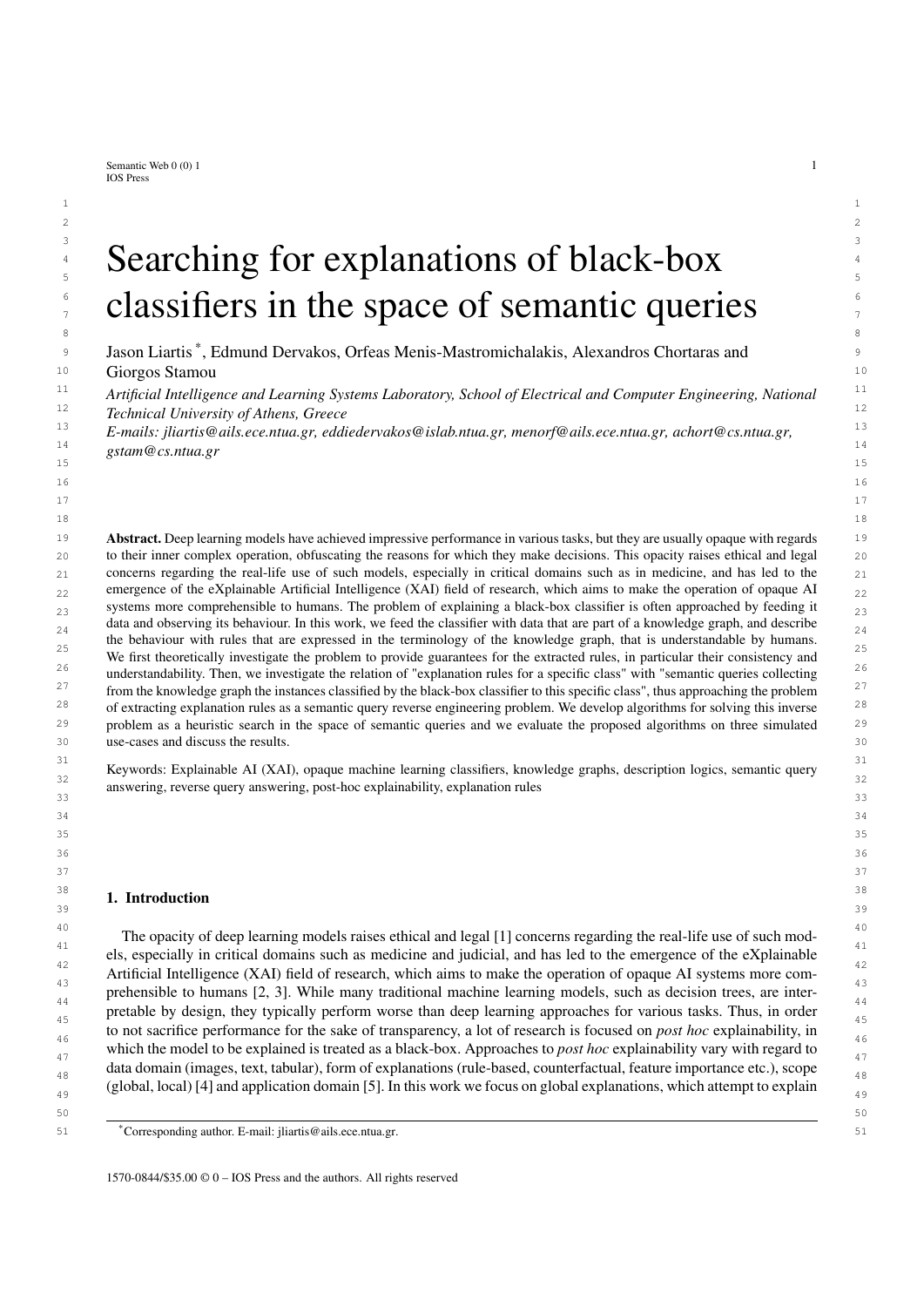### 1 1 *5.3. MNIST*

 3 For the third and final set of experiments we used MNIST, which is a dataset containing grayscale images of 4 handwritten digits [63]. It is a very popular dataset for machine learning research, and even though classification 5 on MNIST is essentially a solved problem, many recent explainability approaches experiment on this dataset (for 6 example [65]). For us, MNIST was ideal for experimenting with automatic explanation dataset generation by using 7 traditional feature extraction from computer vision. An extension to this approach would be using more complex in-8 formation extraction from images, such as object detection or scene graph generation, for applying the explainability 9 framework to explain generic image classifiers. This however is left for future work.

# 10 10 *5.3.1. Explanation Dataset*

<sup>11</sup>  $\frac{1}{10}$  For creating the explanation dataset for MNIST, we manually selected a combination of 250 images from the test  $\frac{12}{12}$  set, including both typical and unusual exemplars for each digit. The unusual exemplars were chosen following the  $\frac{13}{13}$  mushroom experiment (5.1), in which we saw that small explanation datasets do not facilitate good explanation rules  $\frac{14}{10}$  when the exemplars are chosen randomly, so we aimed for variety of semantic descriptions. In addition, the unusual  $\frac{14}{10}$ exemplars tended to be misclassified, and we wanted to see how their presence would impact the explanations.

<sup>16</sup><br>Since there was no semantic information available that could be used to construct an explanation dataset, we <sup>17</sup> automatically extracted descriptions of the images, by using feature extraction methods. Specifically, the images <sup>18</sup> were described as a collection of intersecting lines, varying in angle, length and location within the image. These  $\frac{19}{2}$  lines were detected using the technique of ridge detection [66]. The angles of the lines were quantized to 0, 45, 90 or <sup>20</sup> 135 degrees, and the images were split into 3 horizontal (top, middle, bottom) and 3 vertical (left, center, right) zones which define 9 areas (top left, top center, ::: , bottom right). For each line we noted the areas it passes through. In<br> $\frac{22}{10}$  Fig. 7 we show an example of an MNIST image, along with the results of the aforementioned 22  $\Gamma$ ,  $\Gamma$  1  $\Gamma$  1  $\Gamma$  1  $\Gamma$  1  $\Gamma$  1  $\Gamma$  1  $\Gamma$  1  $\Gamma$  1  $\Gamma$  1  $\Gamma$  1  $\Gamma$  22 Fig. 7 we show an example of an MNIST image, along with the results of the aforementioned information extraction  $\frac{22}{23}$ procedure using ridge detection.

<sup>24</sup> Based on the selected images and the extracted information, we created our explanation dataset E. We constructed 25 a vocabulary  $\hbar CN$ ; RN; INi, with an individual for each image and each line therein as individual names (IN), the concepts oncepts and the sexual as ten  $\frac{25}{100}$  $\frac{26}{25}$  concepts defining the angle, location and length of each line, two indicative concepts Image and Line, as well as ten  $\frac{27}{22}$  concepts (one for each digit) corresponding to the set of classes C, as concept names (CN), and the roles contains with  $\frac{28}{20}$  domain Image, and range Line, indicating the existence of a line in a specific image, and the symmetric intersects  $\frac{28}{20}$ <sup>29</sup> with both domain and range Line, indicating that two lines intersect each other, as the role names (RN). To define <sup>30</sup> the mapping  $M$  of the explanation dataset, after extracting the images and separating them into digits, we numbered  $\frac{31}{2}$  them and named the Exemplars (and the corresponding file names) according to their digit and index. This also <sup>32</sup> makes the images easy to retrieve. We then created the knowledge base S over this vocabulary, with the ABox <sup>33</sup> containing the semantic description of all exemplar images and the respective lines, and the TBox containing certain  $\frac{34}{1000}$  34  $\frac{1}{1000}$   $\frac{1}{1000}$   $\frac{1}{1000}$   $\frac{1}{1000}$   $\frac{1}{1000}$   $\frac{1}{1000}$   $\frac{1}{1000}$   $\frac{1}{1000}$   $\frac{1}{1000}$   $\frac{1}{1000}$   $\frac{1}{1000}$   $\frac{1}{1000}$   $\frac{1}{1000}$   $\frac{1}{1000}$   $\frac{1}{1000}$   $\frac{1}{100$ rather trivial inclusion axioms. The vocabulary  $IN$ ; CN; RN and the Tbox of our knowledge base are the following:

|            | $IN = \text{ftest\_zero1; test\_zero1\_line0;}:$ :::; test_zero1_line7; test_zero6; test_zero6_line0;:::; test_nine979; |    |
|------------|-------------------------------------------------------------------------------------------------------------------------|----|
| $\sim$ $-$ |                                                                                                                         |    |
|            | test_nine979_line7;:::;lineM <sub>250</sub> $q$                                                                         | 38 |
|            |                                                                                                                         |    |

 $39$  CN = fimage; Line) Line0deg; Line45deg; Line90deg; Line135deg; TopLeft; TopCenter; TopRight; MidLeft;  $39$ <br> $39$  AidCenter: MidDight: RetLeft: RetCenter: RetDight: Chect: Medium: Lengg  $^{40}$  40 MidCenter; MidRight; BotLeft; BotCenter; BotRight; Short; Medium; Long $g$  40  $^{40}$   $^{41}$   $^{41}$ 

 $RN =$  fcontains; intersects $g$ :  $42$ 

 $T = fC \vee \text{Line } jC \text{ } \varnothing \text{ } \text{Image; Line} ggr.$ 

 $\frac{1}{46}$   $\frac{1}{46}$   $\frac{1}{46}$   $\frac{1}{46}$   $\frac{1}{46}$ *5.3.2. Setting*

47 For MNIST we used the example neural network provided by PyTorch  $^6$  as the classifier to be explained. The  $_{47}$ classifier achieved 99.8% accuracy on the training set and 99.2% on the test set. On the explanation dataset, the  $_{49}$  accuracy is 73%, and a confusion matrix for the classifier on the explanation dataset is shown in Table 8. The per-

 $50$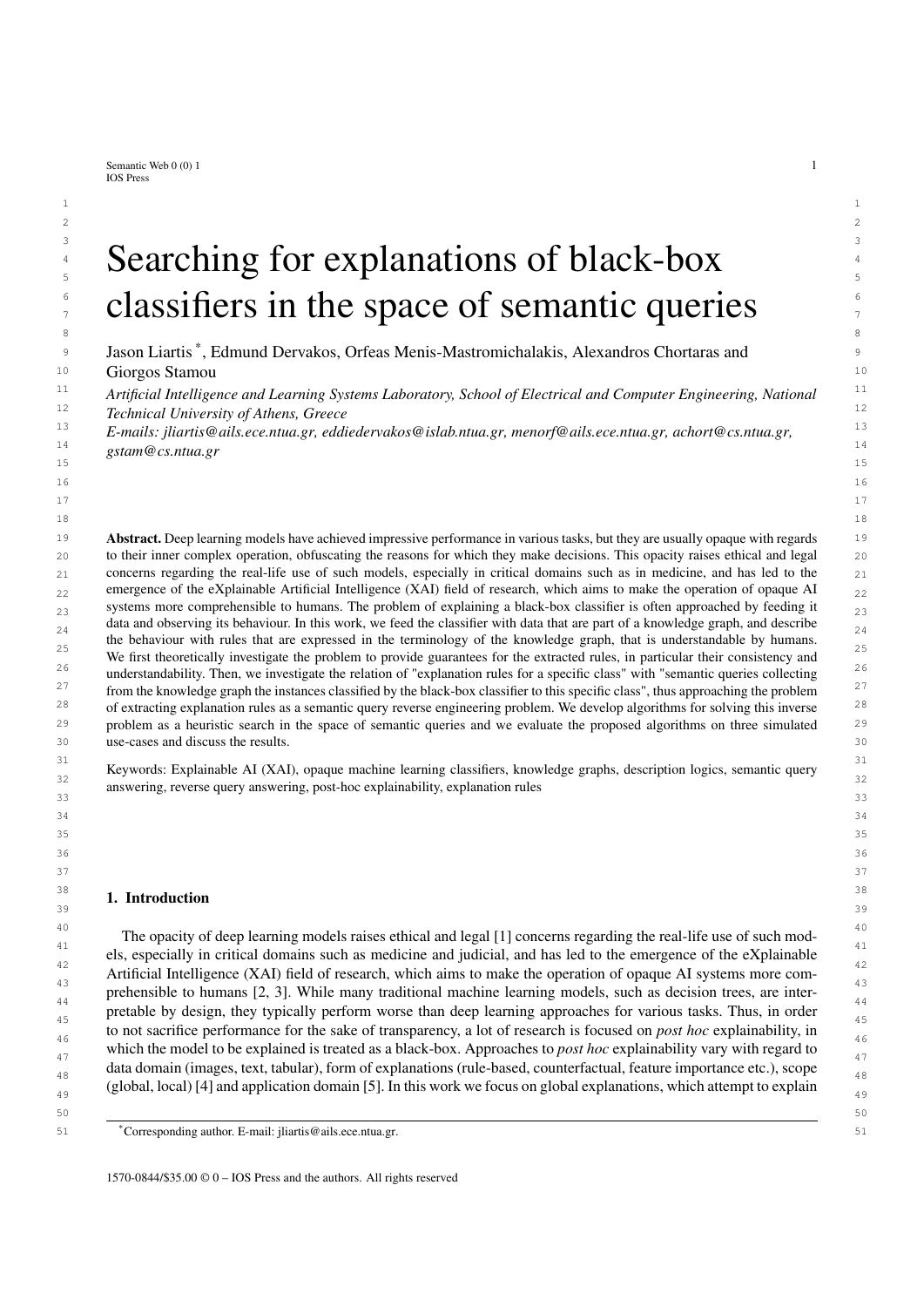

<sup>44</sup> KGrules-HT (Alg. 3) and KGrules-H (Alg. 1) with Alg. 4 as the merge operation, and loaded the explanation dataset <sup>45</sup> in GraphDB for acquiring certain answers. We also experimented with the QLCS as the merge operation, but the <sup>46</sup> resulting queries mostly contained a large number of variables which could not be effectively minimized, which <sup>47</sup> could be due to the complex connections between variables with a symmetric role.  $47$ 

#### 49  $3.3.3$ . *Results*  $49$ *5.3.3. Results*

50 For MNIST there does not exist a ground truth semantic description for each class, as was the case for CLEVR-

48

51 Hans3, nor is there a pre-determined bias of the classifier, thus we could not easily measure our framework's useful-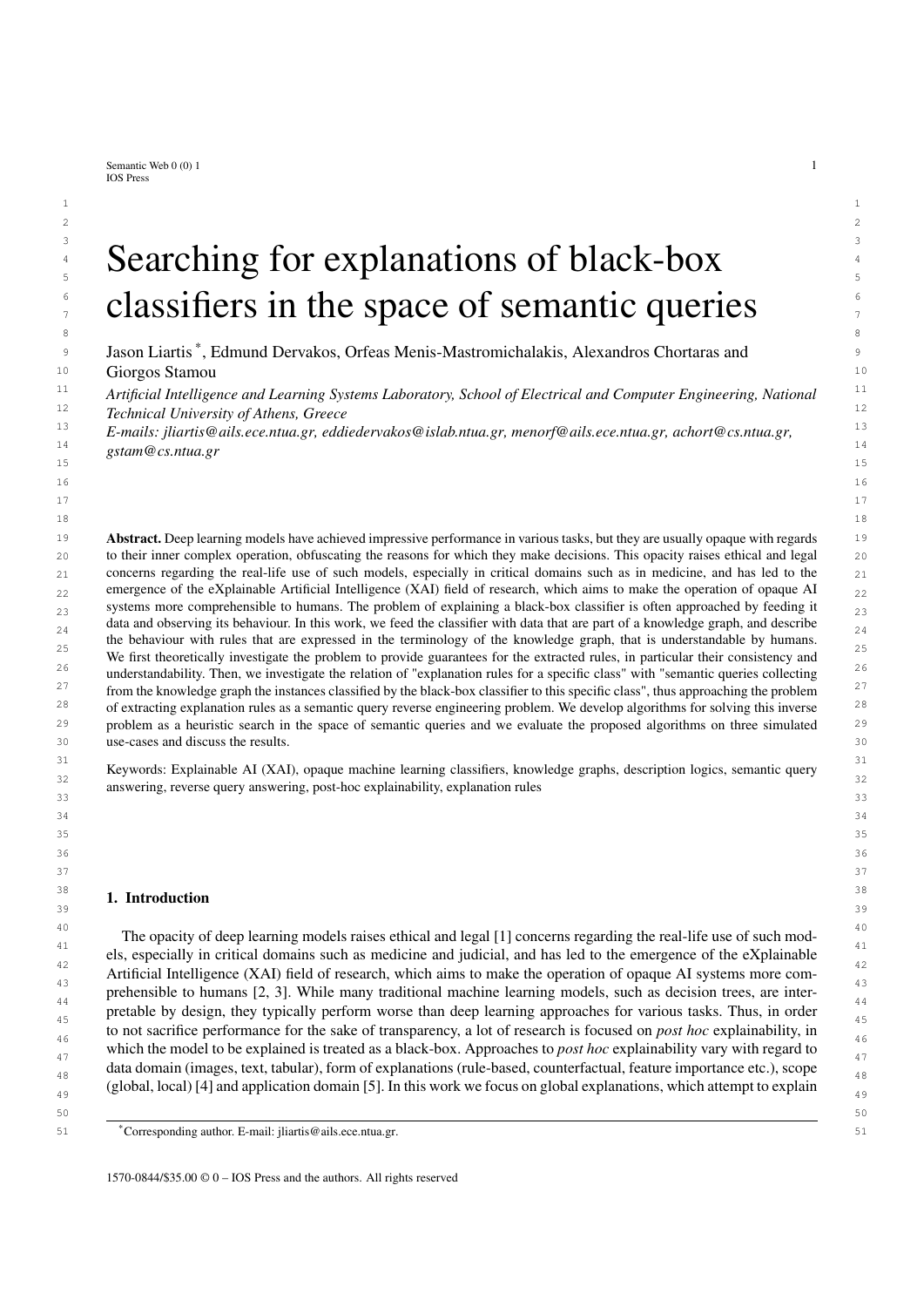1 ness in this regard. Instead, since the explanation dataset was constructed automatically, we explored quality related 2 2 features of the generated explanations.

 3 For all digits the algorithm produced at least one correct rule (precision = 1) and a rule with exceptions with recall <sup>4</sup> = 1. The highest degree of rule queries for each digit are shown as a bar-plot in Fig. 9a. In general, the values of the 5 metric seem low, with the exception of digit 0, which would indicate that the algorithms did not find a single rule 6 which approximates the pos-set to a high degree. For some of the digits, including 0, the highest degree rule is also <sup>7</sup> a correct rule. For closer inspection, we show the best degree rule query for digit 0 which is the highest, and for **a** digit 5 which is the lowest.



 22 Fig. 9. Metrics of generated rule queries for MNIST 

 24 The explanation rule for digit 0 involved six lines, as indicated by the conjuncts contains(*x*; *<sup>y</sup>*1), contains(*x*; *<sup>y</sup>*2), contains(*x*; *y*<sub>3</sub>), contains(*x*; *y*<sub>4</sub>), contains(*x*; *y*<sub>5</sub>), contains(*x*; *y*<sub>6</sub>). For five of the six lines, the explanation rule  $\frac{1}{25}$  $_{26}$  query included their location in the image, indicated by the conjuncts TopCenter( $y_1$ ), BotRight( $y_2$ ), BotCenter( $y_2$ ),  $z_6$  $_{27}$  MidRight(y<sub>3</sub>), TopRight(y<sub>5</sub>), BotCenter(y<sub>6</sub>). For all six lines the explanation rule included information about  $_{27}$  $_{28}$  their orientation, indicated by the conjuncts Line45deg( $y_1$ ), Line45deg( $y_2$ ), Line90deg( $y_3$ ), Line90deg( $y_4$ ),  $z_8$  29 Line135deg(*y*5), Line135deg(*y*6). Finally, the rule-query included the following conjuncts which show which lines intersect each other intersects( $y_1$ ;  $y_4$ ), intersects( $y_2$ ;  $y_3$ ), intersects( $y_3$ ;  $y_5$ ), intersects( $y_4$ ;  $y_6$ ). A rule query with so  $y_3$ <br>many conjuncts could notentially be difficult for a user to decipher many conjuncts could potentially be difficult for a user to decipher, so in this case we found it useful to visualize the  $31$  rules. The above rule is visualized in Fig. 10a. The visualization is clear and intuitive as an explanation for digits  $32$ 33 classified as zeroes, however visualization of rules will not be possible in all applications. This shows the importance <sub>33</sub> 34 of taking under consideration understandability when designing explaination pipelines, which in our case depends 34 35 mostly on the vocabulary and expressivity of the underlying explanation dataset. In this case, the vocabulary used 35 36 was itself somewhat obscure for users (sets of intersecting lines are not easy to understand by reading a rule), which <sub>36</sub> could have been mitigated if the explanation dataset had been curated by humans and not created automatically. In  $37$ 38 this particular use-case it was not a problem however, since the visualization of rules was easy in most cases.

39 The highest degree explanation rule for digit 5, which was the lowest out of the best of all digits, again involved 39 40  $\frac{1}{40}$  six lines indicated by the conjuncts contains(*x*; *y*<sub>1</sub>), contains(*x*; *y*<sub>2</sub>), contains(*x*; *y*<sub>3</sub>), contains(*x*; *y*<sub>4</sub>), contains(*x*; *y*<sub>5</sub>), 40<br>Contains(*x*; *y*<sub>1</sub>). This time however, only three contains(*x*; *y*<sub>6</sub>). This time however, only three lines had information about their location in the image, indicated by the conjuncts  $BotCenter(v_0)$   $BotCenter(v_1)$  and five lines had information about their orienta- 42 by the conjuncts BotCenter(*y*2), BotCenter(*y*4), MidCenter(*y*5), and five lines had information about their orienta- 43 tion Line0deg(*y*1), Line0deg(*y*2), Line45deg(*y*3), Line45deg(*y*4) Line135deg(*y*6). Furthermore, this rule-query in-44 cluded information about the size of two lines, indicated by the conjuncts Medium $(y_4)$ , Short $(y_6)$ . Finally, as with 44 before, we get a set of conjuncts showing which lines intersect each other: intersects( $y_1$ ;  $y_3$ ), intersects( $y_2$ ;  $y_4$ ), 45<br>intersects( $y_3$ ;  $y_5$ ). This rule query is not easy to understand and it is even difficu intersects( $y_3$ ;  $y_5$ ). This rule query is not easy to understand and it is even difficult to visualize, since there is not as 47 enough information about the location of each line, thus it is not actually usable. This was expected to an extent, due 48 to the low value of the degree metric, but again highlights the importance of taking usability under consideration 49 when choosing which rule-queries to show to a user.

50 Regarding correct rules, the algorithm produced several for each digit. Since the sets of certain answers of correct 50 51 rule queries are subsets of the pos-set of each class, we measured the per class fidelity of the disjunction of all correct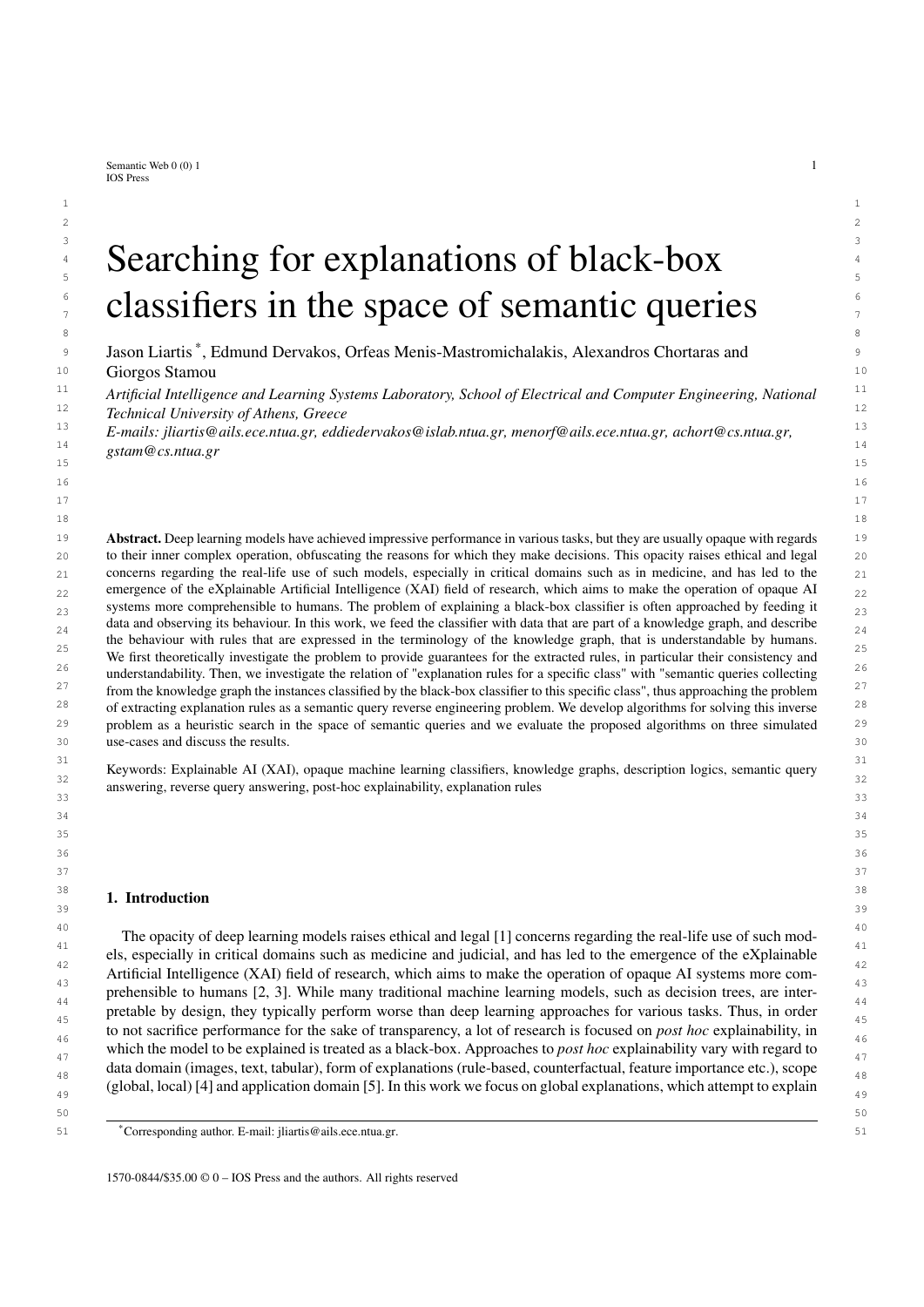

<sup>38</sup> 38 **fidelity for each class. With the exception of digit one, the pos-sets of all digits were sufficiently covered by the set**  39 of correct rules. The failure for digit 1 was expected, since the descriptions of the exemplars classified as 1 contain  $\frac{40}{40}$  $\frac{41}{41}$  few lines (for example consisting of a single large line in the middle) which tend to be part of descriptions of other digits as well (all digits could be drawn in a way in which there is a single line in the middle). This is a drawback of  $\frac{42}{2}$  $\frac{43}{43}$  the open world assumption of DLs since we cannot guarantee the non-existence of lines that are not provided in the descriptions. The open world assumption is still desirable since it allows for incomplete descriptions of exemplars.  $\frac{44}{4}$  $_{45}$  In cases such as the medical motivating example used throughout this paper, a missing finding such as "Dyspnoea"  $_{45}$  $_{46}$  does not always imply that the patient does not suffer from dyspnoea. It could also be a symptom that has not been  $_{46}$ 47 detected or has been overlooked.

<sup>48</sup> The highest recall of a single correct rule for each digit is shown as a bar-plot in Fig. 9b. Since correct rules are <sup>48</sup> 49 easily translated into IF-THEN rules, we expected them to be more informative than the highest degree ones, which 50 requires looking at the exceptions to gain a clearer understanding of the rule. We investigate closer by analyzing the 51 best correct rule for each digit.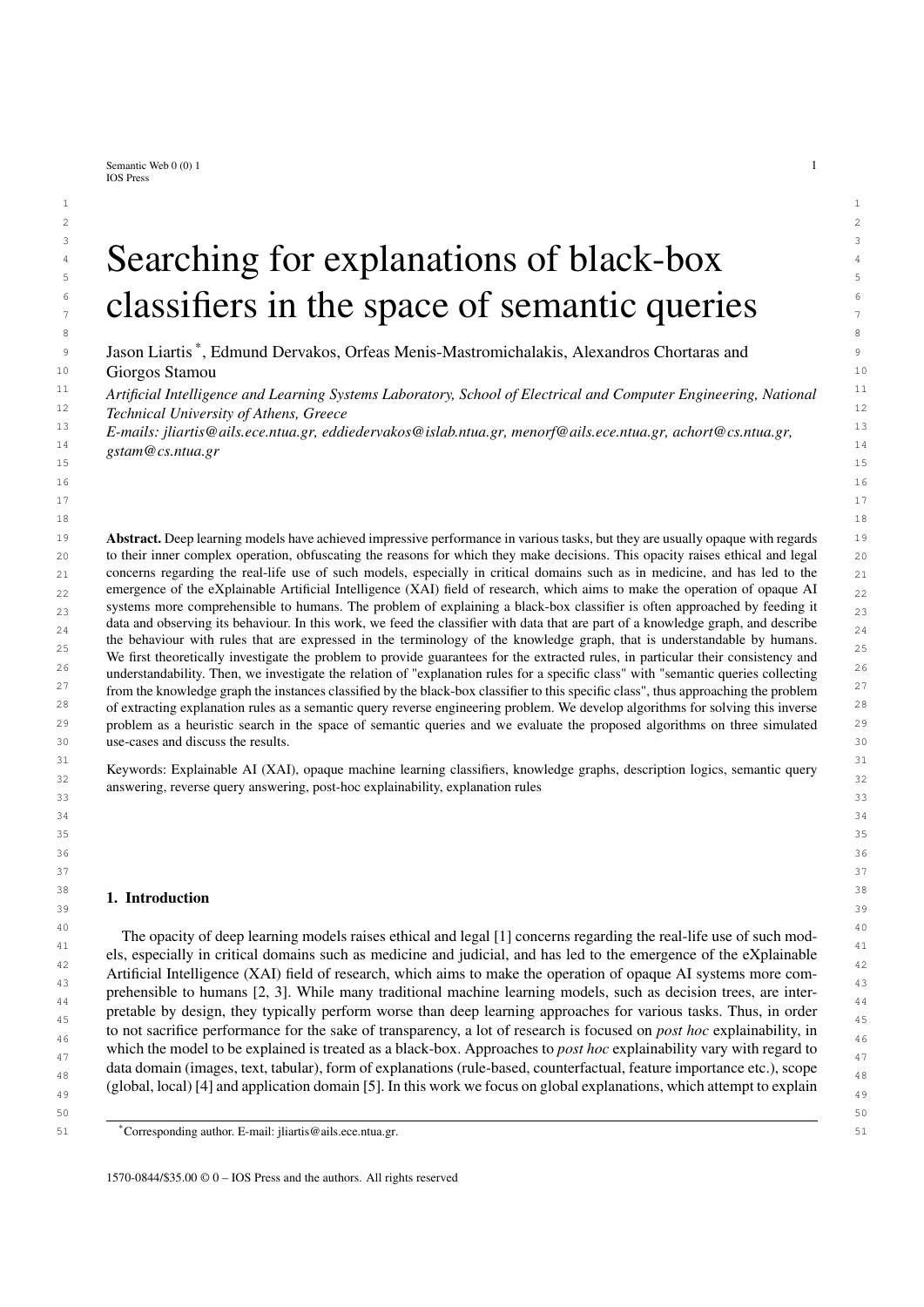1 For digit 0, the best correct rule rule was the same as the highest degree rule presented previously. In Fig. 11a 2 we provide an example of a six misclassified as a 0, which follows this correct rule. Comparing the misclassified 6 3 with the visualizations for rules of the digits 0 (Fig. 10a) and 6 (Fig. 10f) we can see that this 6 might have been <sup>4</sup> misclassified as a 0 because the closed loop part of the digit reaches the top of the image. According to the correct 5 rule for 0, an image that contains two vertical semicircles in the left and right sides of the image is classified as a 0, <sup>6</sup> and because of this peculiarity in the drawing of the misclassified six, the image (Fig. 10a) obeys this rule.

<sup>7</sup> The best correct rule for digit 1 had the lowest recall out of all correct rules for other digits, which means that it  $\frac{7}{2}$ <sup>8</sup> returned a small subset of the positives. Specifically, this rule returned only two of the 30 individuals classified as the digit 1. It was still usable as an explanation however, as it only involved two lines contains(*x*; *y*<sub>1</sub>), contains(*x*; *y*<sub>2</sub>), <sup>9</sup><br>hoth of which were thoroughly described with regard to their location BotCenter(*y*<sub>0</sub> <sup>10</sup> both of which were thoroughly described with regard to their location BotCenter( $y_1$ ), MidCenter( $y_1$ ), TopCenter( $y_1$ ), <sup>11</sup> BotCenter( $y_2$ ), their orientation Line90deg( $y_1$ ), Line135deg( $y_2$ ), their length Long( $y_1$ ), Short( $y_2$ ) and the fact that <sup>11</sup> they intersect intersects( $y_1$ ;  $y_2$ ). This rule is visualized in Fig. 10b.<br><sup>13</sup> For digit 2, the best correct rule query returned nine out of the 25 positives, three of which were missclassified<sup>13</sup>

<sup>13</sup> For digit 2, the best correct rule query returned nine out of the 25 positives, three of which were missclassified<sup>13</sup> <sup>14</sup> by the classifier. This rule involved three lines, of which two had conjuncts indicating their location BotRight( $y_1$ ), <sup>14</sup>  $^{15}$  BotLeft(y<sub>3</sub>), BotCenter(y<sub>3</sub>), MidCenter(y<sub>3</sub>), only one line contained information about its orientation and size  $^{15}$  $\frac{16}{17}$  Line45deg(*y*<sub>3</sub>), Long(*y*<sub>3</sub>), and the only other information was that intersects(*y*<sub>2</sub>; *y*<sub>3</sub>). Note that for *y*<sub>2</sub> the only avail-<br><sup>17</sup> able information was that it intersects *y*<sub>2</sub>. This query is diff <sup>17</sup> able information was that it intersects  $y_3$ . This query is difficult to visualize, due to the missing information about <sup>18</sup> two of the three lines, however it is still useful as an explanation. Specifically,  $y_3$  represents a long diagonal line <sup>18</sup> <sup>19</sup> from the bottom left to the middle of the image, which is a characteristic of only the digits 2 and 7. Additionally, <sup>20</sup> there is a line of any orientation in the bottom right of the image, which would differentiate it from a typical 7, and <sup>20</sup> <sup>21</sup> another line which intersects the long diagonal at any position. As is apparent also in the confusion matrix of the <sup>21</sup> classifier on the explanation dataset (Table 8), the black-box often mixed up sevens with twos, and this explanation  $\frac{22}{\sqrt{1}}$ z<sup>23</sup> rule returns one of the sevens which is misclassified as a two, shown in Fig. 11d. This digit is not typically drawn, 24 24 and from the rule query the information we get is that it might have been misclassified because of the existence of a 26 26 line at the bottom right.

 $\frac{27}{27}$  To investigate closer, the next correct rule which we analyze is that of highest recall for digit 7. This query returned only three of the 24 images which were classified as sevens, and all three were correct predictions by the classifier. The rule involved two intersecting lines (intersects(y<sub>1</sub>; y<sub>2</sub>)), of which the first is described as Line0deg(*y*<sub>1</sub>), Long(*y*<sub>1</sub>)  $\frac{29}{29}$ <br>Top of (*y*<sub>1</sub>) TopConter(*y*<sub>3</sub>) TopDight(*y*<sub>3</sub>) which is clearly the char  $\frac{30}{30}$  TopLeft(y<sub>1</sub>), TopCenter(y<sub>1</sub>), TopRight(y<sub>1</sub>) which is clearly the characteristic top part of the digit, while the second  $\frac{30}{30}$ line is described as Line45deg(y<sub>2</sub>)), BotCenter(y<sub>2</sub>), MidCenter(y<sub>2</sub>), MidRight(y<sub>2</sub>), Long(y<sub>2</sub>), which is the diagonal  $\frac{31}{31}$  $\frac{32}{32}$  part of the digit. The description of the diagonal has a different description than the diagonal line which was part of the rule for digit 2. Instead of BotLeft(y), the rule contains a conjunct MidRight(y). This could be another hint as to  $_{34}$  why the 7 shown in Fig. 11d was not classified as correctly, as the digit appears to be leaning slightly to the right,  $35$  which makes the diagonal pass through BotLeft, which is in the description of the diagonal for a digit 2 instead of  $35$  $_{36}$  MidRight which is for digit 7. To conclude if this is the case however would require investigating more rules, since  $_{36}$  $37$  the one presented covers only a subset of exemplars classified as digit 7.

38 38 For digit 3, the best correct explanation rule returned five of the 26 individuals which were classified as  $39$  3, including one misclassified 8. This rule involved seven different lines, thus it was not expected to be  $39$  $_{40}$  understandable by a user at a glance. However, there was plentiful information for each line in the rule,  $_{40}$ <sup>41</sup> which made it possible to visualize. Specifically, regarding the location of the lines, the rule query con-42 42 tained the conjuncts TopCenter(*y*1), BotCenter(*y*2), BotCenter(*y*3), BotRight(*y*4), MidRight(*y*4), TopCenter(*y*5), 43 43 MidCenter(*y*6), BotCenter(*y*7). Regarding orientation, five of the seven lines had relevant conjuncts: Line0deg(*y*2), 44 44 Line45deg(*y*3), Line90deg(*y*4), Line135deg(*y*6), Line135deg(*y*7). Additionally, three lines had information about their size Short( $y_4$ ), Short( $y_5$ ), Medium( $y_6$ ). Finally, the explanation rule contained conjuncts showing which lines  $\frac{45}{45}$ intersect each other: intersects( $y_1$ ;  $y_5$ ), intersects( $y_2$ ;  $y_3$ ), intersects( $y_2$ ;  $y_7$ ), intersects( $y_3$ ;  $y_4$ ), intersects( $y_4$ ;  $y_6$ ). <sup>47</sup> This rule-query is visualized in Fig. 10c. An interesting aspect of this explanation, is that the two lines which are at <sup>47</sup>  $48$  the top center  $(y_1$  and  $y_5$ ) do not have a specified orientation, while the other four lines are involved in more con-49 49 juncts in the explanation rule query and are described in more detail. This could be an indication of the importance 50 50 of these lines for a digit to be classified as a 3. However, these lines could also be a part of other digits such as 5, 51 which is the next digit which we analyze.  $51$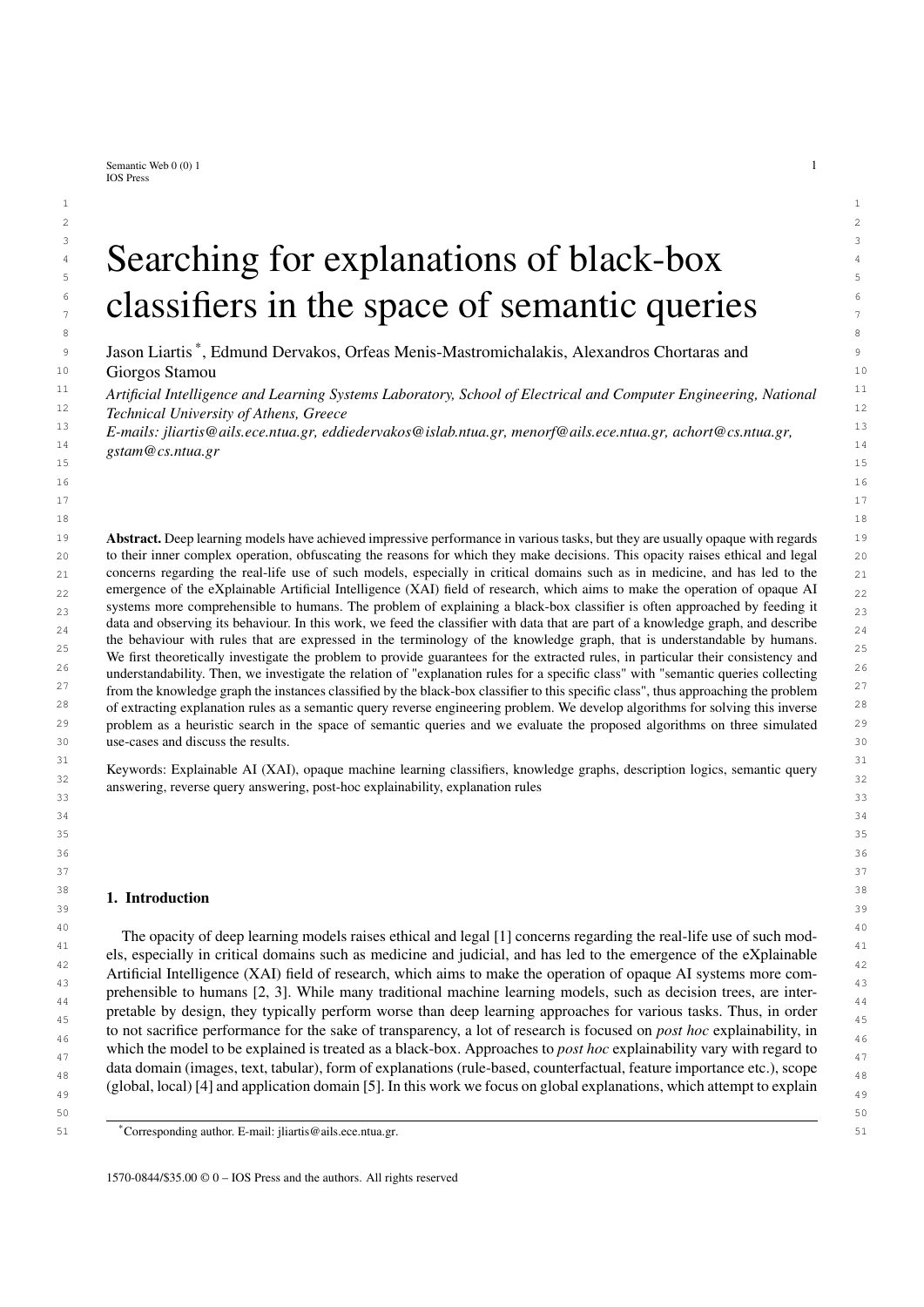1 For the digit 5, the best correct rule query returned four of the 31 positives for the class of which one 2 is a misclassified 3. It is a very specific query involving seven lines, all of which are described regarding 3 their orientation Line45deg(*y*1), Line135deg(*y*2), Line45deg(*y*3), Line0deg(*y*4), Line0deg(*y*5), Line135deg(*y*6), 4 Line90deg(*y*7), and their location BotCenter(*y*1), BotLeft(*y*2), BotCenter(*y*2), MidCenter(*y*3), BotCenter(*y*4), 5 TopRight(*y*5), TopCenter(*y*5), MidRight(*y*6), MidCenter(*y*6), MidRight(*y*7), BotRight(*y*7). There was no informa-6 tion about lines' sizes, and there are five line intersections intersects( $y_1$ ;  $y_4$ ), intersects( $y_1$ ;  $y_7$ ), intersects( $y_2$ ;  $y_4$ ), 6<br>intersects( $y_2$ ;  $y_6$ ) intersects( $y_1$ ;  $y_7$ ). This query is visualized intersects( $y_3$ ;  $y_5$ ), intersects( $y_6$ ;  $y_7$ ). This query is visualized in Fig. 10e. An interesting aspect of this rule-query is the fact that it contains a misclassified 3 in its set of certain answers, specifically 8 the fact that it contains a misclassified 3 in its set of certain answers, specifically the three shown in Fig. 11c. In <sup>9</sup> the context of the proposed framework, the 3 is misclassified because it obeys the correct rule for the digit 5. From 10 comparing the visualization of the correct rule for the digit 5, and the misclassified 3, we can see that the digit obeys <sup>11</sup> the rule because the top part of the three is vertically compressed, making it less distinguishable from a 5. This 12 12 12 **12 clearly shows us a potential flaw of the classifier.** 12 13 For the digit 4, the best correct rule query returned five of the 22 positives all of which were correct pre- dictions. The query involved three lines which were all well described regarding their orientation Line0deg( $y_1$ ),  $14$  15 Line45deg(*y*2), Line90deg(*y*3), and their location MidCenter(*y*1), MidCenter(*y*2), BotCenter(*y*3), MidCenter(*y*3), 16 TopCenter( $y_3$ ). Two lines were also described with respect to their size Medium( $y_1$ ), Long( $y_3$ ), and there were two 16 intersections of lines intersects( $y_1$ ;  $y_2$ ), intersects( $y_1$ ;  $y_3$ ). This rule is visualized in Fig. 10d. This is a straight-<br>forward description of the digit four and as expected it covers only true positives 18 forward description of the digit four, and as expected it covers only true positives. 19 For the digit 6, the best resulting correct rule involved the most variables (each representing a line) out of all 20 correct rules. It returned four of the 18 positives for the class all of which were correct predictions. Of the eight lines 21 described in the query, seven had information about their orientation Line0deg( $y_1$ ), Line45deg( $y_2$ ), Line45deg( $y_3$ ), 21 22 Line45deg(*y*4), Line90deg(*y*5), Line135deg(*y*7), Line135deg(*y*8). All lines were desribed with respect to their 23 position BotCenter(*y*1), TopCenter(*y*2), MidCenter(*y*3), BotRight(*y*4), MidCenter(*y*5), MidRight(*y*6), MidRight(*y*7), 24 BotCenter(*y*8), MidCenter(*y*8). Additionally four lines had a determined size Short(*y*1), Short(*y*6), Short(*y*7), 25 Medium(*y*<sub>8</sub>), and there were five intersections of lines intersects(*y*<sub>1</sub>; *y*<sub>4</sub>), intersects(*y*<sub>1</sub>; *y*<sub>8</sub>), intersects(*y*<sub>2</sub>; *y*<sub>5</sub>), 25<br>26 intersects(*y*<sub>1</sub>: *y*<sub>8</sub>) intersects(*y*<sub>1</sub>: *y*<sub>3</sub>). This rule is v intersects( $y_5$ ;  $y_8$ ), intersects( $y_6$ ;  $y_7$ ). This rule is visualized in Fig. 10f, it is a straight-forward description of a digit 6. 26<br>For digit 8, the best correct rule query returned four of the 20 positives, al 27 For digit 8, the best correct rule query returned four of the 20 positives, all of which are classified correctly. It 28 involved seven lines, of which five were described with respect to their orientation Line45deg(*y*2), Line90deg(*y*3), 29 Line135deg(*y*5), Line45deg(*y*6), Line0deg(*y*7), six regarding their location MidCenter(*y*1), BotCenter(*y*2), 30 BotCenter(*y*3), MidCenter(*y*3), BotCenter(*y*4), TopCenter(*y*6), TopCenter(*y*7), and five regarding their size: 31 Medium(*y*1), Short(*y*3), Short(*y*4), Short(*y*5), Short(*y*7). Finally, the rule query involved four intersections of lines intersects( $y_1$ ;  $y_3$ ), intersects( $y_2$ ;  $y_4$ ), intersects( $y_5$ ;  $y_7$ ), intersects( $y_6$ ;  $y_7$ ). This rule is difficult to visualize due to the assume information (only four of the seven lines have information abou 33 missing information (only four of the seven lines have information about both their location and orientation), and 34 thus is not really useful as an explanation. 35 Finally, the best correct rule query for digit 9 returned five of the 15 positives, of which all were correct 36 predictions by the classifier. It involved six lines which were all thoroughly described regarding their orien- 37 tation Line0deg(*y*1), Line0deg(*y*2), Line45deg(*y*3), Line90deg(*y*4), Line135deg(*y*5), Line135deg(*y*6), and their 38 location TopCenter(*y*1), MidCenter(*y*2), TopCenter(*y*3), MidCenter(*y*3), MidLeft(*y*3), MidRight(*y*4), BotRight(*y*4), 39 TopCenter(*y*5), MidRight(*y*5), MidLeft(*y*6). Additionally, two lines were described regarding their size Medium(*y*3),  $\frac{40}{41}$  Short(*y*<sub>6</sub>). The query also contained three conjuncts which indicated intersections of lines intersects(*y*<sub>1</sub>; *y*<sub>3</sub>),  $\frac{40}{41}$  intersects(*y*<sub>1</sub>: *y*<sub>3</sub>), intersects(*y*<sub>1</sub>: *y*<sub>4</sub>). This query is visu intersects( $y_1$ ;  $y_5$ ), intersects( $y_2$ ;  $y_6$ ). This query is visualized in Fig. 10h, it is a straight-forward description of a 41<br>digit 9

 digit 9. digit 9.

#### 44 *5.4. Discussion*

 46 The proposed approach seems useful in general, performing similarly with the state-of-the-art on tabular data, 47 being able to detect biases in the CLEVR-Hans case, and providing meaningful explanations even in the MNIST 48 case. The resulting explanations depend (almost exclusively) on the properties of the explanation dataset. In an 49 ideal scenario, end-users trust the explanation dataset, the information it provides about the exemplars and the ter- 50 minology it uses. It is like a quiz, or an exam, for the black-box, which is carefully curated by domain experts. 51 This scenario was simulated in the CLEVR-Hans3 use-case in which the set of rules produced by the proposed

43

45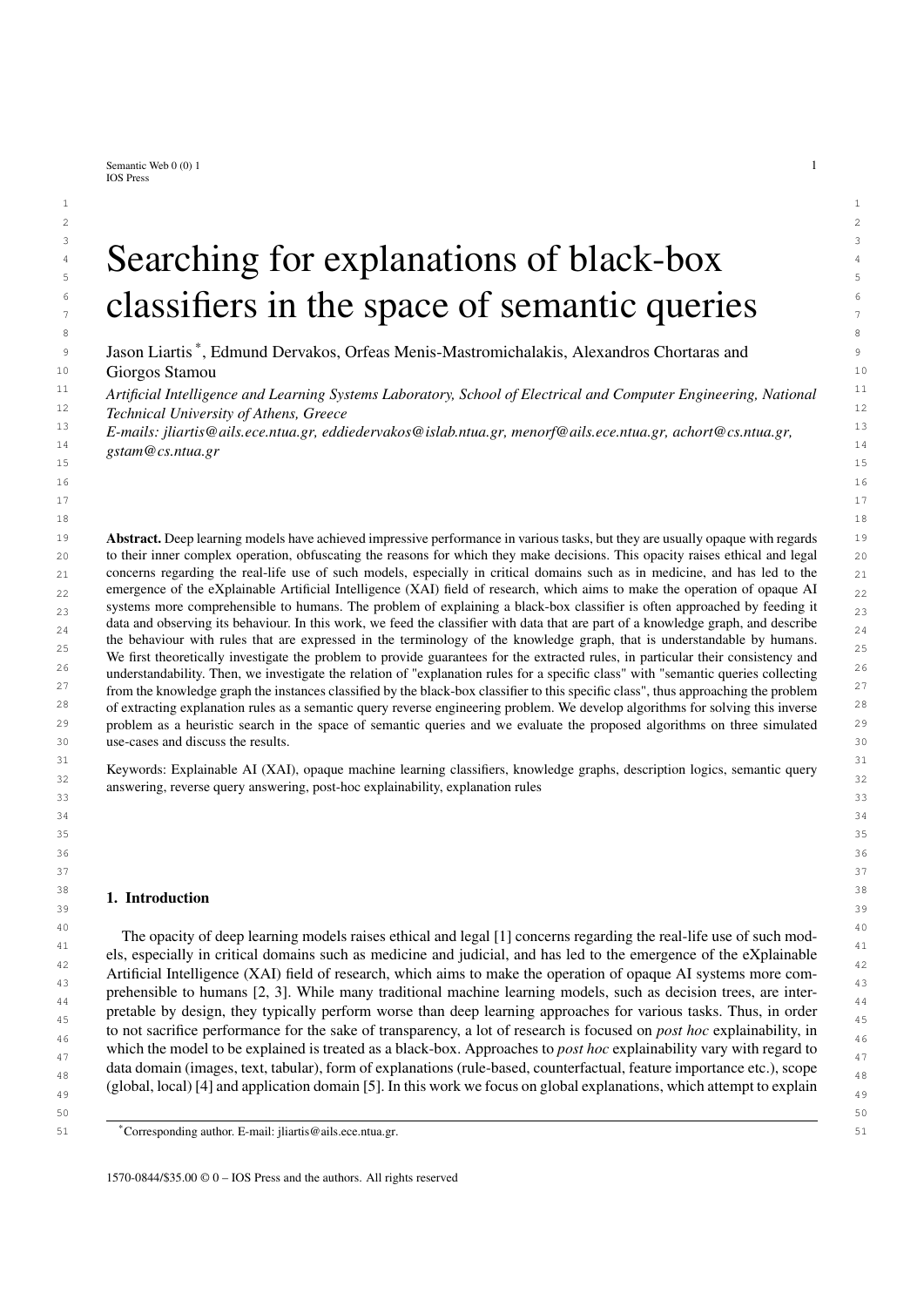1 algorithms clearly showed in which cases the black-box classifies items in specific classes, highlighting potential 2 biases acquired during training. The framework is also useful when the explanation dataset is created automatically 3 by leveraging traditional feature extraction, as is shown in the MNIST use-case. In this case, we found the resulting 4 queries to be less understandable than before, which stems mainly from the vocabulary used, since sets of inter- 5 secting lines are not easily understandable unless they are visualized. They are also subjectively less trustworthy, 6 since there are usually flaws with most automatic information extraction procedures. However, since sets of correct 7 rules sufficiently covered the sets of individuals, and rules with exceptions achieved decent performance regarding <sup>8</sup> precision, recall and degree, if an end-user invested time and effort to analyze the resulting rules, they could get a 9 more clear picture about what the black-box is doing.

10 We also found interesting the comparison of correct rules with those with exceptions. Correct rules are, in general, 10 11 more specific than others, as they always have a subset of the pos-set as certain answers. This means that, even 11 12 though they might be more informative, they tend to involve more conjuncts than rules with exceptions, which in 13 extreme cases could impact understandability. On the other hand, rules with exceptions can be more general, with 14 fewer conjuncts, which could positively impact understandability. However, utilizing these rules should involve 15 examining the actual exceptions, which could be a lot of work for an end-user. These conclusions were apparent in 16 the explanations generated for the class 3 of CLEVR-Hans3 (Table 4), where the best correct rule was very specific, 16 <sup>17</sup> involved five objects and had a relatively low recall (0.42), while the best rule with exceptions was exactly the <sup>17</sup> 18 ground truth class description and had very high precision (0.99). So in this case a user would probably gain more 19 information about the classifier if they examined the rule with exceptions along with the few false positives, instead 20 of examining the best correct rule, or a set of correct rules.

21 Another observation we made, is the fact that some conjuncts were more understandable than others when they 21 22 were part of explanation rules. For instance in MNIST, knowing a line's location and orientation was imperative 23 for understanding the rule via visualization, while conjuncts involving line intersections and sizes seemed not that 24 important, regardless of metrics. This is something which could be leveraged either in explanation dataset construc- 25 tion (for example domain experts weigh concepts and roles depending on their importance for understandability), 26 or in algorithm design (for example a user could provide as input concepts and roles which they want to appear in 27 explanation rules). We are considering these ideas as a main direction for future work which involves developing 28 strategies for choosing which rules are best to show to a user.

 29 Finally, in the first experiment (5.1), it is shown that KGrules-H can be used to generate explanations in terms 30 of feature data similarly to other rule-based methods, even if it is not the intended use-case. An interesting com- 31 parison for a user study would be between different vocabularies (for example using the features vs using external 32 knowledge). We note here that the proposed approach can always be applied on categorical feature data, since their 33 transformation to an explanation dataset is straight-forward. This would not be the case if we also had numerical 34 continuous features, in which case we would either require more expressive knowledge to represent these features, 35 or that the continuous features be discretized. Another result which motivates us to explore different knowledge 36 expressivities in the future, was the failure of the algorithms to produce a good (w.r.t. the metrics) explanation for 36 37 the digit 1 in the MNIST experiment (5.3). Specifically, it was difficult to find a query which only returns images 37 38 of this digit, since a typical description of a "1" is general and tends to always partially describe other digits. This 39 is something which could be mitigated if we allowed for negation in the generated rules, and this is the second 40 direction which we plan to explore in the future.

41

### 43 6. Conclusions and Future Work

 45 In this work we have further developed a framework for rule-based *post hoc* explanations of black-box classifiers. 46 The explanations are expressed as Horn rules which use terms from a given vocabulary, instead of the classifier's 47 features. This allows for intuitive explanations even when the feature space of the classifier is too complex to be used 48 within understandable rules (pixels, audio signals etc). The rules are also accompanied by theoretical guarantees 49 regarding their *correctness* for explaining the classifier, given what we call an explanation dataset. The idea of the 50 explanation dataset is at the core of our framework, as it is the probe we use to observe the black-box, by feeding 51 it exemplar data and finding rules which explain its output. The explanation dataset also contains the knowledge

42

44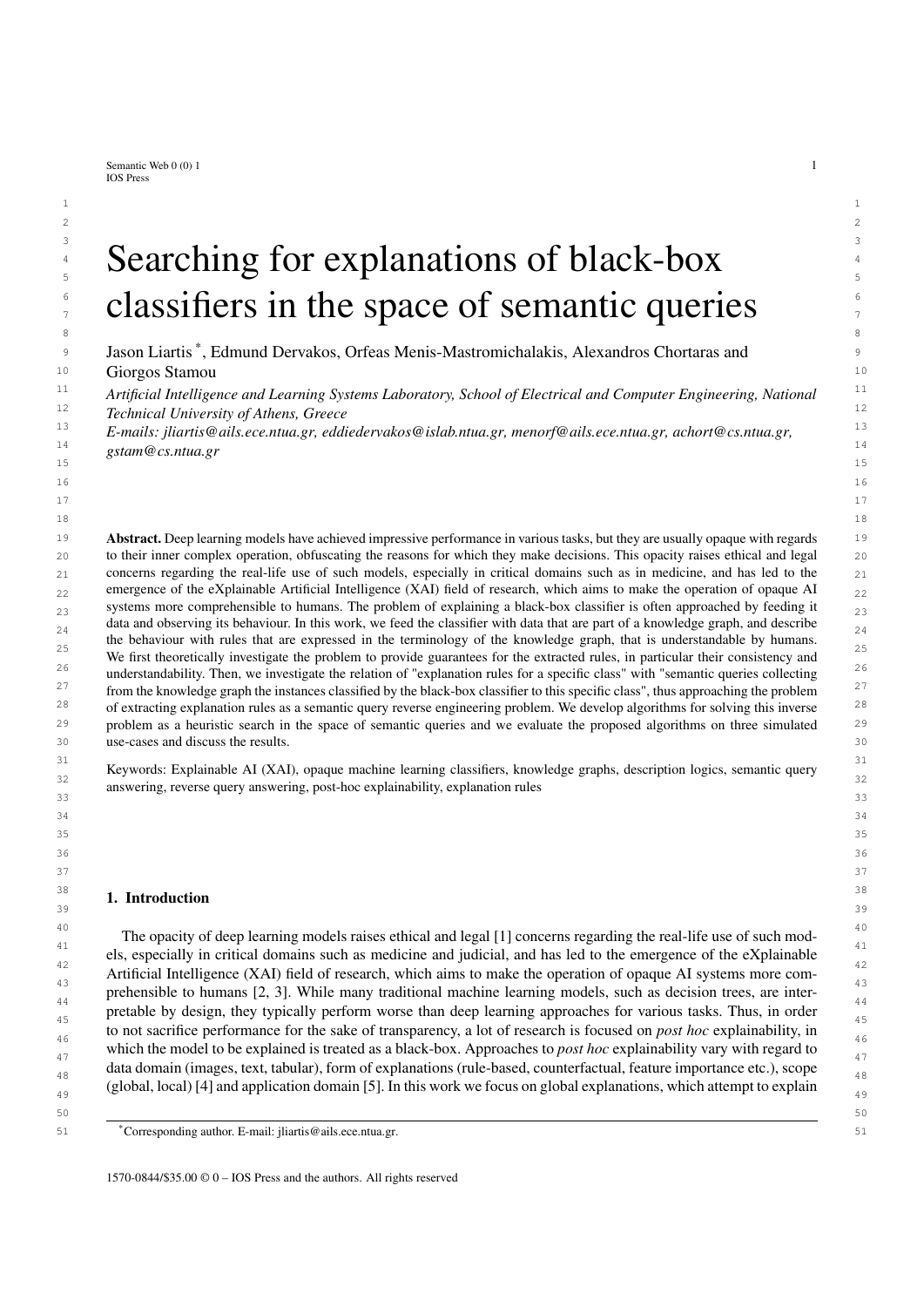1 from which the semantics of the rules are derived. The problem of finding such rules given an explanation dataset 2 was approached as a search problem in the space of semantic queries, by starting with the most specific queries 3 describing positively classified exemplars, and then progressively merging them using heuristic criteria. The queries 4 are then approximately condensed, converted to rules and are shown to the end-user.

 5 There are multiple directions towards which we plan to extend the framework in the future. First of all, we are 6 currently investigating different strategies for choosing which explanation rules are best to show to a user such <sup>7</sup> that they are both informative and understandable. To do this, we also plan to extend our evaluation framework for <sup>8</sup> real world applications to include user studies. Specifically, we are focusing on decision critical domains in which 9 explainability is crucial, such as the medical domain, and in collaboration with domain experts, we are developing 10 explanation datasets, in addition to a crowd-sourced explanation evaluation platform. There are many interesting 11 research questions which we are exploring in this context, such as what constitutes a good explanation dataset, what 12 is a good explanation, and how can we build the trust required for opaque AI to be utilized in such applications.

 13 Another direction which we are currently exploring involves ways in which we can extend the framework, both <sup>14</sup> in theory and in practice, to incorporate different types of explanations. This includes local explanations which <sup>14</sup> 15 explain individual predictions of the black-box, and counterfactual or contrastive explanations which highlight how 16 a specific input should be modified in order for the prediction of the classifier to change. This extension is being <sup>17</sup> researched with the end-user in mind, and we are exploring the merits of providing a blend of explanations (global, <sup>17</sup> 18 local, counterfactual) to an end-user.

<sup>19</sup> 19 A third and final direction to be explored involves extending the expressivity of explanation rules, in addition to <sup>19</sup> 20 that of the underlying knowledge. Specifically, the algorithms developed in this work require that if the knowledge 21 has a non-empty TBox, it has to be eliminated via materialization before running the algorithms. Thus, we are 22 exploring ideas for algorithms which generate explanation rules in the case where the underlying knowledge is 23 represented with DL dialects in which the TBox cannot be eliminated, such as DL\_Lite. Finally, regarding the 24 expressivity of explanation rules, we plan to extend the framework to allow for disjunction, which is a straight- 25 forward extension, and for negation, which is much harder to incorporate in the framework while maintaining the 26 theoretical guarantees, which we believe are crucial for building trust with end-users.

#### References 29 References

 31 [1] B. Goodman and S.R. Flaxman, European Union Regulations on Algorithmic Decision-Making and a "Right to Explanation", *AI Mag.*  $30(3)(201/), 30-37.$   $32$ (3) (2017), 50–57.

27 сер*ата на 12* марта 12 марта 22 марта 22 марта 22 марта 22 марта 22 марта 22 марта 22 марта 22 марта 22 марта 22 28

- 33 [2] M. Turek, Explainable artificial intelligence (XAI), *Defense Advanced Research Projects Agency. http://web.archive. org/web/20190728055815/https://www.darpa.mil/program/explainable-artificial-intelligence* (2018).
- <sup>34</sup> [3] W.J. Murdoch, C. Singh, K. Kumbier, R. Abbasi-Asl and B. Yu, Interpretable machine learning: definitions, methods, and applications, <sup>34</sup> 35 *CoRR* abs/1901.04592 (2019).
- 36 [4] R. Guidotti, A. Monreale, S. Ruggieri, F. Turini, F. Giannotti and D. Pedreschi, A Survey of Methods for Explaining Black Box Models, ACM Comput. Surv. **51**(3) (2019), 93:1–93:42. *ACM Comput. Surv.* 51(5) (2019), 93:1–93:42.
- 38 [5] F. Lecue, On the role of knowledge graphs in explainable AI, *Semantic Web* 11 (2019), 1–11. doi:10.3233/SW-190374.
- 39 *tation, and Applications*, Cambridge University Press, 2003. [6] F. Baader, D. Calvanese, D.L. McGuinness, D. Nardi and P.F. Patel-Schneider (eds), *The Description Logic Handbook: Theory, Implemen-*
- <sup>40</sup> [7] J. van der Waa, E. Nieuwburg, A. Cremers and M. Neerincx, Evaluating XAI: A comparison of rule-based and example-based explanations, <sup>40</sup> 41 *Artificial Intelligence* 291 (2021), 103404.
- 42 [8] H. Yang, C. Rudin and M.I. Seltzer, Scalable Bayesian Rule Lists, in: *Proceedings of the 34th International Conference on Machine* 43 *Learning, ICML 2017, Sydney, NSW, Australia, 6-11 August 2017*, 2017, pp. 3921–3930. [http://proceedings.mlr.press/v70/yang17h.html.](http://proceedings.mlr.press/v70/yang17h.html)
- 44 [9] Y. Ming, H. Qu and E. Bertini, RuleMatrix: Visualizing and Understanding Classifiers with Rules, *IEEE Trans. Vis. Comput. Graph.* 25(1) (2019), 342–352. doi:10.1109/TVCG.2018.2864812.
- 45 [10] M.W. Craven and J.W. Shavlik, Extracting Tree-Structured Representations of Trained Networks, in: *Advances in Neural In-* 46 *formation Processing Systems 8, NIPS, Denver, CO, USA, November 27-30, 1995*, 1995, pp. 24–30. [http://papers.nips.cc/paper/](http://papers.nips.cc/paper/1152-extracting-tree-structured-representations-of-trained-networks) 47 [1152-extracting-tree-structured-representations-of-trained-networks.](http://papers.nips.cc/paper/1152-extracting-tree-structured-representations-of-trained-networks)
- 48 [11] Y. Zhou and G. Hooker, Interpreting models via single tree approximation, *arXiv preprint arXiv:1610.09036* (2016).

 49 Explaining Artificial Neural Networks, *CoRR* abs/1906.08362 (2019). [http://arxiv.org/abs/1906.08362.](http://arxiv.org/abs/1906.08362) [12] R. Confalonieri, F.M. del Prado, S. Agramunt, D. Malagarriga, D. Faggion, T. Weyde and T.R. Besold, An Ontology-based Approach to

 50 [13] J. Lehmann, S. Bader and P. Hitzler, Extracting reduced logic programs from artificial neural networks, *Appl. Intell.* 32(3) (2010), 249–266. 51 doi:10.1007/s10489-008-0142-y.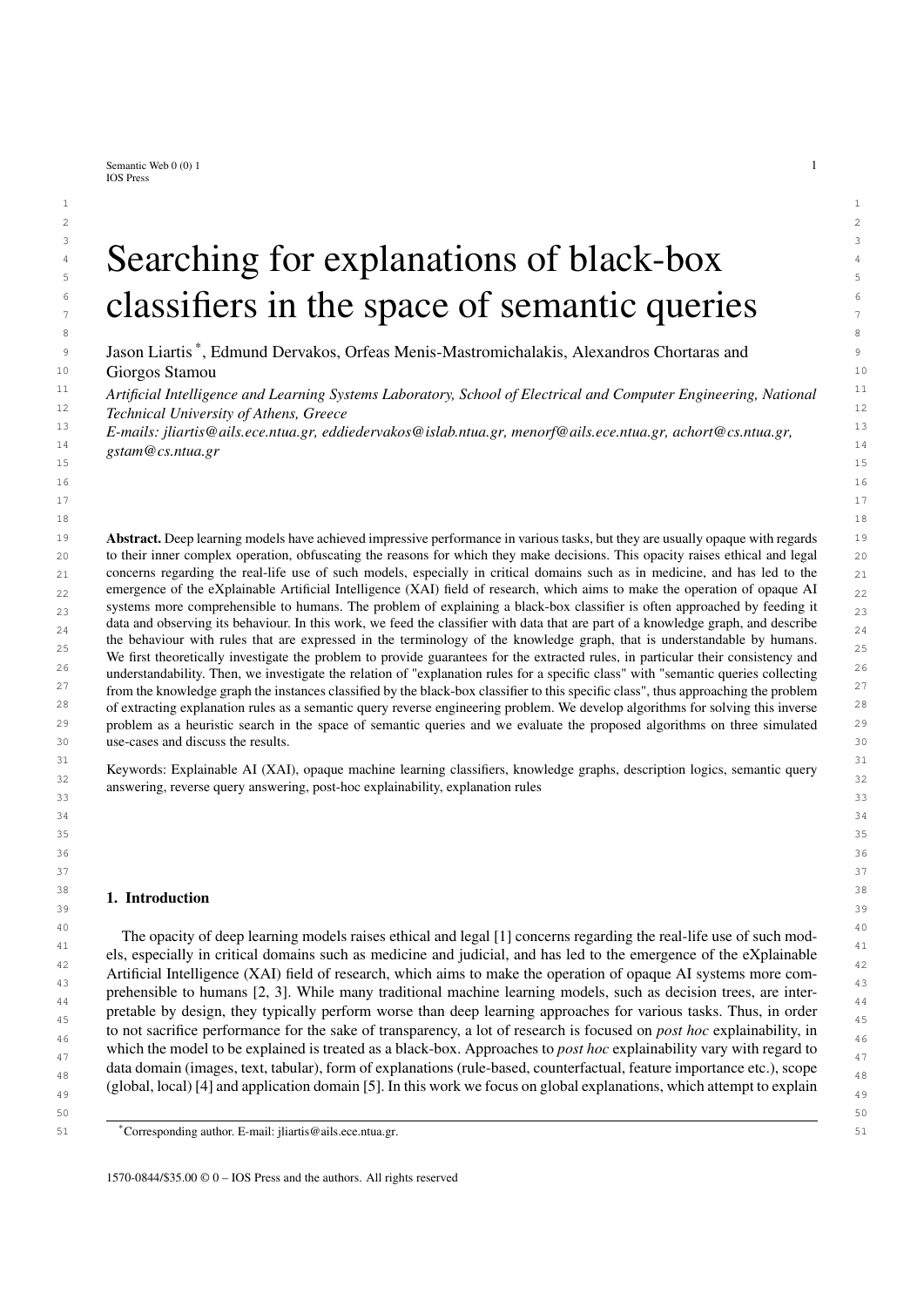- 1 1 [14] M.K. Sarker, N. Xie, D. Doran, M. Raymer and P. Hitzler, Explaining Trained Neural Networks with Semantic Web Technologies: First 2 2 Steps, in: *NeSy*, CEUR Workshop Proceedings, Vol. 2003, CEUR-WS.org, 2017.
- 3 3 [15] D. Pedreschi, F. Giannotti, R. Guidotti, A. Monreale, S. Ruggieri and F. Turini, Meaningful Explanations of Black Box AI Decision 4 4 *Intelligence Conference, IAAI 2019, The Ninth AAAI Symposium on Educational Advances in Artificial Intelligence, EAAI 2019, Honolulu,* 5 5 *Hawaii, USA, January 27 - February 1, 2019*, 2019, pp. 9780–9784. doi:10.1609/aaai.v33i01.33019780. Systems, in: *The Thirty-Third AAAI Conference on Artificial Intelligence, AAAI 2019, The Thirty-First Innovative Applications of Artificial*
- 6 6 [16] Y. Zhang, P. Tiño, A. Leonardis and K. Tang, A Survey on Neural Network Interpretability, *IEEE Trans. Emerg. Top. Comput. Intell.* 5(5)  $\frac{1}{7}$  (2021), 726–742. doi:10.1109/TETCI.2021.3100641.
- 8 8 [17] G. Ciravegna, F. Giannini, M. Gori, M. Maggini and S. Melacci, Human-Driven FOL Explanations of Deep Learning, in: *Proceedings of the Twenty-Ninth International Joint Conference on Artificial Intelligence, IJCAI 2020*, 2020, pp. 2234–2240. doi:10.24963/ijcai.2020/309.
- 9 9 [18] C. Panigutti, A. Perotti and D. Pedreschi, Doctor XAI: an ontology-based approach to black-box sequential data classification explanations, 10 10 in: *Proceedings of the 2020 conference on fairness, accountability, and transparency*, 2020, pp. 629–639.
- 11 11 [19] R. Guidotti, A. Monreale, S. Ruggieri, D. Pedreschi, F. Turini and F. Giannotti, Local rule-based explanations of black box decision systems, 12 12 *arXiv preprint arXiv:1805.10820* (2018).
- 13 13 [20] M.T. Ribeiro, S. Singh and C. Guestrin, Anchors: High-precision model-agnostic explanations, in: *Proceedings of the AAAI conference on artificial intelligence*, Vol. 32, 2018.
- 14 14 [21] A.B. Arrieta, N.D. Rodríguez, J.D. Ser, A. Bennetot, S. Tabik, A. Barbado, S. García, S. Gil-Lopez, D. Molina, R. Benjamins, R. Chatila 15 15 and F. Herrera, Explainable Artificial Intelligence (XAI): Concepts, taxonomies, opportunities and challenges toward responsible AI, *Inf.* 16 16 *Fusion* 58 (2020), 82–115.
- $_{17}$  [22] G. Futia and A. Vetrò, On the integration of knowledge graphs into deep learning models for a more comprehensible AI—Three Challenges  $_{17}$ for future research, *Information* 11(2) (2020), 122.
- 18 18<br>
[23] A. Hogan, E. Blomqvist, M. Cochez, C. d'Amato, G. de Melo, C. Gutiérrez, J.E.L. Gayo, S. Kirrane, S. Neumaier, A. Polleres, R. Nav-19 19 igli, A.N. Ngomo, S.M. Rashid, A. Rula, L. Schmelzeisen, J.F. Sequeda, S. Staab and A. Zimmermann, Knowledge Graphs, *CoRR*  $abs/2003.02320$  (2020).
- 21 21 [24] B. Mittelstadt, C. Russell and S. Wachter, Explaining explanations in AI, in: *Proceedings of the conference on fairness, accountability, and* 22 22 *transparency*, 2019, pp. 279–288.
- [25] V. Praher, K. Prinz, A. Flexer and G. Widmer, On the Veracity of Local, Model-agnostic Explanations in Audio Classification: Targeted  $_{23}$ Investigations with Adversarial Examples, *arXiv preprint arXiv:2107.09045* (2021).
- $^{24}$  [26] Z.A. Daniels, L.D. Frank, C.J. Menart, M. Raymer and P. Hitzler, A framework for explainable deep neural models using external knowl-25 25 edge graphs, in: *Artificial Intelligence and Machine Learning for Multi-Domain Operations Applications II*, Vol. 11413, International 26 26 Society for Optics and Photonics, 2020, p. 114131C.
- 27 27 [27] M. Alirezaie, M. Längkvist, M. Sioutis and A. Loutfi, A symbolic approach for explaining errors in image classification tasks, in: *Working Papers and Documents of the IJCAI-ECAI-2018 Workshop on*, 2018.
- 28 28 [28] H. Wang, F. Zhang, X. Xie and M. Guo, DKN: Deep Knowledge-Aware Network for News Recommendation, in: *Proceedings of* 29 29 *the 2018 World Wide Web Conference on World Wide Web, WWW 2018, Lyon, France, April 23-27, 2018*, 2018, pp. 1835–1844. 30 30 doi:10.1145/3178876.3186175.
- 31 31 [29] Q. Ai, V. Azizi, X. Chen and Y. Zhang, Learning heterogeneous knowledge base embeddings for explainable recommendation, *Algorithms*  $\mathbf{11}(9)(2018), 137.$  32 11(9) (2018), 137.
- 33 33 [30] V.S. Silva, A. Freitas and S. Handschuh, Exploring knowledge graphs in an interpretable composite approach for text entailment, in: *Proceedings of the AAAI Conference on Artificial Intelligence*, Vol. 33, 2019, pp. 7023–7030.
- 34 34 [31] I. Tiddi and S. Schlobach, Knowledge Graphs as tools for Explainable Machine Learning: a survey, *Artificial Intelligence* (2021), 103627.
- <sup>35</sup> [32] R. Krishna, Y. Zhu, O. Groth, J. Johnson, K. Hata, J. Kravitz, S. Chen, Y. Kalantidis, L.-J. Li, D.A. Shamma et al., Visual genome:<sup>35</sup> 36 36 Connecting language and vision using crowdsourced dense image annotations, *International journal of computer vision* 123(1) (2017),  $37 \frac{32-13}{2}$ 32–73.
- 38 38 [33] T.-Y. Lin, M. Maire, S. Belongie, J. Hays, P. Perona, D. Ramanan, P. Dollár and C.L. Zitnick, Microsoft coco: Common objects in context, in: *European conference on computer vision*, Springer, 2014, pp. 740–755.
- 39 39 [34] G.A. Miller, WordNet: a lexical database for English, *Communications of the ACM* 38(11) (1995), 39–41.
- 40 40 [35] R. Speer, J. Chin and C. Havasi, ConceptNet 5.5: An Open Multilingual Graph of General Knowledge, in: *AAAI*, AAAI Press, 2017,  $\mu$  1  $\mu$  1  $\mu$  1  $\mu$  1  $\mu$  1  $\mu$  1  $\mu$  1  $\mu$  1  $\mu$  1  $\mu$  1  $\mu$  1  $\mu$  1  $\mu$  1  $\mu$  1  $\mu$  1  $\mu$  1  $\mu$  1  $\mu$  1  $\mu$  1  $\mu$  1  $\mu$  1  $\mu$  1  $\mu$  1  $\mu$  1  $\mu$  1  $\mu$  1  $\mu$  1  $\mu$  1  $\mu$  1  $\mu$  1  $\mu$  1  $\mu$ pp. 4444–4451.
- 42 42 [36] J. Lehmann, R. Isele, M. Jakob, A. Jentzsch, D. Kontokostas, P.N. Mendes, S. Hellmann, M. Morsey, P. Van Kleef, S. Auer et al., Dbpedia–a  $43$  angle-scale, inditingual knowledge base extracted from wikipedia, *semantic web*  $\sigma(z)$  ( $z(1z)$ ),  $107-175$ . large-scale, multilingual knowledge base extracted from wikipedia, *Semantic web* 6(2) (2015), 167–195.
- [37] M.Q. Stearns, C. Price, K.A. Spackman and A.Y. Wang, SNOMED clinical terms: overview of the development process and project status, in: *AMIA*, AMIA, 2001.
- 45 [38] D. Calvanese, G.D. Giacomo, D. Lembo, M. Lenzerini and R. Rosati, Tractable Reasoning and Efficient Query Answering in Description 45 46 46 Logics: The *DL-Lite* Family, *J. Autom. Reason.* 39(3) (2007), 385–429.
- 47 47 [39] B.C. Grau, B. Motik, G. Stoilos and I. Horrocks, Computing Datalog Rewritings Beyond Horn Ontologies, in: *IJCAI*, IJCAI/AAAI, 2013,  $\mu$ ,  $\mu$ ,  $\delta$ ,  $\delta$ ,  $\delta$ ,  $\delta$ ,  $\delta$ ,  $\delta$ ,  $\delta$ ,  $\delta$ ,  $\delta$ ,  $\delta$ ,  $\delta$ ,  $\delta$ ,  $\delta$ ,  $\delta$ ,  $\delta$ ,  $\delta$ ,  $\delta$ ,  $\delta$ ,  $\delta$ ,  $\delta$ ,  $\delta$ ,  $\delta$ ,  $\delta$ ,  $\delta$ ,  $\delta$ ,  $\delta$ ,  $\delta$ ,  $\delta$ ,  $\delta$ ,  $\delta$ ,  $\delta$ ,  $\delta$ ,  $\delta$ ,  $\delta$ ,  $\delta$ , pp. 832–838.
- 49 49 [40] A. Chortaras, M. Giazitzoglou and G. Stamou, Inside the Query Space of DL Knowledge Bases, in: *Description Logics*, CEUR Workshop Proceedings, Vol. 2373, CEUR-WS.org, 2019.
- 50 50 [41] D. Trivela, G. Stoilos, A. Chortaras and G. Stamou, Resolution-based rewriting for Horn-*SHIQ* ontologies, *Knowl. Inf. Syst.* 62(1) (2020),  $107-143.$  51 107–143.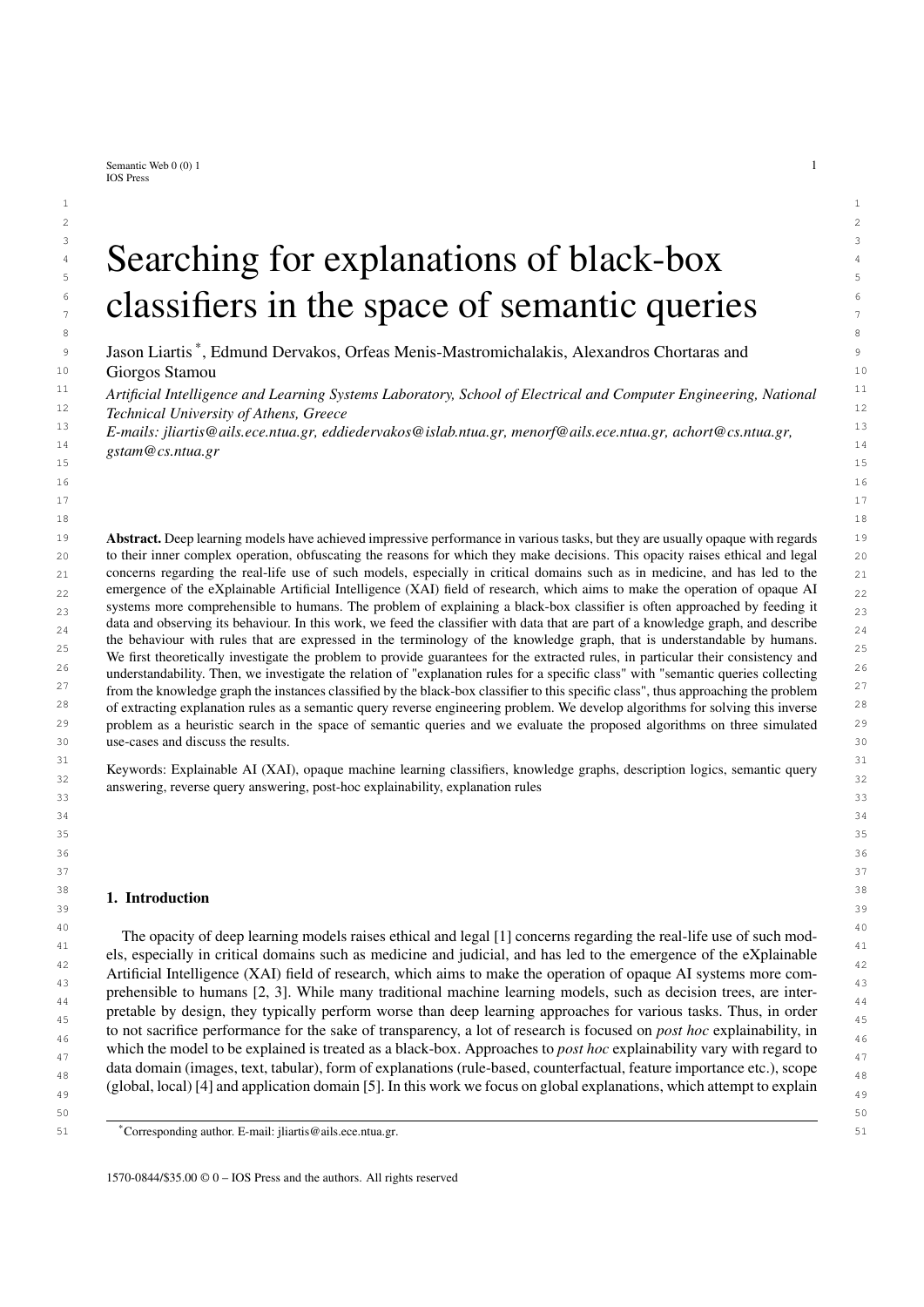#### *J. Liartis et al. / Searching for explanations of black-box classifiers in the space of semantic queries*

- 1 [42] Q.T. Tran, C.Y. Chan and S. Parthasarathy, Query reverse engineering, *VLDB J.* 23(5) (2014), 721–746. doi:10.1007/s00778-013-0349-3.
- 2 [43] M. Arenas, G.I. Diaz and E.V. Kostylev, Reverse Engineering SPARQL Queries, in: *Proceedings of the 25th International Conference on* 3 *World Wide Web, WWW 2016, Montreal, Canada, April 11 - 15, 2016*, J. Bourdeau, J. Hendler, R. Nkambou, I. Horrocks and B.Y. Zhao, eds, ACM, 2016, pp. 239–249. doi:10.1145/2872427.2882989.
- 4 [44] A. Petrova, E.V. Kostylev, B.C. Grau and I. Horrocks, Query-Based Entity Comparison in Knowledge Graphs Revisited, in: *The Semantic* 5 *Web - ISWC 2019 - 18th International Semantic Web Conference, Auckland, New Zealand, October 26-30, 2019, Proceedings, Part I*, 6 C. Ghidini, O. Hartig, M. Maleshkova, V. Svátek, I.F. Cruz, A. Hogan, J. Song, M. Lefrançois and F. Gandon, eds, Lecture Notes in  $\tau$  7 Computer Science, Vol. 11778, Springer, 2019, pp. 558–575. doi:10.1007/978-3-030-30793-6\_32.
- 8 [45] G. Diaz, M. Arenas and M. Benedikt, SPARQLByE: Querying RDF Data by Example, *Proc. VLDB Endow.* 9(13) (2016), 1533–1536–. doi:10.14778/3007263.3007302.
- <sup>9</sup> [46] E. Dervakos, O. Menis-Mastromichalakis, A. Chortaras and G. Stamou, Computing Rule-Based Explanations of Machine Learning Clas-10 sifiers using Knowledge Graphs, 2022.
- 11 [47] G. Gottlob and C.G. Fermüller, Removing Redundancy from a Clause, *Artif. Intell.* 61(2) (1993), 263–289.
- 12 [48] W.W. Cohen, A. Borgida and H. Hirsh, Computing Least Common Subsumers in Description Logics, in: *Proceedings of the 10th National* 13 *Conference on Artificial Intelligence, San Jose, CA, USA, July 12-16, 1992*, 1992, pp. 754–760. [http://www.aaai.org/Library/AAAI/1992/](http://www.aaai.org/Library/AAAI/1992/aaai92-117.php) [aaai92-117.php.](http://www.aaai.org/Library/AAAI/1992/aaai92-117.php)
- <sup>14</sup> [49] R. Küsters and R. Molitor, Structural Subsumption and Least Common Subsumers in a Description Logic with Existential and Number<sup>14</sup> 15 Restrictions, *Stud Logica* 81(2) (2005), 227–259. doi:10.1007/s11225-005-3705-5.
- 16 [50] F. Baader, B. Sertkaya and A. Turhan, Computing the least common subsumer w.r.t. a background terminology, *J. Appl. Log.* 5(3) (2007), 17 392–420. doi:10.1016/j.jal.2006.03.002.
- 18 [51] F.M. Donini, S. Colucci, T.D. Noia and E.D. Sciascio, A Tableaux-based Method for Computing Least Common Subsumers for Expressive 18 19 2009. [http://ceur-ws.org/Vol-477/paper\\_22.pdf.](http://ceur-ws.org/Vol-477/paper_22.pdf) Description Logics, in: *Proceedings of the 22nd International Workshop on Description Logics (DL 2009), Oxford, UK, July 27-30, 2009*,
- 20 [52] J. Laguarta, F. Hueto and B. Subirana, COVID-19 artificial intelligence diagnosis using only cough recordings, *IEEE Open Journal of* 21 *Engineering in Medicine and Biology* 1 (2020), 275–281.
- $_{22}$  [53] J. Liartis, E. Dervakos, O. Menis-Mastromichalakis, A. Chortaras and G. Stamou, Semantic Queries Explaining Opaque Machine Learning  $_{22}$  23 Classifiers, in: *Proceedings of the Workshop on Data meets Applied Ontologies in Explainable AI (DAO-XAI 2021) part of Bratislava* 24 CEUR Workshop Proceedings, Vol. 2998, CEUR-WS.org, 2021. [http://ceur-ws.org/Vol-2998/paper2.pdf.](http://ceur-ws.org/Vol-2998/paper2.pdf) *Knowledge September (BAKS 2021), Bratislava, Slovakia, September 18th to 19th, 2021*, R. Confalonieri, O. Kutz and D. Calvanese, eds,
- 25 [54] R. Kontchakov and M. Zakharyaschev, in: *Reasoning Web. Reasoning on the Web in the Big Data Era: 10th International Summer School* 26 *2014, Athens, Greece, September 8-13, 2014. Proceedings*, Springer International Publishing, Cham, 2014, pp. 195–244. ISBN 978-3-319- 27 10587-1. doi:10.1007/978-3-319-10587-1\_5.
- 28 [55] R. Kontchakov, C. Lutz, D. Toman, F. Wolter and M. Zakharyaschev, The Combined Approach to Ontology-Based Data Access, in: *IJCAI*, IJCAI/AAAI, 2011, pp. 2656–2661.
- 29 [56] B. Glimm, Y. Kazakov and T. Tran, Ontology Materialization by Abstraction Refinement in Horn SHOIF, in: *AAAI*, AAAI Press, 2017,  $\frac{30}{20}$  and  $\frac{1114-1120}{20}$ pp. 1114–1120.
- 31 [57] S.H. Bokhari, On the Mapping Problem 30(3) (1981). doi:10.1109/TC.1981.1675756.
- 32 [58] H.M. Grindley, P.J. Artymiuk, D.W. Rice and P. Willett, Identification of Tertiary Structure Resemblance in Proteins 33 Using a Maximal Common Subgraph Isomorphism Algorithm, *Journal of Molecular Biology* 229(3) (1993), 707–721. doi:https://doi.org/10.1006/jmbi.1993.1074. [https://www.sciencedirect.com/science/article/pii/S0022283683710740.](https://www.sciencedirect.com/science/article/pii/S0022283683710740)
- 34 [59] J. Xu, GMA: A Generic Match Algorithm for Structural Homomorphism, Isomorphism, and Maximal Common Substructure Match and 35 Its Applications, *Journal of Chemical Information and Computer Sciences* 36(1) (1996), 25–34. doi:10.1021/ci950061u.
- 36 [60] A. Egozi, Y. Keller and H. Guterman, A Probabilistic Approach to Spectral Graph Matching, *IEEE Transactions on Pattern Analysis &* 37 *Machine Intelligence* 35(01) (2013), 18–27. doi:10.1109/TPAMI.2012.51.
- 38 [61] M. Leordeanu and M. Hebert, A spectral technique for correspondence problems using pairwise constraints, in: *Tenth IEEE International Conference on Computer Vision (ICCV'05) Volume 1*, Vol. 2, 2005, pp. 1482–1489 Vol. 2. doi:10.1109/ICCV.2005.20.
- <sup>39</sup> [62] W. Stammer, P. Schramowski and K. Kersting, Right for the Right Concept: Revising Neuro-Symbolic Concepts by Interacting with their<sup>39</sup> 40 Explanations, *arXiv preprint arXiv:2011.12854* (2020).
- 41 [63] Y. LeCun, L. Bottou, Y. Bengio and P. Haffner, Gradient-Based Learning Applied to Document Recognition, in: *Proceedings of the IEEE,* 42 *86(11):2278-2324*, 1998.
- 43 [64] K. He, X. Zhang, S. Ren and J. Sun, Deep Residual Learning for Image Recognition, *CoRR* abs/1512.03385 (2015). [http://arxiv.org/abs/](http://arxiv.org/abs/1512.03385) [1512.03385.](http://arxiv.org/abs/1512.03385)
- 44 [65] R. Poyiadzi, K. Sokol, R. Santos-Rodríguez, T.D. Bie and P.A. Flach, FACE: Feasible and Actionable Counterfactual Explanations, in: 45 *AIES*, ACM, 2020, pp. 344–350.
- 46 [66] T. Lindeberg, *Scale-Space*, in: *Wiley Encyclopedia of Computer Science and Engineering*, American Cancer Society, 2008, pp. 2495–2504.  $_{47}$  ISBN 9780470050118. doi:https://doi.org/10.1002/9780470050118.ecse609.
- 48 [67] R. Krishna, Y. Zhu, O. Groth, J. Johnson, K. Hata, J. Kravitz, S. Chen, Y. Kalantidis, L. Li, D.A. Shamma, M.S. Bernstein and L. Fei-Fei, 49 Visual Genome: Connecting Language and Vision Using Crowdsourced Dense Image Annotations, *Int. J. Comput. Vis.* 123(1) (2017), 32–73.
- 50 [68] J. Johnson, B. Hariharan, L. van der Maaten, L. Fei-Fei, C.L. Zitnick and R.B. Girshick, CLEVR: A Diagnostic Dataset for Compositional 51 Language and Elementary Visual Reasoning, *CoRR* abs/1612.06890 (2016). [http://arxiv.org/abs/1612.06890.](http://arxiv.org/abs/1612.06890)